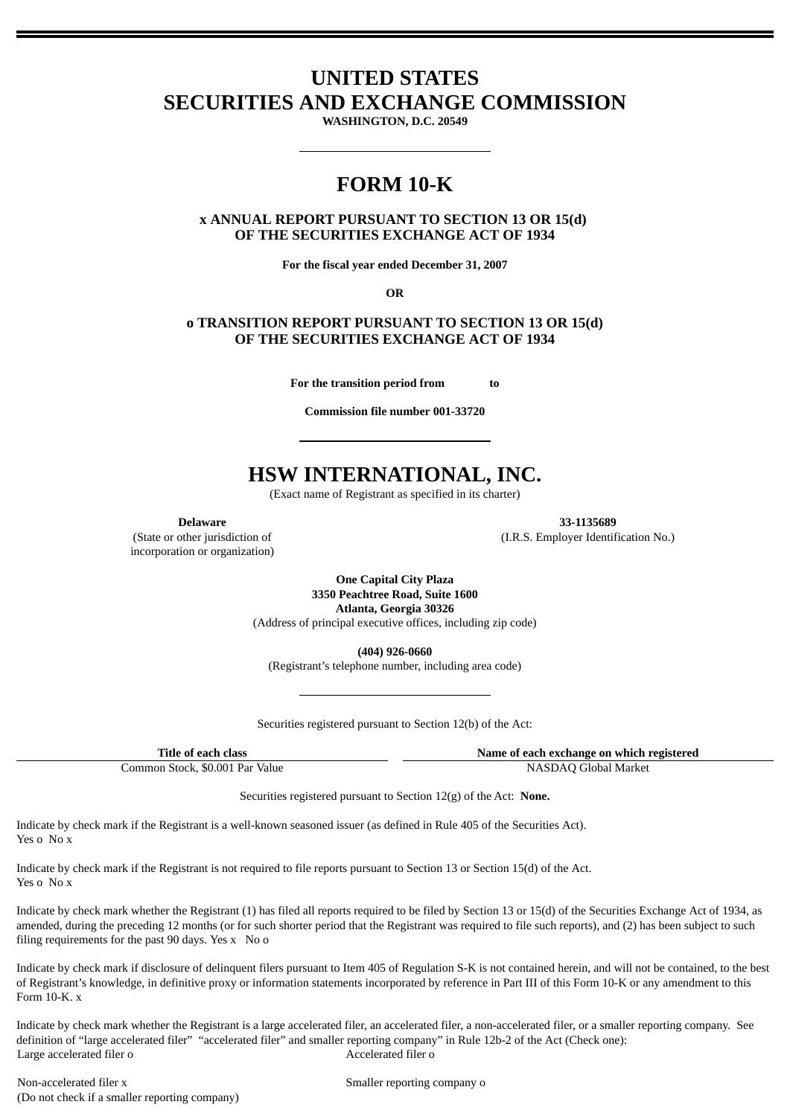# **UNITED STATES SECURITIES AND EXCHANGE COMMISSION**

**WASHINGTON, D.C. 20549**

# **FORM 10-K**

## **x ANNUAL REPORT PURSUANT TO SECTION 13 OR 15(d) OF THE SECURITIES EXCHANGE ACT OF 1934**

**For the fiscal year ended December 31, 2007**

**OR**

## **o TRANSITION REPORT PURSUANT TO SECTION 13 OR 15(d) OF THE SECURITIES EXCHANGE ACT OF 1934**

**For the transition period from to**

**Commission file number 001-33720**

# **HSW INTERNATIONAL, INC.**

(Exact name of Registrant as specified in its charter)

(State or other jurisdiction of (I.R.S. Employer Identification No.) incorporation or organization)

**Delaware 33-1135689**

**One Capital City Plaza 3350 Peachtree Road, Suite 1600**

**Atlanta, Georgia 30326**

(Address of principal executive offices, including zip code)

**(404) 926-0660**

(Registrant's telephone number, including area code)

Securities registered pursuant to Section 12(b) of the Act:

Common Stock, \$0.001 Par Value NASDAQ Global Market

**Title of each class Name of each exchange on which registered**

Securities registered pursuant to Section 12(g) of the Act: **None.**

Indicate by check mark if the Registrant is a well-known seasoned issuer (as defined in Rule 405 of the Securities Act). Yes o No x

Indicate by check mark if the Registrant is not required to file reports pursuant to Section 13 or Section 15(d) of the Act. Yes o No x

Indicate by check mark whether the Registrant (1) has filed all reports required to be filed by Section 13 or 15(d) of the Securities Exchange Act of 1934, as amended, during the preceding 12 months (or for such shorter period that the Registrant was required to file such reports), and (2) has been subject to such filing requirements for the past  $90$  days. Yes x No o

Indicate by check mark if disclosure of delinquent filers pursuant to Item 405 of Regulation S-K is not contained herein, and will not be contained, to the best of Registrant's knowledge, in definitive proxy or information statements incorporated by reference in Part III of this Form 10-K or any amendment to this Form 10-K. x

Indicate by check mark whether the Registrant is a large accelerated filer, an accelerated filer, a non-accelerated filer, or a smaller reporting company. See definition of "large accelerated filer" "accelerated filer" and smaller reporting company" in Rule 12b-2 of the Act (Check one): Large accelerated filer o Accelerated filer o

Non-accelerated filer x Smaller reporting company on Smaller reporting company on Smaller reporting company o (Do not check if a smaller reporting company)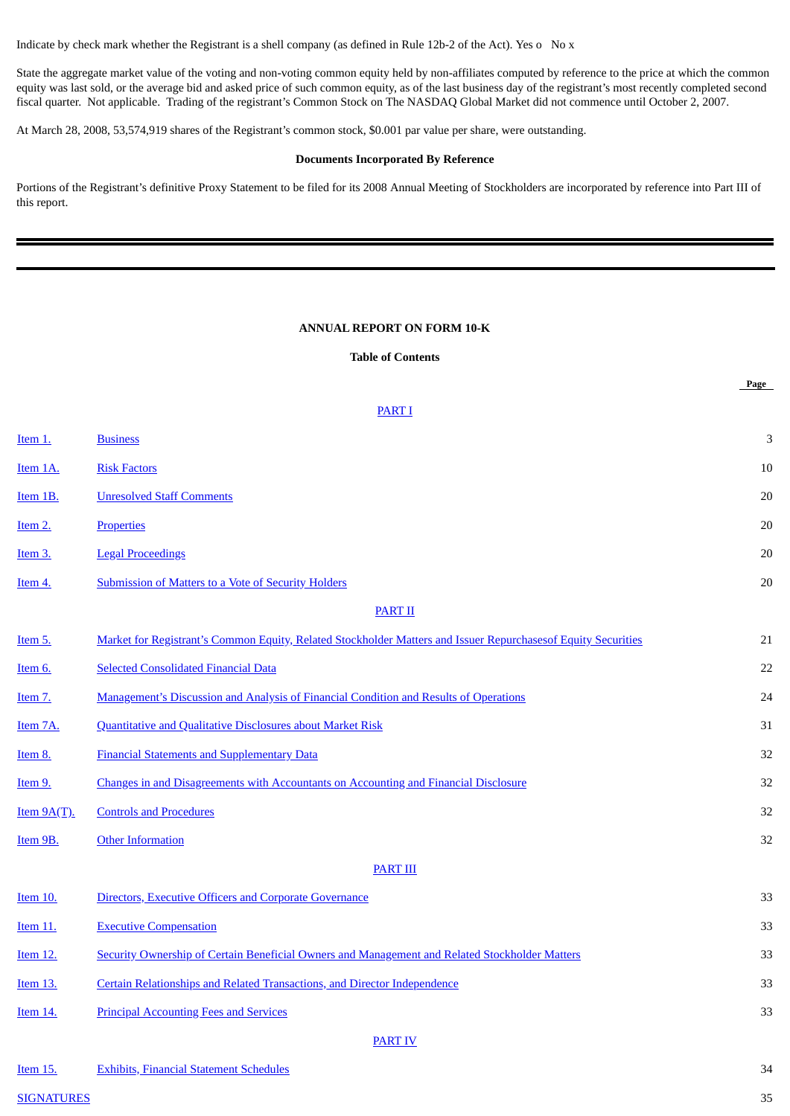Indicate by check mark whether the Registrant is a shell company (as defined in Rule 12b-2 of the Act). Yes o No x

State the aggregate market value of the voting and non-voting common equity held by non-affiliates computed by reference to the price at which the common equity was last sold, or the average bid and asked price of such common equity, as of the last business day of the registrant's most recently completed second fiscal quarter. Not applicable. Trading of the registrant's Common Stock on The NASDAQ Global Market did not commence until October 2, 2007.

At March 28, 2008, 53,574,919 shares of the Registrant's common stock, \$0.001 par value per share, were outstanding.

#### **Documents Incorporated By Reference**

Portions of the Registrant's definitive Proxy Statement to be filed for its 2008 Annual Meeting of Stockholders are incorporated by reference into Part III of this report.

## **ANNUAL REPORT ON FORM 10-K**

|  |  | <b>Table of Contents</b> |
|--|--|--------------------------|
|--|--|--------------------------|

|                 |                                                                                                                | Page |
|-----------------|----------------------------------------------------------------------------------------------------------------|------|
|                 | <b>PART I</b>                                                                                                  |      |
| <u>Item 1.</u>  | <b>Business</b>                                                                                                | 3    |
| <u>Item 1A.</u> | <b>Risk Factors</b>                                                                                            | 10   |
| Item 1B.        | <b>Unresolved Staff Comments</b>                                                                               | 20   |
| <u>Item 2.</u>  | <b>Properties</b>                                                                                              | 20   |
| Item 3.         | <b>Legal Proceedings</b>                                                                                       | 20   |
| Item 4.         | <b>Submission of Matters to a Vote of Security Holders</b>                                                     | 20   |
|                 | <b>PART II</b>                                                                                                 |      |
| <u>Item 5.</u>  | Market for Registrant's Common Equity, Related Stockholder Matters and Issuer Repurchases of Equity Securities | 21   |
| Item 6.         | <b>Selected Consolidated Financial Data</b>                                                                    | 22   |
| Item 7.         | <b>Management's Discussion and Analysis of Financial Condition and Results of Operations</b>                   | 24   |
| Item 7A.        | <b>Quantitative and Qualitative Disclosures about Market Risk</b>                                              | 31   |
| <u>Item 8.</u>  | <b>Financial Statements and Supplementary Data</b>                                                             | 32   |
| Item 9.         | <b>Changes in and Disagreements with Accountants on Accounting and Financial Disclosure</b>                    | 32   |
| Item $9A(T)$ .  | <b>Controls and Procedures</b>                                                                                 | 32   |
| Item 9B.        | <b>Other Information</b>                                                                                       | 32   |
|                 | <b>PART III</b>                                                                                                |      |
| <b>Item 10.</b> | Directors, Executive Officers and Corporate Governance                                                         | 33   |
| <b>Item 11.</b> | <b>Executive Compensation</b>                                                                                  | 33   |
| <b>Item 12.</b> | <b>Security Ownership of Certain Beneficial Owners and Management and Related Stockholder Matters</b>          | 33   |
| <b>Item 13.</b> | Certain Relationships and Related Transactions, and Director Independence                                      | 33   |
| <b>Item 14.</b> | <b>Principal Accounting Fees and Services</b>                                                                  | 33   |
|                 | <b>PART IV</b>                                                                                                 |      |
| <b>Item 15.</b> | <b>Exhibits, Financial Statement Schedules</b>                                                                 | 34   |

<u>[SIGNATURES](#page-22-8)</u> 35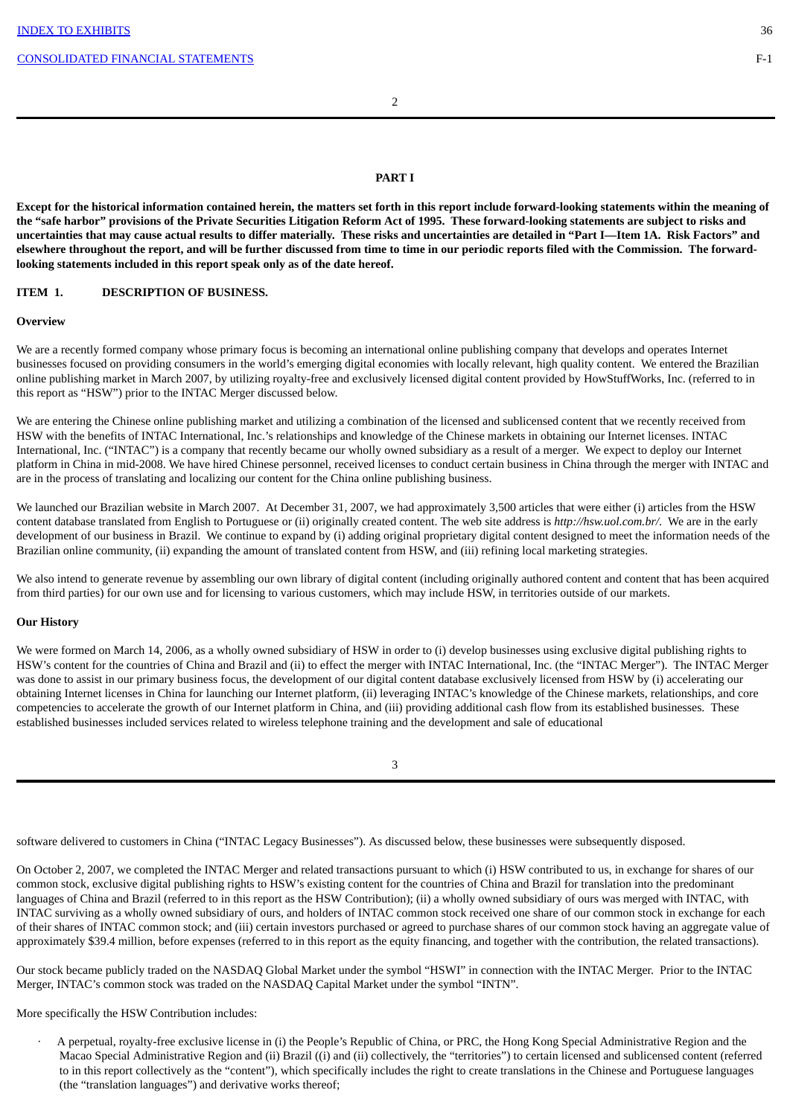#### <span id="page-2-1"></span><span id="page-2-0"></span>**PART I**

Except for the historical information contained herein, the matters set forth in this report include forward-looking statements within the meaning of the "safe harbor" provisions of the Private Securities Litigation Reform Act of 1995. These forward-looking statements are subject to risks and uncertainties that may cause actual results to differ materially. These risks and uncertainties are detailed in "Part I—Item 1A. Risk Factors" and elsewhere throughout the report, and will be further discussed from time to time in our periodic reports filed with the Commission. The forward**looking statements included in this report speak only as of the date hereof.**

#### **ITEM 1. DESCRIPTION OF BUSINESS.**

#### **Overview**

We are a recently formed company whose primary focus is becoming an international online publishing company that develops and operates Internet businesses focused on providing consumers in the world's emerging digital economies with locally relevant, high quality content. We entered the Brazilian online publishing market in March 2007, by utilizing royalty-free and exclusively licensed digital content provided by HowStuffWorks, Inc. (referred to in this report as "HSW") prior to the INTAC Merger discussed below.

We are entering the Chinese online publishing market and utilizing a combination of the licensed and sublicensed content that we recently received from HSW with the benefits of INTAC International, Inc.'s relationships and knowledge of the Chinese markets in obtaining our Internet licenses. INTAC International, Inc. ("INTAC") is a company that recently became our wholly owned subsidiary as a result of a merger. We expect to deploy our Internet platform in China in mid-2008. We have hired Chinese personnel, received licenses to conduct certain business in China through the merger with INTAC and are in the process of translating and localizing our content for the China online publishing business.

We launched our Brazilian website in March 2007. At December 31, 2007, we had approximately 3,500 articles that were either (i) articles from the HSW content database translated from English to Portuguese or (ii) originally created content. The web site address is *http://hsw.uol.com.br/*. We are in the early development of our business in Brazil. We continue to expand by (i) adding original proprietary digital content designed to meet the information needs of the Brazilian online community, (ii) expanding the amount of translated content from HSW, and (iii) refining local marketing strategies.

We also intend to generate revenue by assembling our own library of digital content (including originally authored content and content that has been acquired from third parties) for our own use and for licensing to various customers, which may include HSW, in territories outside of our markets.

## **Our History**

We were formed on March 14, 2006, as a wholly owned subsidiary of HSW in order to (i) develop businesses using exclusive digital publishing rights to HSW's content for the countries of China and Brazil and (ii) to effect the merger with INTAC International, Inc. (the "INTAC Merger"). The INTAC Merger was done to assist in our primary business focus, the development of our digital content database exclusively licensed from HSW by (i) accelerating our obtaining Internet licenses in China for launching our Internet platform, (ii) leveraging INTAC's knowledge of the Chinese markets, relationships, and core competencies to accelerate the growth of our Internet platform in China, and (iii) providing additional cash flow from its established businesses. These established businesses included services related to wireless telephone training and the development and sale of educational

| ٠<br>٦       |  |
|--------------|--|
|              |  |
| I            |  |
| ۰.<br>×<br>v |  |

software delivered to customers in China ("INTAC Legacy Businesses"). As discussed below, these businesses were subsequently disposed.

On October 2, 2007, we completed the INTAC Merger and related transactions pursuant to which (i) HSW contributed to us, in exchange for shares of our common stock, exclusive digital publishing rights to HSW's existing content for the countries of China and Brazil for translation into the predominant languages of China and Brazil (referred to in this report as the HSW Contribution); (ii) a wholly owned subsidiary of ours was merged with INTAC, with INTAC surviving as a wholly owned subsidiary of ours, and holders of INTAC common stock received one share of our common stock in exchange for each of their shares of INTAC common stock; and (iii) certain investors purchased or agreed to purchase shares of our common stock having an aggregate value of approximately \$39.4 million, before expenses (referred to in this report as the equity financing, and together with the contribution, the related transactions).

Our stock became publicly traded on the NASDAQ Global Market under the symbol "HSWI" in connection with the INTAC Merger. Prior to the INTAC Merger, INTAC's common stock was traded on the NASDAQ Capital Market under the symbol "INTN".

More specifically the HSW Contribution includes:

· A perpetual, royalty-free exclusive license in (i) the People's Republic of China, or PRC, the Hong Kong Special Administrative Region and the Macao Special Administrative Region and (ii) Brazil ((i) and (ii) collectively, the "territories") to certain licensed and sublicensed content (referred to in this report collectively as the "content"), which specifically includes the right to create translations in the Chinese and Portuguese languages (the "translation languages") and derivative works thereof;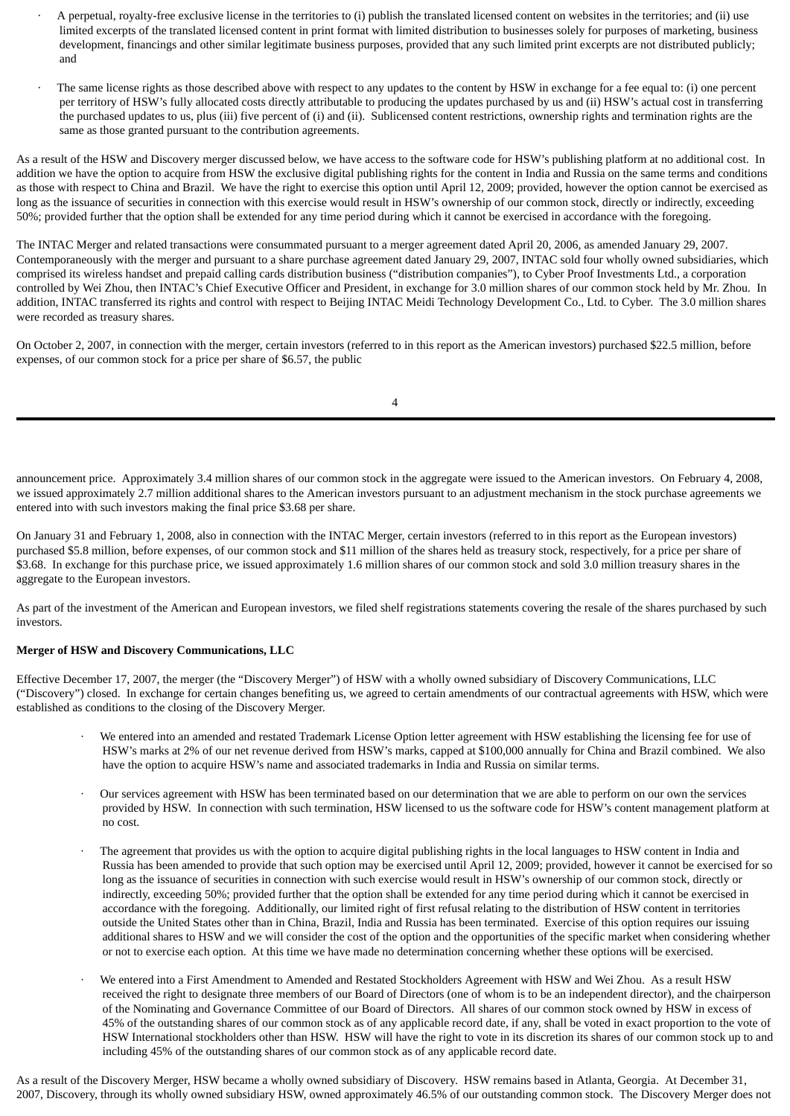- · A perpetual, royalty-free exclusive license in the territories to (i) publish the translated licensed content on websites in the territories; and (ii) use limited excerpts of the translated licensed content in print format with limited distribution to businesses solely for purposes of marketing, business development, financings and other similar legitimate business purposes, provided that any such limited print excerpts are not distributed publicly; and
- The same license rights as those described above with respect to any updates to the content by HSW in exchange for a fee equal to: (i) one percent per territory of HSW's fully allocated costs directly attributable to producing the updates purchased by us and (ii) HSW's actual cost in transferring the purchased updates to us, plus (iii) five percent of (i) and (ii). Sublicensed content restrictions, ownership rights and termination rights are the same as those granted pursuant to the contribution agreements.

As a result of the HSW and Discovery merger discussed below, we have access to the software code for HSW's publishing platform at no additional cost. In addition we have the option to acquire from HSW the exclusive digital publishing rights for the content in India and Russia on the same terms and conditions as those with respect to China and Brazil. We have the right to exercise this option until April 12, 2009; provided, however the option cannot be exercised as long as the issuance of securities in connection with this exercise would result in HSW's ownership of our common stock, directly or indirectly, exceeding 50%; provided further that the option shall be extended for any time period during which it cannot be exercised in accordance with the foregoing.

The INTAC Merger and related transactions were consummated pursuant to a merger agreement dated April 20, 2006, as amended January 29, 2007. Contemporaneously with the merger and pursuant to a share purchase agreement dated January 29, 2007, INTAC sold four wholly owned subsidiaries, which comprised its wireless handset and prepaid calling cards distribution business ("distribution companies"), to Cyber Proof Investments Ltd., a corporation controlled by Wei Zhou, then INTAC's Chief Executive Officer and President, in exchange for 3.0 million shares of our common stock held by Mr. Zhou. In addition, INTAC transferred its rights and control with respect to Beijing INTAC Meidi Technology Development Co., Ltd. to Cyber. The 3.0 million shares were recorded as treasury shares.

On October 2, 2007, in connection with the merger, certain investors (referred to in this report as the American investors) purchased \$22.5 million, before expenses, of our common stock for a price per share of \$6.57, the public

4

announcement price. Approximately 3.4 million shares of our common stock in the aggregate were issued to the American investors. On February 4, 2008, we issued approximately 2.7 million additional shares to the American investors pursuant to an adjustment mechanism in the stock purchase agreements we entered into with such investors making the final price \$3.68 per share.

On January 31 and February 1, 2008, also in connection with the INTAC Merger, certain investors (referred to in this report as the European investors) purchased \$5.8 million, before expenses, of our common stock and \$11 million of the shares held as treasury stock, respectively, for a price per share of \$3.68. In exchange for this purchase price, we issued approximately 1.6 million shares of our common stock and sold 3.0 million treasury shares in the aggregate to the European investors.

As part of the investment of the American and European investors, we filed shelf registrations statements covering the resale of the shares purchased by such investors.

## **Merger of HSW and Discovery Communications, LLC**

Effective December 17, 2007, the merger (the "Discovery Merger") of HSW with a wholly owned subsidiary of Discovery Communications, LLC ("Discovery") closed. In exchange for certain changes benefiting us, we agreed to certain amendments of our contractual agreements with HSW, which were established as conditions to the closing of the Discovery Merger.

- · We entered into an amended and restated Trademark License Option letter agreement with HSW establishing the licensing fee for use of HSW's marks at 2% of our net revenue derived from HSW's marks, capped at \$100,000 annually for China and Brazil combined. We also have the option to acquire HSW's name and associated trademarks in India and Russia on similar terms.
- Our services agreement with HSW has been terminated based on our determination that we are able to perform on our own the services provided by HSW. In connection with such termination, HSW licensed to us the software code for HSW's content management platform at no cost.
- The agreement that provides us with the option to acquire digital publishing rights in the local languages to HSW content in India and Russia has been amended to provide that such option may be exercised until April 12, 2009; provided, however it cannot be exercised for so long as the issuance of securities in connection with such exercise would result in HSW's ownership of our common stock, directly or indirectly, exceeding 50%; provided further that the option shall be extended for any time period during which it cannot be exercised in accordance with the foregoing. Additionally, our limited right of first refusal relating to the distribution of HSW content in territories outside the United States other than in China, Brazil, India and Russia has been terminated. Exercise of this option requires our issuing additional shares to HSW and we will consider the cost of the option and the opportunities of the specific market when considering whether or not to exercise each option. At this time we have made no determination concerning whether these options will be exercised.
- · We entered into a First Amendment to Amended and Restated Stockholders Agreement with HSW and Wei Zhou. As a result HSW received the right to designate three members of our Board of Directors (one of whom is to be an independent director), and the chairperson of the Nominating and Governance Committee of our Board of Directors. All shares of our common stock owned by HSW in excess of 45% of the outstanding shares of our common stock as of any applicable record date, if any, shall be voted in exact proportion to the vote of HSW International stockholders other than HSW. HSW will have the right to vote in its discretion its shares of our common stock up to and including 45% of the outstanding shares of our common stock as of any applicable record date.

As a result of the Discovery Merger, HSW became a wholly owned subsidiary of Discovery. HSW remains based in Atlanta, Georgia. At December 31, 2007, Discovery, through its wholly owned subsidiary HSW, owned approximately 46.5% of our outstanding common stock. The Discovery Merger does not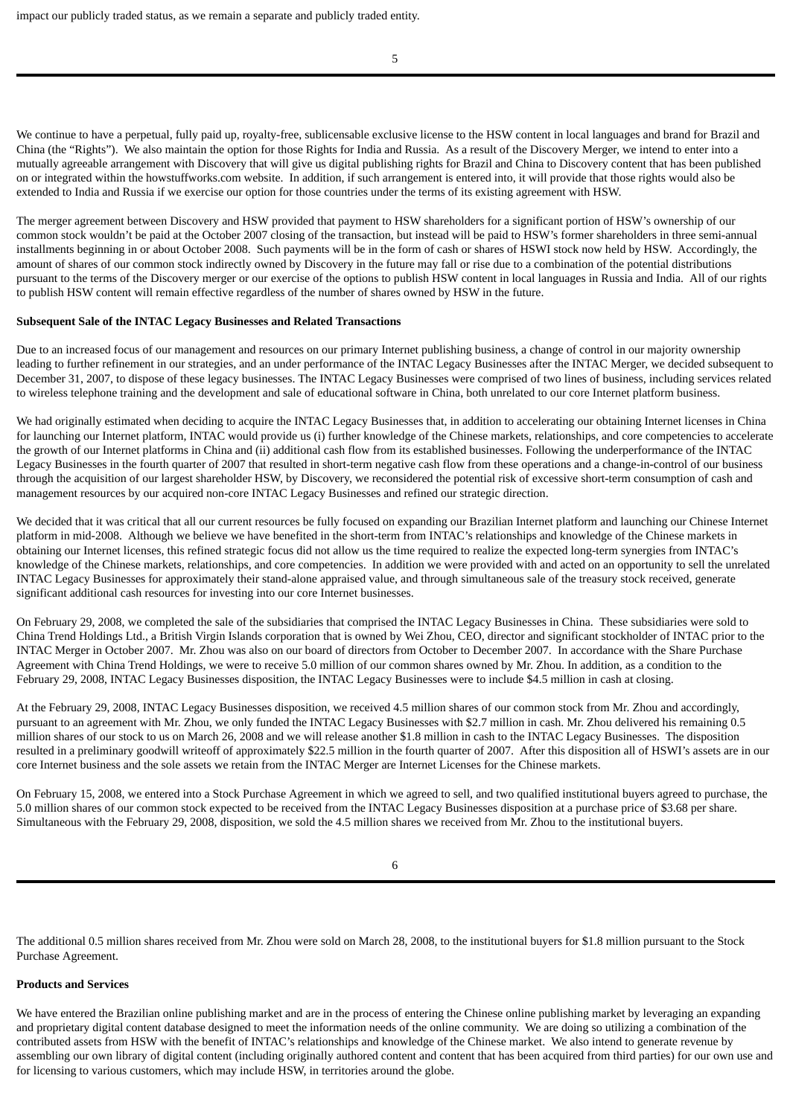impact our publicly traded status, as we remain a separate and publicly traded entity.

5

We continue to have a perpetual, fully paid up, royalty-free, sublicensable exclusive license to the HSW content in local languages and brand for Brazil and China (the "Rights"). We also maintain the option for those Rights for India and Russia. As a result of the Discovery Merger, we intend to enter into a mutually agreeable arrangement with Discovery that will give us digital publishing rights for Brazil and China to Discovery content that has been published on or integrated within the howstuffworks.com website. In addition, if such arrangement is entered into, it will provide that those rights would also be extended to India and Russia if we exercise our option for those countries under the terms of its existing agreement with HSW.

The merger agreement between Discovery and HSW provided that payment to HSW shareholders for a significant portion of HSW's ownership of our common stock wouldn't be paid at the October 2007 closing of the transaction, but instead will be paid to HSW's former shareholders in three semi-annual installments beginning in or about October 2008. Such payments will be in the form of cash or shares of HSWI stock now held by HSW. Accordingly, the amount of shares of our common stock indirectly owned by Discovery in the future may fall or rise due to a combination of the potential distributions pursuant to the terms of the Discovery merger or our exercise of the options to publish HSW content in local languages in Russia and India. All of our rights to publish HSW content will remain effective regardless of the number of shares owned by HSW in the future.

## **Subsequent Sale of the INTAC Legacy Businesses and Related Transactions**

Due to an increased focus of our management and resources on our primary Internet publishing business, a change of control in our majority ownership leading to further refinement in our strategies, and an under performance of the INTAC Legacy Businesses after the INTAC Merger, we decided subsequent to December 31, 2007, to dispose of these legacy businesses. The INTAC Legacy Businesses were comprised of two lines of business, including services related to wireless telephone training and the development and sale of educational software in China, both unrelated to our core Internet platform business.

We had originally estimated when deciding to acquire the INTAC Legacy Businesses that, in addition to accelerating our obtaining Internet licenses in China for launching our Internet platform, INTAC would provide us (i) further knowledge of the Chinese markets, relationships, and core competencies to accelerate the growth of our Internet platforms in China and (ii) additional cash flow from its established businesses. Following the underperformance of the INTAC Legacy Businesses in the fourth quarter of 2007 that resulted in short-term negative cash flow from these operations and a change-in-control of our business through the acquisition of our largest shareholder HSW, by Discovery, we reconsidered the potential risk of excessive short-term consumption of cash and management resources by our acquired non-core INTAC Legacy Businesses and refined our strategic direction.

We decided that it was critical that all our current resources be fully focused on expanding our Brazilian Internet platform and launching our Chinese Internet platform in mid-2008. Although we believe we have benefited in the short-term from INTAC's relationships and knowledge of the Chinese markets in obtaining our Internet licenses, this refined strategic focus did not allow us the time required to realize the expected long-term synergies from INTAC's knowledge of the Chinese markets, relationships, and core competencies. In addition we were provided with and acted on an opportunity to sell the unrelated INTAC Legacy Businesses for approximately their stand-alone appraised value, and through simultaneous sale of the treasury stock received, generate significant additional cash resources for investing into our core Internet businesses.

On February 29, 2008, we completed the sale of the subsidiaries that comprised the INTAC Legacy Businesses in China. These subsidiaries were sold to China Trend Holdings Ltd., a British Virgin Islands corporation that is owned by Wei Zhou, CEO, director and significant stockholder of INTAC prior to the INTAC Merger in October 2007. Mr. Zhou was also on our board of directors from October to December 2007. In accordance with the Share Purchase Agreement with China Trend Holdings, we were to receive 5.0 million of our common shares owned by Mr. Zhou. In addition, as a condition to the February 29, 2008, INTAC Legacy Businesses disposition, the INTAC Legacy Businesses were to include \$4.5 million in cash at closing.

At the February 29, 2008, INTAC Legacy Businesses disposition, we received 4.5 million shares of our common stock from Mr. Zhou and accordingly, pursuant to an agreement with Mr. Zhou, we only funded the INTAC Legacy Businesses with \$2.7 million in cash. Mr. Zhou delivered his remaining 0.5 million shares of our stock to us on March 26, 2008 and we will release another \$1.8 million in cash to the INTAC Legacy Businesses. The disposition resulted in a preliminary goodwill writeoff of approximately \$22.5 million in the fourth quarter of 2007. After this disposition all of HSWI's assets are in our core Internet business and the sole assets we retain from the INTAC Merger are Internet Licenses for the Chinese markets.

On February 15, 2008, we entered into a Stock Purchase Agreement in which we agreed to sell, and two qualified institutional buyers agreed to purchase, the 5.0 million shares of our common stock expected to be received from the INTAC Legacy Businesses disposition at a purchase price of \$3.68 per share. Simultaneous with the February 29, 2008, disposition, we sold the 4.5 million shares we received from Mr. Zhou to the institutional buyers.

6

The additional 0.5 million shares received from Mr. Zhou were sold on March 28, 2008, to the institutional buyers for \$1.8 million pursuant to the Stock Purchase Agreement.

#### **Products and Services**

We have entered the Brazilian online publishing market and are in the process of entering the Chinese online publishing market by leveraging an expanding and proprietary digital content database designed to meet the information needs of the online community. We are doing so utilizing a combination of the contributed assets from HSW with the benefit of INTAC's relationships and knowledge of the Chinese market. We also intend to generate revenue by assembling our own library of digital content (including originally authored content and content that has been acquired from third parties) for our own use and for licensing to various customers, which may include HSW, in territories around the globe.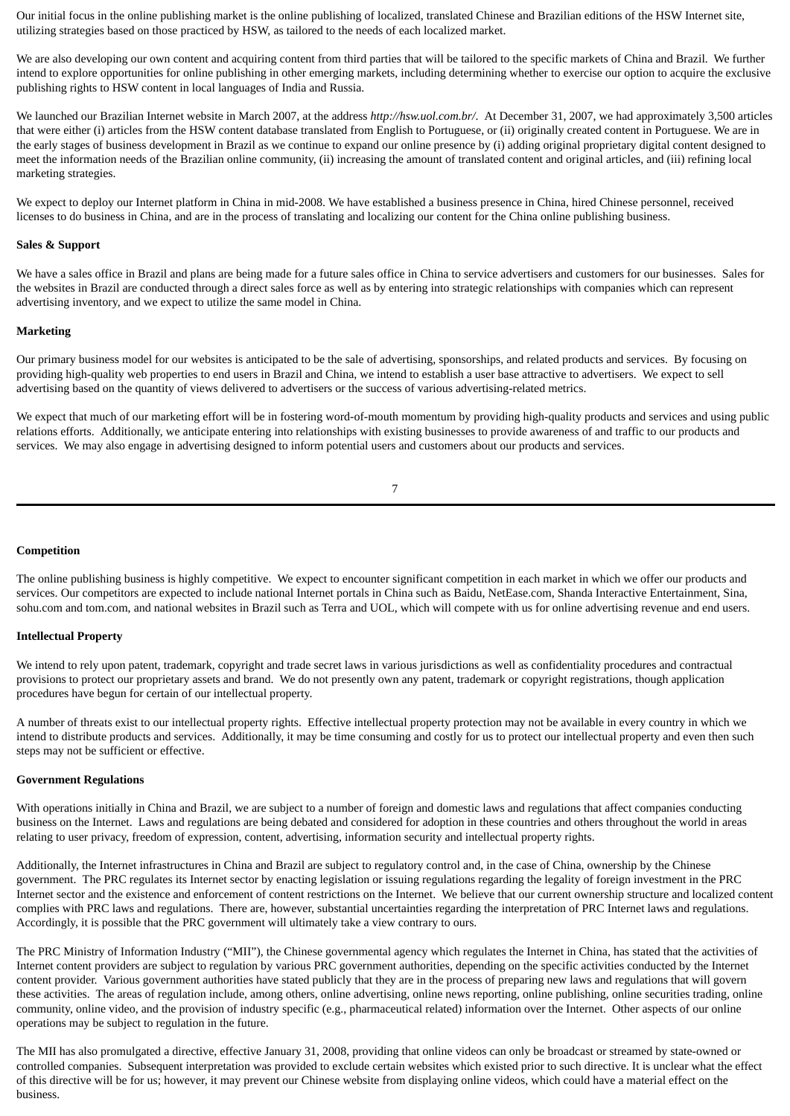Our initial focus in the online publishing market is the online publishing of localized, translated Chinese and Brazilian editions of the HSW Internet site, utilizing strategies based on those practiced by HSW, as tailored to the needs of each localized market.

We are also developing our own content and acquiring content from third parties that will be tailored to the specific markets of China and Brazil. We further intend to explore opportunities for online publishing in other emerging markets, including determining whether to exercise our option to acquire the exclusive publishing rights to HSW content in local languages of India and Russia.

We launched our Brazilian Internet website in March 2007, at the address *http://hsw.uol.com.br/*. At December 31, 2007, we had approximately 3,500 articles that were either (i) articles from the HSW content database translated from English to Portuguese, or (ii) originally created content in Portuguese. We are in the early stages of business development in Brazil as we continue to expand our online presence by (i) adding original proprietary digital content designed to meet the information needs of the Brazilian online community, (ii) increasing the amount of translated content and original articles, and (iii) refining local marketing strategies.

We expect to deploy our Internet platform in China in mid-2008. We have established a business presence in China, hired Chinese personnel, received licenses to do business in China, and are in the process of translating and localizing our content for the China online publishing business.

#### **Sales & Support**

We have a sales office in Brazil and plans are being made for a future sales office in China to service advertisers and customers for our businesses. Sales for the websites in Brazil are conducted through a direct sales force as well as by entering into strategic relationships with companies which can represent advertising inventory, and we expect to utilize the same model in China.

#### **Marketing**

Our primary business model for our websites is anticipated to be the sale of advertising, sponsorships, and related products and services. By focusing on providing high-quality web properties to end users in Brazil and China, we intend to establish a user base attractive to advertisers. We expect to sell advertising based on the quantity of views delivered to advertisers or the success of various advertising-related metrics.

We expect that much of our marketing effort will be in fostering word-of-mouth momentum by providing high-quality products and services and using public relations efforts. Additionally, we anticipate entering into relationships with existing businesses to provide awareness of and traffic to our products and services. We may also engage in advertising designed to inform potential users and customers about our products and services.

7

#### **Competition**

The online publishing business is highly competitive. We expect to encounter significant competition in each market in which we offer our products and services. Our competitors are expected to include national Internet portals in China such as Baidu, NetEase.com, Shanda Interactive Entertainment, Sina, sohu.com and tom.com, and national websites in Brazil such as Terra and UOL, which will compete with us for online advertising revenue and end users.

#### **Intellectual Property**

We intend to rely upon patent, trademark, copyright and trade secret laws in various jurisdictions as well as confidentiality procedures and contractual provisions to protect our proprietary assets and brand. We do not presently own any patent, trademark or copyright registrations, though application procedures have begun for certain of our intellectual property.

A number of threats exist to our intellectual property rights. Effective intellectual property protection may not be available in every country in which we intend to distribute products and services. Additionally, it may be time consuming and costly for us to protect our intellectual property and even then such steps may not be sufficient or effective.

#### **Government Regulations**

With operations initially in China and Brazil, we are subject to a number of foreign and domestic laws and regulations that affect companies conducting business on the Internet. Laws and regulations are being debated and considered for adoption in these countries and others throughout the world in areas relating to user privacy, freedom of expression, content, advertising, information security and intellectual property rights.

Additionally, the Internet infrastructures in China and Brazil are subject to regulatory control and, in the case of China, ownership by the Chinese government. The PRC regulates its Internet sector by enacting legislation or issuing regulations regarding the legality of foreign investment in the PRC Internet sector and the existence and enforcement of content restrictions on the Internet. We believe that our current ownership structure and localized content complies with PRC laws and regulations. There are, however, substantial uncertainties regarding the interpretation of PRC Internet laws and regulations. Accordingly, it is possible that the PRC government will ultimately take a view contrary to ours.

The PRC Ministry of Information Industry ("MII"), the Chinese governmental agency which regulates the Internet in China, has stated that the activities of Internet content providers are subject to regulation by various PRC government authorities, depending on the specific activities conducted by the Internet content provider. Various government authorities have stated publicly that they are in the process of preparing new laws and regulations that will govern these activities. The areas of regulation include, among others, online advertising, online news reporting, online publishing, online securities trading, online community, online video, and the provision of industry specific (e.g., pharmaceutical related) information over the Internet. Other aspects of our online operations may be subject to regulation in the future.

The MII has also promulgated a directive, effective January 31, 2008, providing that online videos can only be broadcast or streamed by state-owned or controlled companies. Subsequent interpretation was provided to exclude certain websites which existed prior to such directive. It is unclear what the effect of this directive will be for us; however, it may prevent our Chinese website from displaying online videos, which could have a material effect on the business.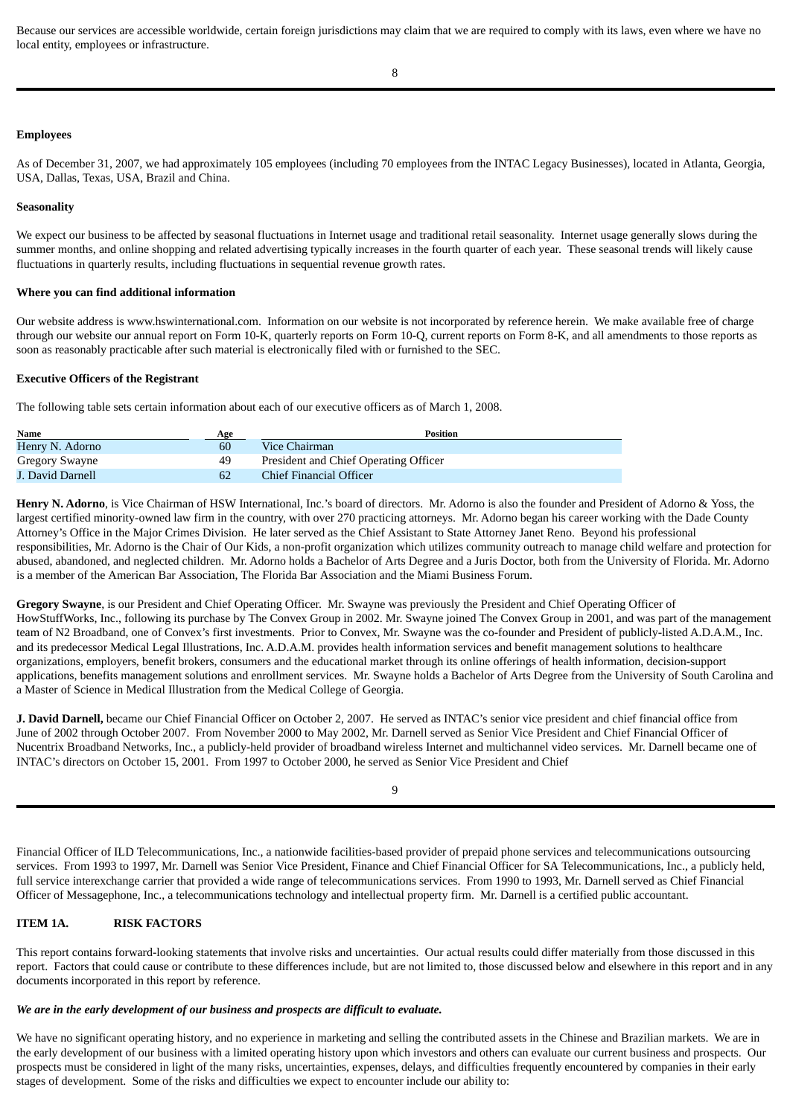Because our services are accessible worldwide, certain foreign jurisdictions may claim that we are required to comply with its laws, even where we have no local entity, employees or infrastructure.

8

#### **Employees**

As of December 31, 2007, we had approximately 105 employees (including 70 employees from the INTAC Legacy Businesses), located in Atlanta, Georgia, USA, Dallas, Texas, USA, Brazil and China.

#### **Seasonality**

We expect our business to be affected by seasonal fluctuations in Internet usage and traditional retail seasonality. Internet usage generally slows during the summer months, and online shopping and related advertising typically increases in the fourth quarter of each year. These seasonal trends will likely cause fluctuations in quarterly results, including fluctuations in sequential revenue growth rates.

#### **Where you can find additional information**

Our website address is www.hswinternational.com. Information on our website is not incorporated by reference herein. We make available free of charge through our website our annual report on Form 10-K, quarterly reports on Form 10-Q, current reports on Form 8-K, and all amendments to those reports as soon as reasonably practicable after such material is electronically filed with or furnished to the SEC.

#### **Executive Officers of the Registrant**

The following table sets certain information about each of our executive officers as of March 1, 2008.

| Name             | Age | <b>Position</b>                       |
|------------------|-----|---------------------------------------|
| Henry N. Adorno  | 60  | Vice Chairman                         |
| Gregory Swayne   | 49  | President and Chief Operating Officer |
| J. David Darnell | 62  | Chief Financial Officer               |

**Henry N. Adorno**, is Vice Chairman of HSW International, Inc.'s board of directors. Mr. Adorno is also the founder and President of Adorno & Yoss, the largest certified minority-owned law firm in the country, with over 270 practicing attorneys. Mr. Adorno began his career working with the Dade County Attorney's Office in the Major Crimes Division. He later served as the Chief Assistant to State Attorney Janet Reno. Beyond his professional responsibilities, Mr. Adorno is the Chair of Our Kids, a non-profit organization which utilizes community outreach to manage child welfare and protection for abused, abandoned, and neglected children. Mr. Adorno holds a Bachelor of Arts Degree and a Juris Doctor, both from the University of Florida. Mr. Adorno is a member of the American Bar Association, The Florida Bar Association and the Miami Business Forum.

**Gregory Swayne**, is our President and Chief Operating Officer. Mr. Swayne was previously the President and Chief Operating Officer of HowStuffWorks, Inc., following its purchase by The Convex Group in 2002. Mr. Swayne joined The Convex Group in 2001, and was part of the management team of N2 Broadband, one of Convex's first investments. Prior to Convex, Mr. Swayne was the co-founder and President of publicly-listed A.D.A.M., Inc. and its predecessor Medical Legal Illustrations, Inc. A.D.A.M. provides health information services and benefit management solutions to healthcare organizations, employers, benefit brokers, consumers and the educational market through its online offerings of health information, decision-support applications, benefits management solutions and enrollment services. Mr. Swayne holds a Bachelor of Arts Degree from the University of South Carolina and a Master of Science in Medical Illustration from the Medical College of Georgia.

**J. David Darnell,** became our Chief Financial Officer on October 2, 2007. He served as INTAC's senior vice president and chief financial office from June of 2002 through October 2007. From November 2000 to May 2002, Mr. Darnell served as Senior Vice President and Chief Financial Officer of Nucentrix Broadband Networks, Inc., a publicly-held provider of broadband wireless Internet and multichannel video services. Mr. Darnell became one of INTAC's directors on October 15, 2001. From 1997 to October 2000, he served as Senior Vice President and Chief

| I            |
|--------------|
| ć            |
| ٠            |
| ۰.<br>×<br>v |

Financial Officer of ILD Telecommunications, Inc., a nationwide facilities-based provider of prepaid phone services and telecommunications outsourcing services. From 1993 to 1997, Mr. Darnell was Senior Vice President, Finance and Chief Financial Officer for SA Telecommunications, Inc., a publicly held, full service interexchange carrier that provided a wide range of telecommunications services. From 1990 to 1993, Mr. Darnell served as Chief Financial Officer of Messagephone, Inc., a telecommunications technology and intellectual property firm. Mr. Darnell is a certified public accountant.

## <span id="page-6-0"></span>**ITEM 1A. RISK FACTORS**

This report contains forward-looking statements that involve risks and uncertainties. Our actual results could differ materially from those discussed in this report. Factors that could cause or contribute to these differences include, but are not limited to, those discussed below and elsewhere in this report and in any documents incorporated in this report by reference.

## *We are in the early development of our business and prospects are difficult to evaluate.*

We have no significant operating history, and no experience in marketing and selling the contributed assets in the Chinese and Brazilian markets. We are in the early development of our business with a limited operating history upon which investors and others can evaluate our current business and prospects. Our prospects must be considered in light of the many risks, uncertainties, expenses, delays, and difficulties frequently encountered by companies in their early stages of development. Some of the risks and difficulties we expect to encounter include our ability to: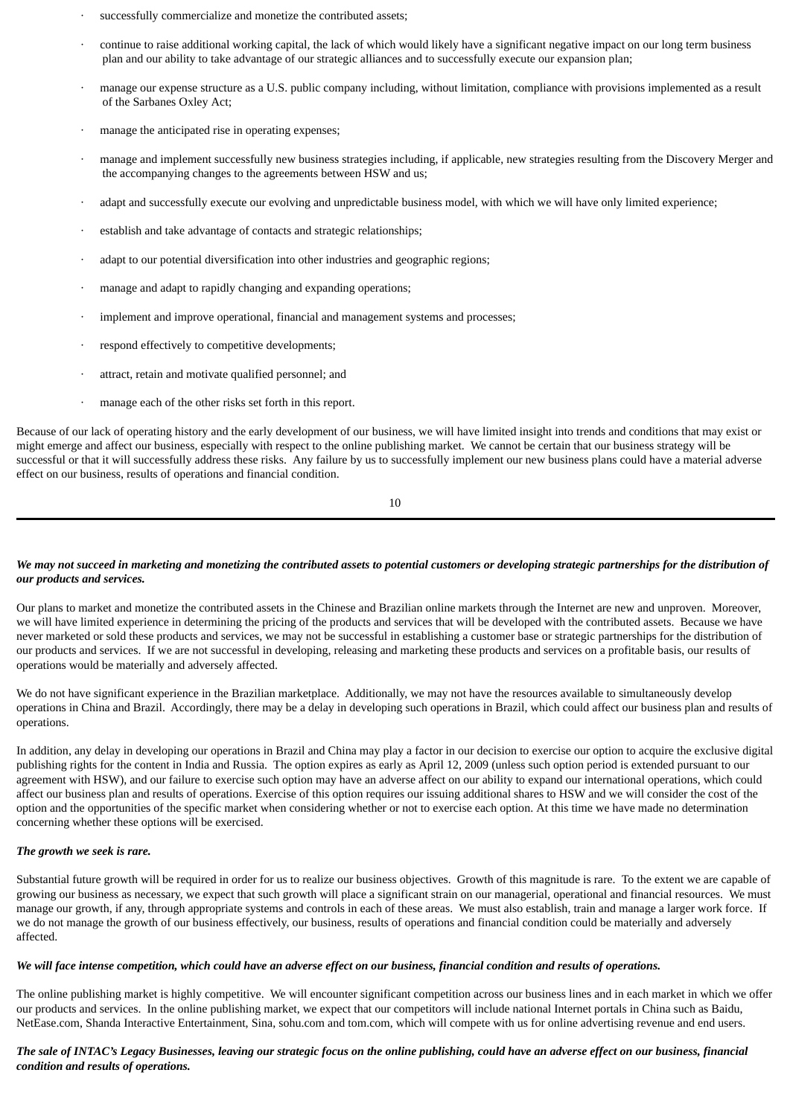- successfully commercialize and monetize the contributed assets;
- · continue to raise additional working capital, the lack of which would likely have a significant negative impact on our long term business plan and our ability to take advantage of our strategic alliances and to successfully execute our expansion plan;
- manage our expense structure as a U.S. public company including, without limitation, compliance with provisions implemented as a result of the Sarbanes Oxley Act;
- · manage the anticipated rise in operating expenses;
- · manage and implement successfully new business strategies including, if applicable, new strategies resulting from the Discovery Merger and the accompanying changes to the agreements between HSW and us;
- · adapt and successfully execute our evolving and unpredictable business model, with which we will have only limited experience;
- establish and take advantage of contacts and strategic relationships:
- adapt to our potential diversification into other industries and geographic regions;
- manage and adapt to rapidly changing and expanding operations;
- · implement and improve operational, financial and management systems and processes;
- respond effectively to competitive developments;
- attract, retain and motivate qualified personnel; and
- manage each of the other risks set forth in this report.

Because of our lack of operating history and the early development of our business, we will have limited insight into trends and conditions that may exist or might emerge and affect our business, especially with respect to the online publishing market. We cannot be certain that our business strategy will be successful or that it will successfully address these risks. Any failure by us to successfully implement our new business plans could have a material adverse effect on our business, results of operations and financial condition.

10

#### We may not succeed in marketing and monetizing the contributed assets to potential customers or developing strategic partnerships for the distribution of *our products and services.*

Our plans to market and monetize the contributed assets in the Chinese and Brazilian online markets through the Internet are new and unproven. Moreover, we will have limited experience in determining the pricing of the products and services that will be developed with the contributed assets. Because we have never marketed or sold these products and services, we may not be successful in establishing a customer base or strategic partnerships for the distribution of our products and services. If we are not successful in developing, releasing and marketing these products and services on a profitable basis, our results of operations would be materially and adversely affected.

We do not have significant experience in the Brazilian marketplace. Additionally, we may not have the resources available to simultaneously develop operations in China and Brazil. Accordingly, there may be a delay in developing such operations in Brazil, which could affect our business plan and results of operations.

In addition, any delay in developing our operations in Brazil and China may play a factor in our decision to exercise our option to acquire the exclusive digital publishing rights for the content in India and Russia. The option expires as early as April 12, 2009 (unless such option period is extended pursuant to our agreement with HSW), and our failure to exercise such option may have an adverse affect on our ability to expand our international operations, which could affect our business plan and results of operations. Exercise of this option requires our issuing additional shares to HSW and we will consider the cost of the option and the opportunities of the specific market when considering whether or not to exercise each option. At this time we have made no determination concerning whether these options will be exercised.

#### *The growth we seek is rare.*

Substantial future growth will be required in order for us to realize our business objectives. Growth of this magnitude is rare. To the extent we are capable of growing our business as necessary, we expect that such growth will place a significant strain on our managerial, operational and financial resources. We must manage our growth, if any, through appropriate systems and controls in each of these areas. We must also establish, train and manage a larger work force. If we do not manage the growth of our business effectively, our business, results of operations and financial condition could be materially and adversely affected.

#### We will face intense competition, which could have an adverse effect on our business, financial condition and results of operations.

The online publishing market is highly competitive. We will encounter significant competition across our business lines and in each market in which we offer our products and services. In the online publishing market, we expect that our competitors will include national Internet portals in China such as Baidu, NetEase.com, Shanda Interactive Entertainment, Sina, sohu.com and tom.com, which will compete with us for online advertising revenue and end users.

## The sale of INTAC's Legacy Businesses, leaving our strategic focus on the online publishing, could have an adverse effect on our business, financial *condition and results of operations.*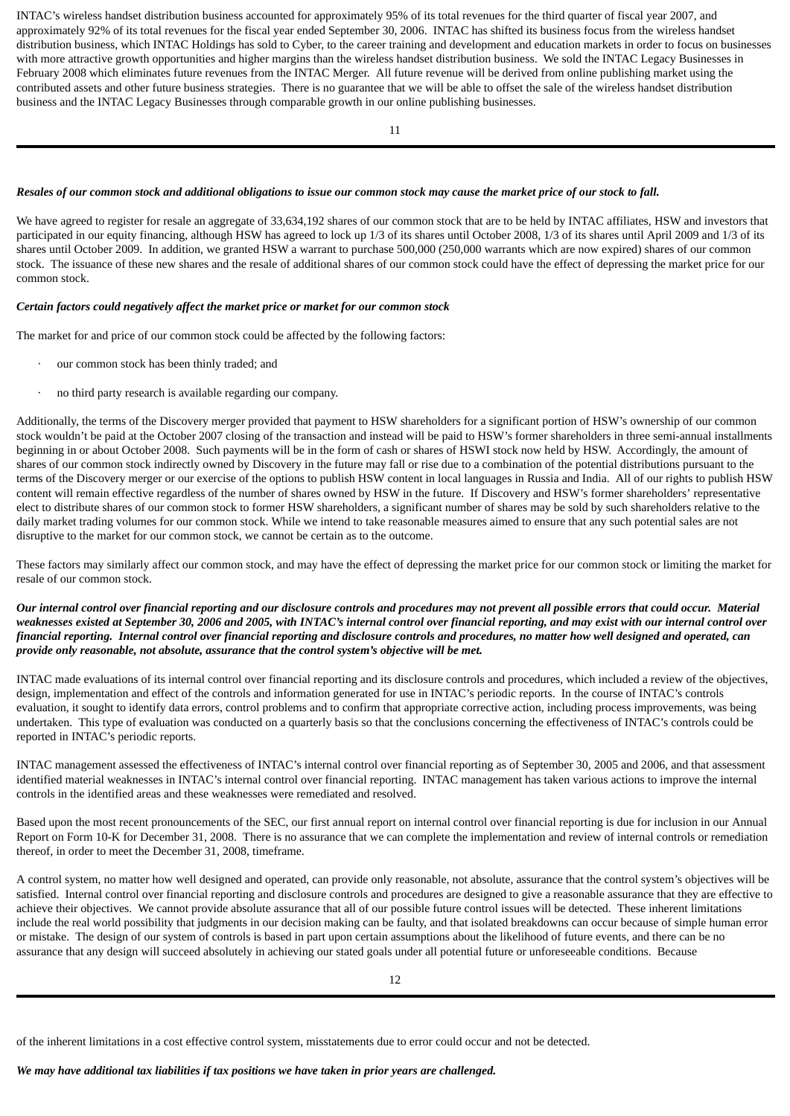INTAC's wireless handset distribution business accounted for approximately 95% of its total revenues for the third quarter of fiscal year 2007, and approximately 92% of its total revenues for the fiscal year ended September 30, 2006. INTAC has shifted its business focus from the wireless handset distribution business, which INTAC Holdings has sold to Cyber, to the career training and development and education markets in order to focus on businesses with more attractive growth opportunities and higher margins than the wireless handset distribution business. We sold the INTAC Legacy Businesses in February 2008 which eliminates future revenues from the INTAC Merger. All future revenue will be derived from online publishing market using the contributed assets and other future business strategies. There is no guarantee that we will be able to offset the sale of the wireless handset distribution business and the INTAC Legacy Businesses through comparable growth in our online publishing businesses.

## Resales of our common stock and additional obligations to issue our common stock may cause the market price of our stock to fall.

We have agreed to register for resale an aggregate of 33,634,192 shares of our common stock that are to be held by INTAC affiliates, HSW and investors that participated in our equity financing, although HSW has agreed to lock up 1/3 of its shares until October 2008, 1/3 of its shares until April 2009 and 1/3 of its shares until October 2009. In addition, we granted HSW a warrant to purchase 500,000 (250,000 warrants which are now expired) shares of our common stock. The issuance of these new shares and the resale of additional shares of our common stock could have the effect of depressing the market price for our common stock.

## *Certain factors could negatively affect the market price or market for our common stock*

The market for and price of our common stock could be affected by the following factors:

- our common stock has been thinly traded; and
- no third party research is available regarding our company.

Additionally, the terms of the Discovery merger provided that payment to HSW shareholders for a significant portion of HSW's ownership of our common stock wouldn't be paid at the October 2007 closing of the transaction and instead will be paid to HSW's former shareholders in three semi-annual installments beginning in or about October 2008. Such payments will be in the form of cash or shares of HSWI stock now held by HSW. Accordingly, the amount of shares of our common stock indirectly owned by Discovery in the future may fall or rise due to a combination of the potential distributions pursuant to the terms of the Discovery merger or our exercise of the options to publish HSW content in local languages in Russia and India. All of our rights to publish HSW content will remain effective regardless of the number of shares owned by HSW in the future. If Discovery and HSW's former shareholders' representative elect to distribute shares of our common stock to former HSW shareholders, a significant number of shares may be sold by such shareholders relative to the daily market trading volumes for our common stock. While we intend to take reasonable measures aimed to ensure that any such potential sales are not disruptive to the market for our common stock, we cannot be certain as to the outcome.

These factors may similarly affect our common stock, and may have the effect of depressing the market price for our common stock or limiting the market for resale of our common stock.

Our internal control over financial reporting and our disclosure controls and procedures may not prevent all possible errors that could occur. Material weaknesses existed at September 30, 2006 and 2005, with INTAC's internal control over financial reporting, and may exist with our internal control over financial reporting. Internal control over financial reporting and disclosure controls and procedures, no matter how well designed and operated, can *provide only reasonable, not absolute, assurance that the control system's objective will be met.*

INTAC made evaluations of its internal control over financial reporting and its disclosure controls and procedures, which included a review of the objectives, design, implementation and effect of the controls and information generated for use in INTAC's periodic reports. In the course of INTAC's controls evaluation, it sought to identify data errors, control problems and to confirm that appropriate corrective action, including process improvements, was being undertaken. This type of evaluation was conducted on a quarterly basis so that the conclusions concerning the effectiveness of INTAC's controls could be reported in INTAC's periodic reports.

INTAC management assessed the effectiveness of INTAC's internal control over financial reporting as of September 30, 2005 and 2006, and that assessment identified material weaknesses in INTAC's internal control over financial reporting. INTAC management has taken various actions to improve the internal controls in the identified areas and these weaknesses were remediated and resolved.

Based upon the most recent pronouncements of the SEC, our first annual report on internal control over financial reporting is due for inclusion in our Annual Report on Form 10-K for December 31, 2008. There is no assurance that we can complete the implementation and review of internal controls or remediation thereof, in order to meet the December 31, 2008, timeframe.

A control system, no matter how well designed and operated, can provide only reasonable, not absolute, assurance that the control system's objectives will be satisfied. Internal control over financial reporting and disclosure controls and procedures are designed to give a reasonable assurance that they are effective to achieve their objectives. We cannot provide absolute assurance that all of our possible future control issues will be detected. These inherent limitations include the real world possibility that judgments in our decision making can be faulty, and that isolated breakdowns can occur because of simple human error or mistake. The design of our system of controls is based in part upon certain assumptions about the likelihood of future events, and there can be no assurance that any design will succeed absolutely in achieving our stated goals under all potential future or unforeseeable conditions. Because

of the inherent limitations in a cost effective control system, misstatements due to error could occur and not be detected.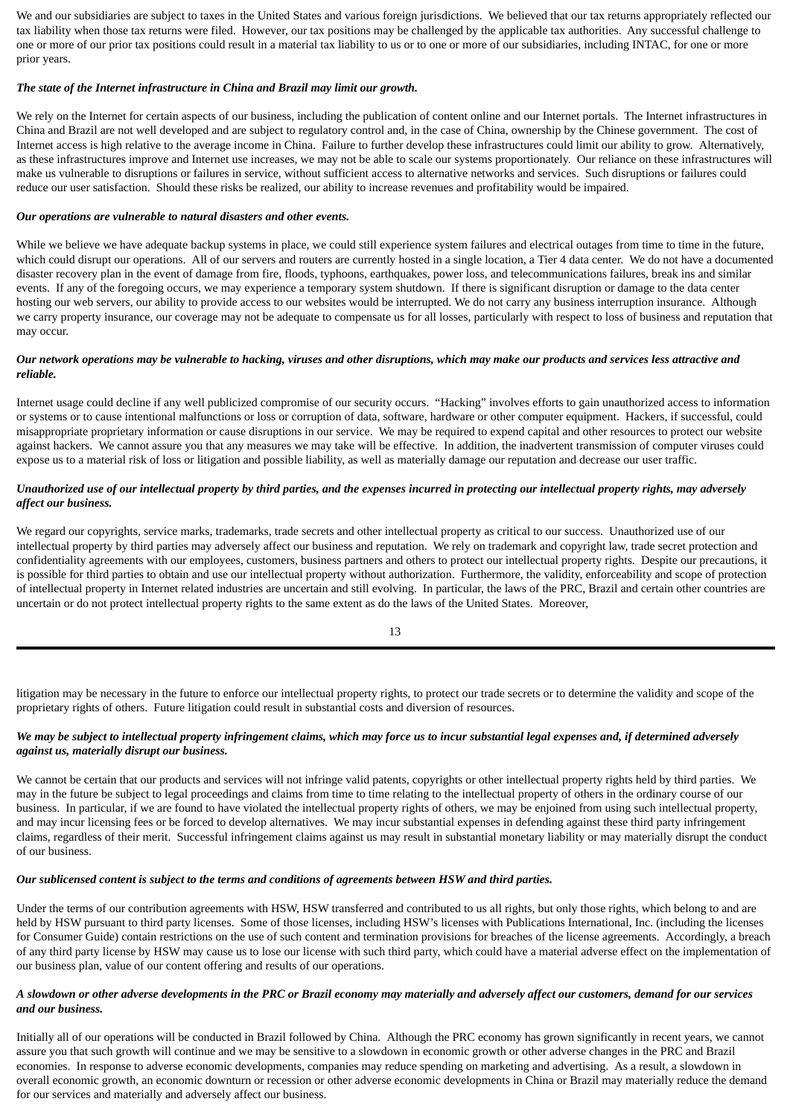We and our subsidiaries are subject to taxes in the United States and various foreign jurisdictions. We believed that our tax returns appropriately reflected our tax liability when those tax returns were filed. However, our tax positions may be challenged by the applicable tax authorities. Any successful challenge to one or more of our prior tax positions could result in a material tax liability to us or to one or more of our subsidiaries, including INTAC, for one or more prior years.

## *The state of the Internet infrastructure in China and Brazil may limit our growth.*

We rely on the Internet for certain aspects of our business, including the publication of content online and our Internet portals. The Internet infrastructures in China and Brazil are not well developed and are subject to regulatory control and, in the case of China, ownership by the Chinese government. The cost of Internet access is high relative to the average income in China. Failure to further develop these infrastructures could limit our ability to grow. Alternatively, as these infrastructures improve and Internet use increases, we may not be able to scale our systems proportionately. Our reliance on these infrastructures will make us vulnerable to disruptions or failures in service, without sufficient access to alternative networks and services. Such disruptions or failures could reduce our user satisfaction. Should these risks be realized, our ability to increase revenues and profitability would be impaired.

## *Our operations are vulnerable to natural disasters and other events.*

While we believe we have adequate backup systems in place, we could still experience system failures and electrical outages from time to time in the future, which could disrupt our operations. All of our servers and routers are currently hosted in a single location, a Tier 4 data center. We do not have a documented disaster recovery plan in the event of damage from fire, floods, typhoons, earthquakes, power loss, and telecommunications failures, break ins and similar events. If any of the foregoing occurs, we may experience a temporary system shutdown. If there is significant disruption or damage to the data center hosting our web servers, our ability to provide access to our websites would be interrupted. We do not carry any business interruption insurance. Although we carry property insurance, our coverage may not be adequate to compensate us for all losses, particularly with respect to loss of business and reputation that may occur.

### Our network operations may be vulnerable to hacking, viruses and other disruptions, which may make our products and services less attractive and *reliable.*

Internet usage could decline if any well publicized compromise of our security occurs. "Hacking" involves efforts to gain unauthorized access to information or systems or to cause intentional malfunctions or loss or corruption of data, software, hardware or other computer equipment. Hackers, if successful, could misappropriate proprietary information or cause disruptions in our service. We may be required to expend capital and other resources to protect our website against hackers. We cannot assure you that any measures we may take will be effective. In addition, the inadvertent transmission of computer viruses could expose us to a material risk of loss or litigation and possible liability, as well as materially damage our reputation and decrease our user traffic.

## Unauthorized use of our intellectual property by third parties, and the expenses incurred in protecting our intellectual property rights, may adversely *affect our business.*

We regard our copyrights, service marks, trademarks, trade secrets and other intellectual property as critical to our success. Unauthorized use of our intellectual property by third parties may adversely affect our business and reputation. We rely on trademark and copyright law, trade secret protection and confidentiality agreements with our employees, customers, business partners and others to protect our intellectual property rights. Despite our precautions, it is possible for third parties to obtain and use our intellectual property without authorization. Furthermore, the validity, enforceability and scope of protection of intellectual property in Internet related industries are uncertain and still evolving. In particular, the laws of the PRC, Brazil and certain other countries are uncertain or do not protect intellectual property rights to the same extent as do the laws of the United States. Moreover,

13

litigation may be necessary in the future to enforce our intellectual property rights, to protect our trade secrets or to determine the validity and scope of the proprietary rights of others. Future litigation could result in substantial costs and diversion of resources.

## We may be subject to intellectual property infringement claims, which may force us to incur substantial legal expenses and, if determined adversely *against us, materially disrupt our business.*

We cannot be certain that our products and services will not infringe valid patents, copyrights or other intellectual property rights held by third parties. We may in the future be subject to legal proceedings and claims from time to time relating to the intellectual property of others in the ordinary course of our business. In particular, if we are found to have violated the intellectual property rights of others, we may be enjoined from using such intellectual property, and may incur licensing fees or be forced to develop alternatives. We may incur substantial expenses in defending against these third party infringement claims, regardless of their merit. Successful infringement claims against us may result in substantial monetary liability or may materially disrupt the conduct of our business.

## Our sublicensed content is subject to the terms and conditions of agreements between HSW and third parties.

Under the terms of our contribution agreements with HSW, HSW transferred and contributed to us all rights, but only those rights, which belong to and are held by HSW pursuant to third party licenses. Some of those licenses, including HSW's licenses with Publications International, Inc. (including the licenses for Consumer Guide) contain restrictions on the use of such content and termination provisions for breaches of the license agreements. Accordingly, a breach of any third party license by HSW may cause us to lose our license with such third party, which could have a material adverse effect on the implementation of our business plan, value of our content offering and results of our operations.

#### A slowdown or other adverse developments in the PRC or Brazil economy may materially and adversely affect our customers, demand for our services *and our business.*

Initially all of our operations will be conducted in Brazil followed by China. Although the PRC economy has grown significantly in recent years, we cannot assure you that such growth will continue and we may be sensitive to a slowdown in economic growth or other adverse changes in the PRC and Brazil economies. In response to adverse economic developments, companies may reduce spending on marketing and advertising. As a result, a slowdown in overall economic growth, an economic downturn or recession or other adverse economic developments in China or Brazil may materially reduce the demand for our services and materially and adversely affect our business.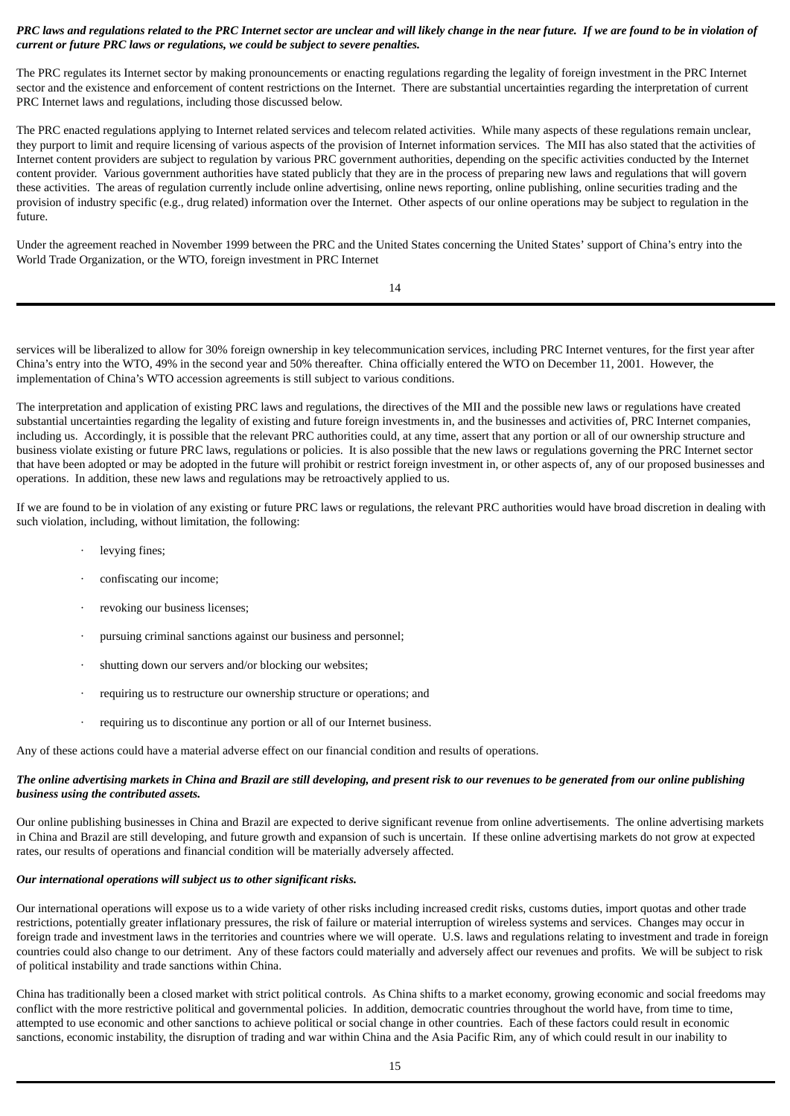## PRC laws and regulations related to the PRC Internet sector are unclear and will likely change in the near future. If we are found to be in violation of *current or future PRC laws or regulations, we could be subject to severe penalties.*

The PRC regulates its Internet sector by making pronouncements or enacting regulations regarding the legality of foreign investment in the PRC Internet sector and the existence and enforcement of content restrictions on the Internet. There are substantial uncertainties regarding the interpretation of current PRC Internet laws and regulations, including those discussed below.

The PRC enacted regulations applying to Internet related services and telecom related activities. While many aspects of these regulations remain unclear, they purport to limit and require licensing of various aspects of the provision of Internet information services. The MII has also stated that the activities of Internet content providers are subject to regulation by various PRC government authorities, depending on the specific activities conducted by the Internet content provider. Various government authorities have stated publicly that they are in the process of preparing new laws and regulations that will govern these activities. The areas of regulation currently include online advertising, online news reporting, online publishing, online securities trading and the provision of industry specific (e.g., drug related) information over the Internet. Other aspects of our online operations may be subject to regulation in the future.

Under the agreement reached in November 1999 between the PRC and the United States concerning the United States' support of China's entry into the World Trade Organization, or the WTO, foreign investment in PRC Internet

14

services will be liberalized to allow for 30% foreign ownership in key telecommunication services, including PRC Internet ventures, for the first year after China's entry into the WTO, 49% in the second year and 50% thereafter. China officially entered the WTO on December 11, 2001. However, the implementation of China's WTO accession agreements is still subject to various conditions.

The interpretation and application of existing PRC laws and regulations, the directives of the MII and the possible new laws or regulations have created substantial uncertainties regarding the legality of existing and future foreign investments in, and the businesses and activities of, PRC Internet companies, including us. Accordingly, it is possible that the relevant PRC authorities could, at any time, assert that any portion or all of our ownership structure and business violate existing or future PRC laws, regulations or policies. It is also possible that the new laws or regulations governing the PRC Internet sector that have been adopted or may be adopted in the future will prohibit or restrict foreign investment in, or other aspects of, any of our proposed businesses and operations. In addition, these new laws and regulations may be retroactively applied to us.

If we are found to be in violation of any existing or future PRC laws or regulations, the relevant PRC authorities would have broad discretion in dealing with such violation, including, without limitation, the following:

- levying fines;
- confiscating our income;
- revoking our business licenses;
- pursuing criminal sanctions against our business and personnel;
- shutting down our servers and/or blocking our websites;
- requiring us to restructure our ownership structure or operations; and
- requiring us to discontinue any portion or all of our Internet business.

Any of these actions could have a material adverse effect on our financial condition and results of operations.

## The online advertising markets in China and Brazil are still developing, and present risk to our revenues to be generated from our online publishing *business using the contributed assets.*

Our online publishing businesses in China and Brazil are expected to derive significant revenue from online advertisements. The online advertising markets in China and Brazil are still developing, and future growth and expansion of such is uncertain. If these online advertising markets do not grow at expected rates, our results of operations and financial condition will be materially adversely affected.

## *Our international operations will subject us to other significant risks.*

Our international operations will expose us to a wide variety of other risks including increased credit risks, customs duties, import quotas and other trade restrictions, potentially greater inflationary pressures, the risk of failure or material interruption of wireless systems and services. Changes may occur in foreign trade and investment laws in the territories and countries where we will operate. U.S. laws and regulations relating to investment and trade in foreign countries could also change to our detriment. Any of these factors could materially and adversely affect our revenues and profits. We will be subject to risk of political instability and trade sanctions within China.

China has traditionally been a closed market with strict political controls. As China shifts to a market economy, growing economic and social freedoms may conflict with the more restrictive political and governmental policies. In addition, democratic countries throughout the world have, from time to time, attempted to use economic and other sanctions to achieve political or social change in other countries. Each of these factors could result in economic sanctions, economic instability, the disruption of trading and war within China and the Asia Pacific Rim, any of which could result in our inability to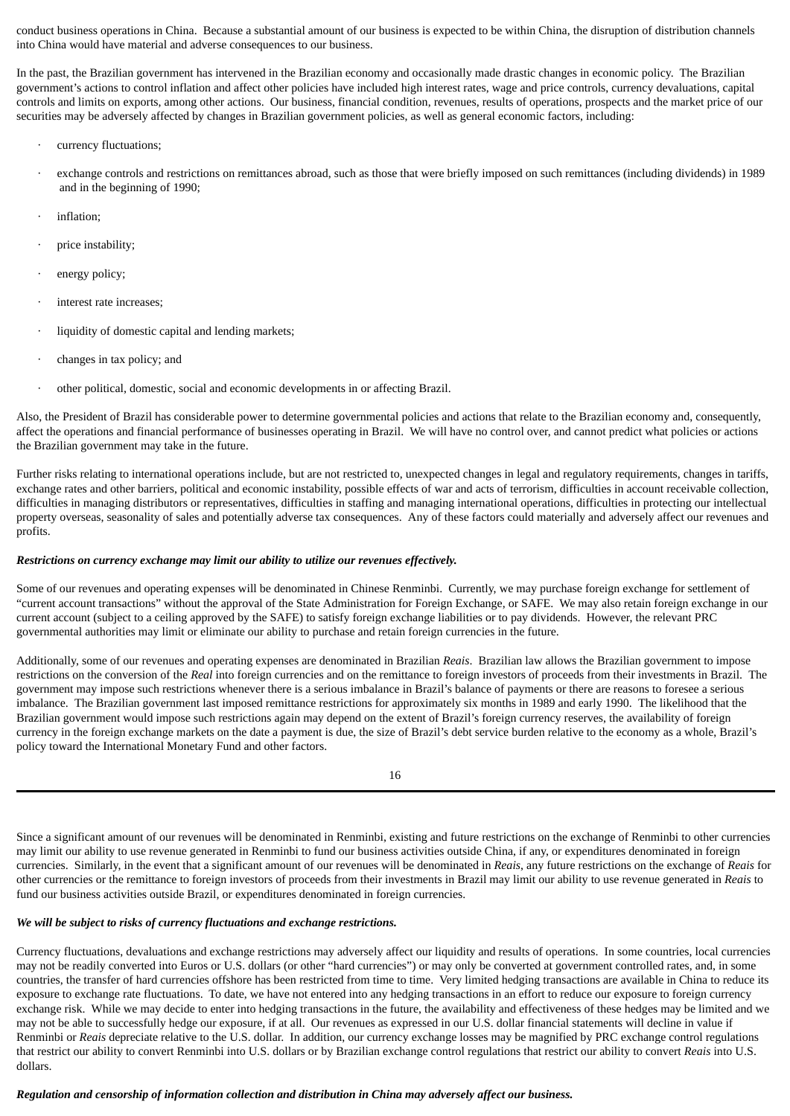conduct business operations in China. Because a substantial amount of our business is expected to be within China, the disruption of distribution channels into China would have material and adverse consequences to our business.

In the past, the Brazilian government has intervened in the Brazilian economy and occasionally made drastic changes in economic policy. The Brazilian government's actions to control inflation and affect other policies have included high interest rates, wage and price controls, currency devaluations, capital controls and limits on exports, among other actions. Our business, financial condition, revenues, results of operations, prospects and the market price of our securities may be adversely affected by changes in Brazilian government policies, as well as general economic factors, including:

- currency fluctuations;
- · exchange controls and restrictions on remittances abroad, such as those that were briefly imposed on such remittances (including dividends) in 1989 and in the beginning of 1990;
- · inflation;
- price instability;
- energy policy;
- · interest rate increases;
- liquidity of domestic capital and lending markets;
- · changes in tax policy; and
- other political, domestic, social and economic developments in or affecting Brazil.

Also, the President of Brazil has considerable power to determine governmental policies and actions that relate to the Brazilian economy and, consequently, affect the operations and financial performance of businesses operating in Brazil. We will have no control over, and cannot predict what policies or actions the Brazilian government may take in the future.

Further risks relating to international operations include, but are not restricted to, unexpected changes in legal and regulatory requirements, changes in tariffs, exchange rates and other barriers, political and economic instability, possible effects of war and acts of terrorism, difficulties in account receivable collection, difficulties in managing distributors or representatives, difficulties in staffing and managing international operations, difficulties in protecting our intellectual property overseas, seasonality of sales and potentially adverse tax consequences. Any of these factors could materially and adversely affect our revenues and profits.

## *Restrictions on currency exchange may limit our ability to utilize our revenues effectively.*

Some of our revenues and operating expenses will be denominated in Chinese Renminbi. Currently, we may purchase foreign exchange for settlement of "current account transactions" without the approval of the State Administration for Foreign Exchange, or SAFE. We may also retain foreign exchange in our current account (subject to a ceiling approved by the SAFE) to satisfy foreign exchange liabilities or to pay dividends. However, the relevant PRC governmental authorities may limit or eliminate our ability to purchase and retain foreign currencies in the future.

Additionally, some of our revenues and operating expenses are denominated in Brazilian *Reais*. Brazilian law allows the Brazilian government to impose restrictions on the conversion of the *Real* into foreign currencies and on the remittance to foreign investors of proceeds from their investments in Brazil. The government may impose such restrictions whenever there is a serious imbalance in Brazil's balance of payments or there are reasons to foresee a serious imbalance. The Brazilian government last imposed remittance restrictions for approximately six months in 1989 and early 1990. The likelihood that the Brazilian government would impose such restrictions again may depend on the extent of Brazil's foreign currency reserves, the availability of foreign currency in the foreign exchange markets on the date a payment is due, the size of Brazil's debt service burden relative to the economy as a whole, Brazil's policy toward the International Monetary Fund and other factors.

| . .         |
|-------------|
| ı<br>×<br>٧ |

Since a significant amount of our revenues will be denominated in Renminbi, existing and future restrictions on the exchange of Renminbi to other currencies may limit our ability to use revenue generated in Renminbi to fund our business activities outside China, if any, or expenditures denominated in foreign currencies. Similarly, in the event that a significant amount of our revenues will be denominated in *Reais*, any future restrictions on the exchange of *Reais* for other currencies or the remittance to foreign investors of proceeds from their investments in Brazil may limit our ability to use revenue generated in *Reais* to fund our business activities outside Brazil, or expenditures denominated in foreign currencies.

## *We will be subject to risks of currency fluctuations and exchange restrictions.*

Currency fluctuations, devaluations and exchange restrictions may adversely affect our liquidity and results of operations. In some countries, local currencies may not be readily converted into Euros or U.S. dollars (or other "hard currencies") or may only be converted at government controlled rates, and, in some countries, the transfer of hard currencies offshore has been restricted from time to time. Very limited hedging transactions are available in China to reduce its exposure to exchange rate fluctuations. To date, we have not entered into any hedging transactions in an effort to reduce our exposure to foreign currency exchange risk. While we may decide to enter into hedging transactions in the future, the availability and effectiveness of these hedges may be limited and we may not be able to successfully hedge our exposure, if at all. Our revenues as expressed in our U.S. dollar financial statements will decline in value if Renminbi or *Reais* depreciate relative to the U.S. dollar. In addition, our currency exchange losses may be magnified by PRC exchange control regulations that restrict our ability to convert Renminbi into U.S. dollars or by Brazilian exchange control regulations that restrict our ability to convert *Reais* into U.S. dollars.

## *Regulation and censorship of information collection and distribution in China may adversely affect our business.*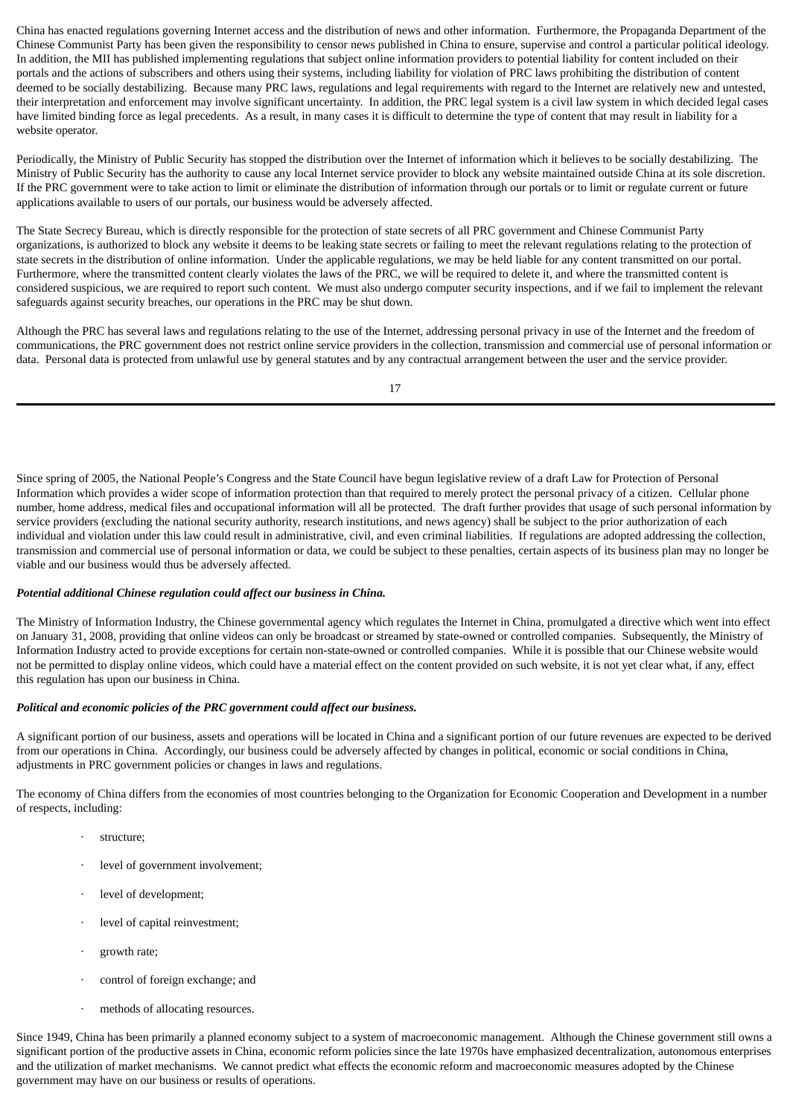China has enacted regulations governing Internet access and the distribution of news and other information. Furthermore, the Propaganda Department of the Chinese Communist Party has been given the responsibility to censor news published in China to ensure, supervise and control a particular political ideology. In addition, the MII has published implementing regulations that subject online information providers to potential liability for content included on their portals and the actions of subscribers and others using their systems, including liability for violation of PRC laws prohibiting the distribution of content deemed to be socially destabilizing. Because many PRC laws, regulations and legal requirements with regard to the Internet are relatively new and untested, their interpretation and enforcement may involve significant uncertainty. In addition, the PRC legal system is a civil law system in which decided legal cases have limited binding force as legal precedents. As a result, in many cases it is difficult to determine the type of content that may result in liability for a website operator.

Periodically, the Ministry of Public Security has stopped the distribution over the Internet of information which it believes to be socially destabilizing. The Ministry of Public Security has the authority to cause any local Internet service provider to block any website maintained outside China at its sole discretion. If the PRC government were to take action to limit or eliminate the distribution of information through our portals or to limit or regulate current or future applications available to users of our portals, our business would be adversely affected.

The State Secrecy Bureau, which is directly responsible for the protection of state secrets of all PRC government and Chinese Communist Party organizations, is authorized to block any website it deems to be leaking state secrets or failing to meet the relevant regulations relating to the protection of state secrets in the distribution of online information. Under the applicable regulations, we may be held liable for any content transmitted on our portal. Furthermore, where the transmitted content clearly violates the laws of the PRC, we will be required to delete it, and where the transmitted content is considered suspicious, we are required to report such content. We must also undergo computer security inspections, and if we fail to implement the relevant safeguards against security breaches, our operations in the PRC may be shut down.

Although the PRC has several laws and regulations relating to the use of the Internet, addressing personal privacy in use of the Internet and the freedom of communications, the PRC government does not restrict online service providers in the collection, transmission and commercial use of personal information or data. Personal data is protected from unlawful use by general statutes and by any contractual arrangement between the user and the service provider.

17

Since spring of 2005, the National People's Congress and the State Council have begun legislative review of a draft Law for Protection of Personal Information which provides a wider scope of information protection than that required to merely protect the personal privacy of a citizen. Cellular phone number, home address, medical files and occupational information will all be protected. The draft further provides that usage of such personal information by service providers (excluding the national security authority, research institutions, and news agency) shall be subject to the prior authorization of each individual and violation under this law could result in administrative, civil, and even criminal liabilities. If regulations are adopted addressing the collection, transmission and commercial use of personal information or data, we could be subject to these penalties, certain aspects of its business plan may no longer be viable and our business would thus be adversely affected.

## *Potential additional Chinese regulation could affect our business in China.*

The Ministry of Information Industry, the Chinese governmental agency which regulates the Internet in China, promulgated a directive which went into effect on January 31, 2008, providing that online videos can only be broadcast or streamed by state-owned or controlled companies. Subsequently, the Ministry of Information Industry acted to provide exceptions for certain non-state-owned or controlled companies. While it is possible that our Chinese website would not be permitted to display online videos, which could have a material effect on the content provided on such website, it is not yet clear what, if any, effect this regulation has upon our business in China.

## *Political and economic policies of the PRC government could affect our business.*

A significant portion of our business, assets and operations will be located in China and a significant portion of our future revenues are expected to be derived from our operations in China. Accordingly, our business could be adversely affected by changes in political, economic or social conditions in China, adjustments in PRC government policies or changes in laws and regulations.

The economy of China differs from the economies of most countries belonging to the Organization for Economic Cooperation and Development in a number of respects, including:

- structure;
- level of government involvement;
- level of development;
- level of capital reinvestment;
- · growth rate;
- control of foreign exchange; and
- methods of allocating resources.

Since 1949, China has been primarily a planned economy subject to a system of macroeconomic management. Although the Chinese government still owns a significant portion of the productive assets in China, economic reform policies since the late 1970s have emphasized decentralization, autonomous enterprises and the utilization of market mechanisms. We cannot predict what effects the economic reform and macroeconomic measures adopted by the Chinese government may have on our business or results of operations.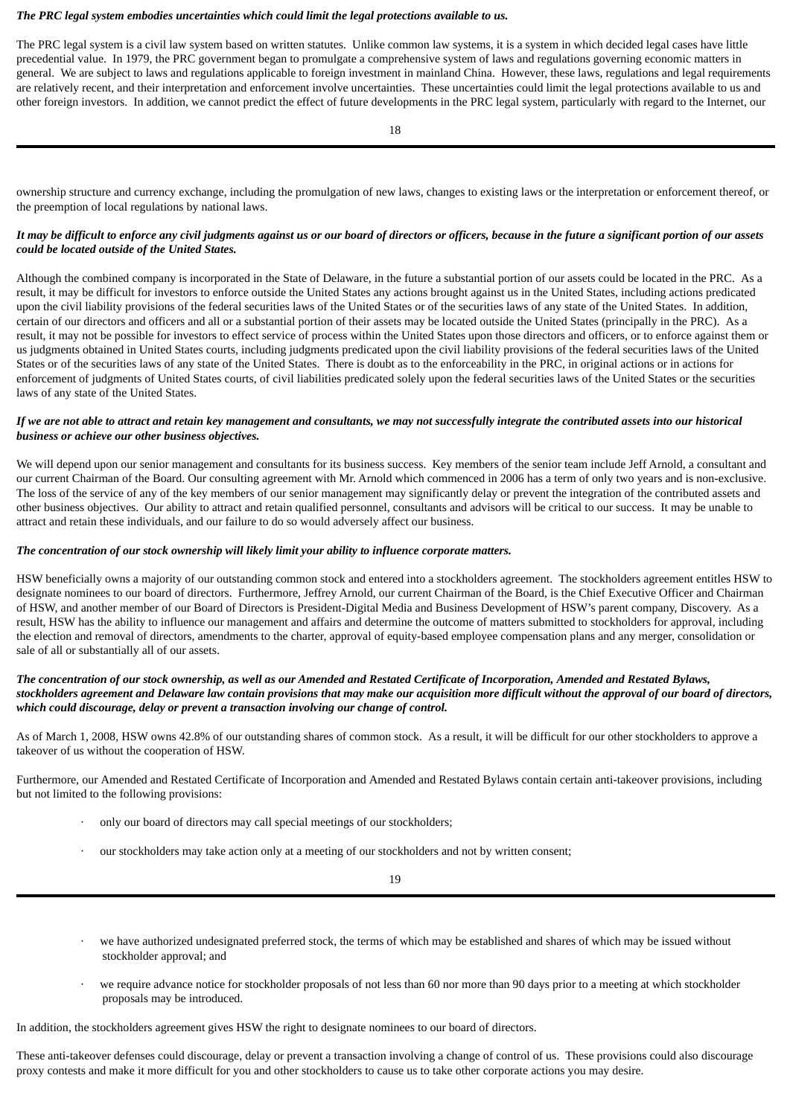#### *The PRC legal system embodies uncertainties which could limit the legal protections available to us.*

The PRC legal system is a civil law system based on written statutes. Unlike common law systems, it is a system in which decided legal cases have little precedential value. In 1979, the PRC government began to promulgate a comprehensive system of laws and regulations governing economic matters in general. We are subject to laws and regulations applicable to foreign investment in mainland China. However, these laws, regulations and legal requirements are relatively recent, and their interpretation and enforcement involve uncertainties. These uncertainties could limit the legal protections available to us and other foreign investors. In addition, we cannot predict the effect of future developments in the PRC legal system, particularly with regard to the Internet, our

18

ownership structure and currency exchange, including the promulgation of new laws, changes to existing laws or the interpretation or enforcement thereof, or the preemption of local regulations by national laws.

### It may be difficult to enforce any civil judgments against us or our board of directors or officers, because in the future a significant portion of our assets *could be located outside of the United States.*

Although the combined company is incorporated in the State of Delaware, in the future a substantial portion of our assets could be located in the PRC. As a result, it may be difficult for investors to enforce outside the United States any actions brought against us in the United States, including actions predicated upon the civil liability provisions of the federal securities laws of the United States or of the securities laws of any state of the United States. In addition, certain of our directors and officers and all or a substantial portion of their assets may be located outside the United States (principally in the PRC). As a result, it may not be possible for investors to effect service of process within the United States upon those directors and officers, or to enforce against them or us judgments obtained in United States courts, including judgments predicated upon the civil liability provisions of the federal securities laws of the United States or of the securities laws of any state of the United States. There is doubt as to the enforceability in the PRC, in original actions or in actions for enforcement of judgments of United States courts, of civil liabilities predicated solely upon the federal securities laws of the United States or the securities laws of any state of the United States.

## If we are not able to attract and retain key management and consultants, we may not successfully integrate the contributed assets into our historical *business or achieve our other business objectives.*

We will depend upon our senior management and consultants for its business success. Key members of the senior team include Jeff Arnold, a consultant and our current Chairman of the Board. Our consulting agreement with Mr. Arnold which commenced in 2006 has a term of only two years and is non-exclusive. The loss of the service of any of the key members of our senior management may significantly delay or prevent the integration of the contributed assets and other business objectives. Our ability to attract and retain qualified personnel, consultants and advisors will be critical to our success. It may be unable to attract and retain these individuals, and our failure to do so would adversely affect our business.

## *The concentration of our stock ownership will likely limit your ability to influence corporate matters.*

HSW beneficially owns a majority of our outstanding common stock and entered into a stockholders agreement. The stockholders agreement entitles HSW to designate nominees to our board of directors. Furthermore, Jeffrey Arnold, our current Chairman of the Board, is the Chief Executive Officer and Chairman of HSW, and another member of our Board of Directors is President-Digital Media and Business Development of HSW's parent company, Discovery. As a result, HSW has the ability to influence our management and affairs and determine the outcome of matters submitted to stockholders for approval, including the election and removal of directors, amendments to the charter, approval of equity-based employee compensation plans and any merger, consolidation or sale of all or substantially all of our assets.

## The concentration of our stock ownership, as well as our Amended and Restated Certificate of Incorporation, Amended and Restated Bylaws, stockholders agreement and Delaware law contain provisions that may make our acquisition more difficult without the approval of our board of directors, *which could discourage, delay or prevent a transaction involving our change of control.*

As of March 1, 2008, HSW owns 42.8% of our outstanding shares of common stock. As a result, it will be difficult for our other stockholders to approve a takeover of us without the cooperation of HSW.

Furthermore, our Amended and Restated Certificate of Incorporation and Amended and Restated Bylaws contain certain anti-takeover provisions, including but not limited to the following provisions:

- only our board of directors may call special meetings of our stockholders;
- our stockholders may take action only at a meeting of our stockholders and not by written consent;

19

- · we have authorized undesignated preferred stock, the terms of which may be established and shares of which may be issued without stockholder approval; and
- · we require advance notice for stockholder proposals of not less than 60 nor more than 90 days prior to a meeting at which stockholder proposals may be introduced.

In addition, the stockholders agreement gives HSW the right to designate nominees to our board of directors.

These anti-takeover defenses could discourage, delay or prevent a transaction involving a change of control of us. These provisions could also discourage proxy contests and make it more difficult for you and other stockholders to cause us to take other corporate actions you may desire.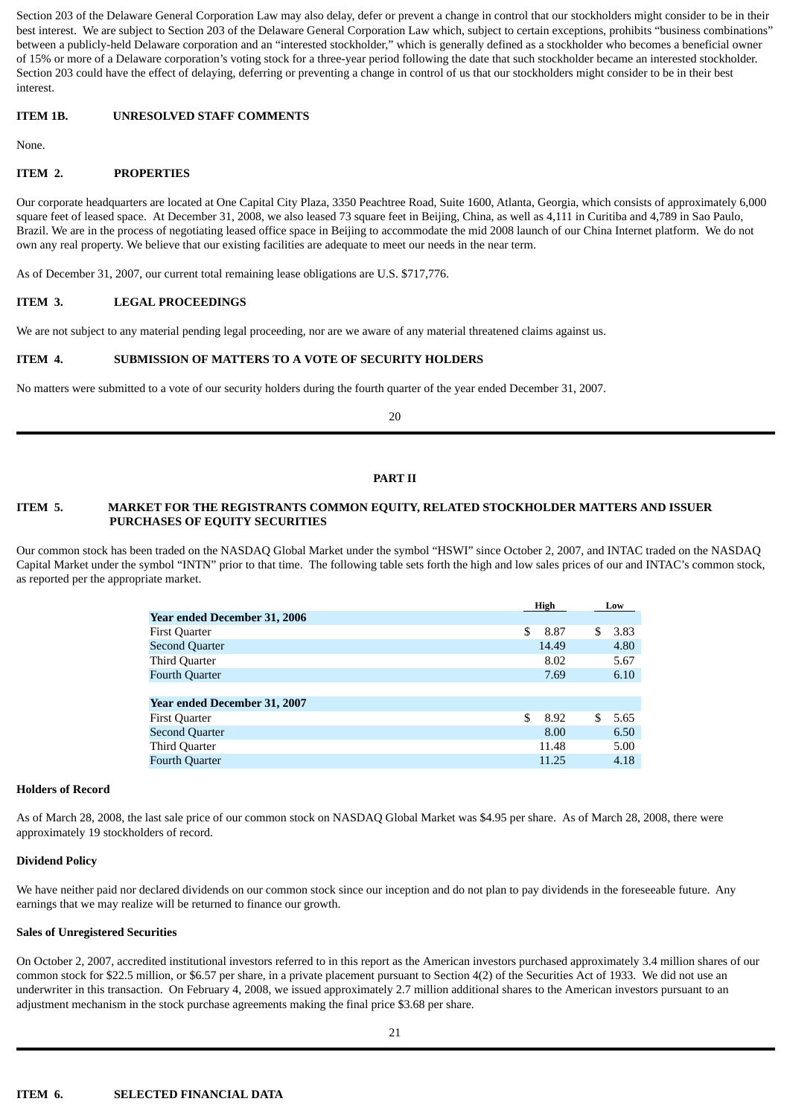Section 203 of the Delaware General Corporation Law may also delay, defer or prevent a change in control that our stockholders might consider to be in their best interest. We are subject to Section 203 of the Delaware General Corporation Law which, subject to certain exceptions, prohibits "business combinations" between a publicly-held Delaware corporation and an "interested stockholder," which is generally defined as a stockholder who becomes a beneficial owner of 15% or more of a Delaware corporation's voting stock for a three-year period following the date that such stockholder became an interested stockholder. Section 203 could have the effect of delaying, deferring or preventing a change in control of us that our stockholders might consider to be in their best interest.

## <span id="page-14-0"></span>**ITEM 1B. UNRESOLVED STAFF COMMENTS**

None.

#### <span id="page-14-1"></span>**ITEM 2. PROPERTIES**

Our corporate headquarters are located at One Capital City Plaza, 3350 Peachtree Road, Suite 1600, Atlanta, Georgia, which consists of approximately 6,000 square feet of leased space. At December 31, 2008, we also leased 73 square feet in Beijing, China, as well as 4,111 in Curitiba and 4,789 in Sao Paulo, Brazil. We are in the process of negotiating leased office space in Beijing to accommodate the mid 2008 launch of our China Internet platform. We do not own any real property. We believe that our existing facilities are adequate to meet our needs in the near term.

As of December 31, 2007, our current total remaining lease obligations are U.S. \$717,776.

#### **ITEM 3. LEGAL PROCEEDINGS**

We are not subject to any material pending legal proceeding, nor are we aware of any material threatened claims against us.

#### **ITEM 4. SUBMISSION OF MATTERS TO A VOTE OF SECURITY HOLDERS**

No matters were submitted to a vote of our security holders during the fourth quarter of the year ended December 31, 2007.

<span id="page-14-3"></span><span id="page-14-2"></span>20

#### <span id="page-14-5"></span><span id="page-14-4"></span>**PART II**

### **ITEM 5. MARKET FOR THE REGISTRANTS COMMON EQUITY, RELATED STOCKHOLDER MATTERS AND ISSUER PURCHASES OF EQUITY SECURITIES**

Our common stock has been traded on the NASDAQ Global Market under the symbol "HSWI" since October 2, 2007, and INTAC traded on the NASDAQ Capital Market under the symbol "INTN" prior to that time. The following table sets forth the high and low sales prices of our and INTAC's common stock, as reported per the appropriate market.

|                                     | High       | Low        |
|-------------------------------------|------------|------------|
| Year ended December 31, 2006        |            |            |
| <b>First Quarter</b>                | \$<br>8.87 | \$<br>3.83 |
| <b>Second Quarter</b>               | 14.49      | 4.80       |
| Third Quarter                       | 8.02       | 5.67       |
| <b>Fourth Quarter</b>               | 7.69       | 6.10       |
|                                     |            |            |
| <b>Year ended December 31, 2007</b> |            |            |
| <b>First Quarter</b>                | \$<br>8.92 | \$<br>5.65 |
| <b>Second Quarter</b>               | 8.00       | 6.50       |
| <b>Third Quarter</b>                | 11.48      | 5.00       |
| <b>Fourth Quarter</b>               | 11.25      | 4.18       |

#### **Holders of Record**

As of March 28, 2008, the last sale price of our common stock on NASDAQ Global Market was \$4.95 per share. As of March 28, 2008, there were approximately 19 stockholders of record.

#### **Dividend Policy**

We have neither paid nor declared dividends on our common stock since our inception and do not plan to pay dividends in the foreseeable future. Any earnings that we may realize will be returned to finance our growth.

#### **Sales of Unregistered Securities**

<span id="page-14-6"></span>On October 2, 2007, accredited institutional investors referred to in this report as the American investors purchased approximately 3.4 million shares of our common stock for \$22.5 million, or \$6.57 per share, in a private placement pursuant to Section 4(2) of the Securities Act of 1933. We did not use an underwriter in this transaction. On February 4, 2008, we issued approximately 2.7 million additional shares to the American investors pursuant to an adjustment mechanism in the stock purchase agreements making the final price \$3.68 per share.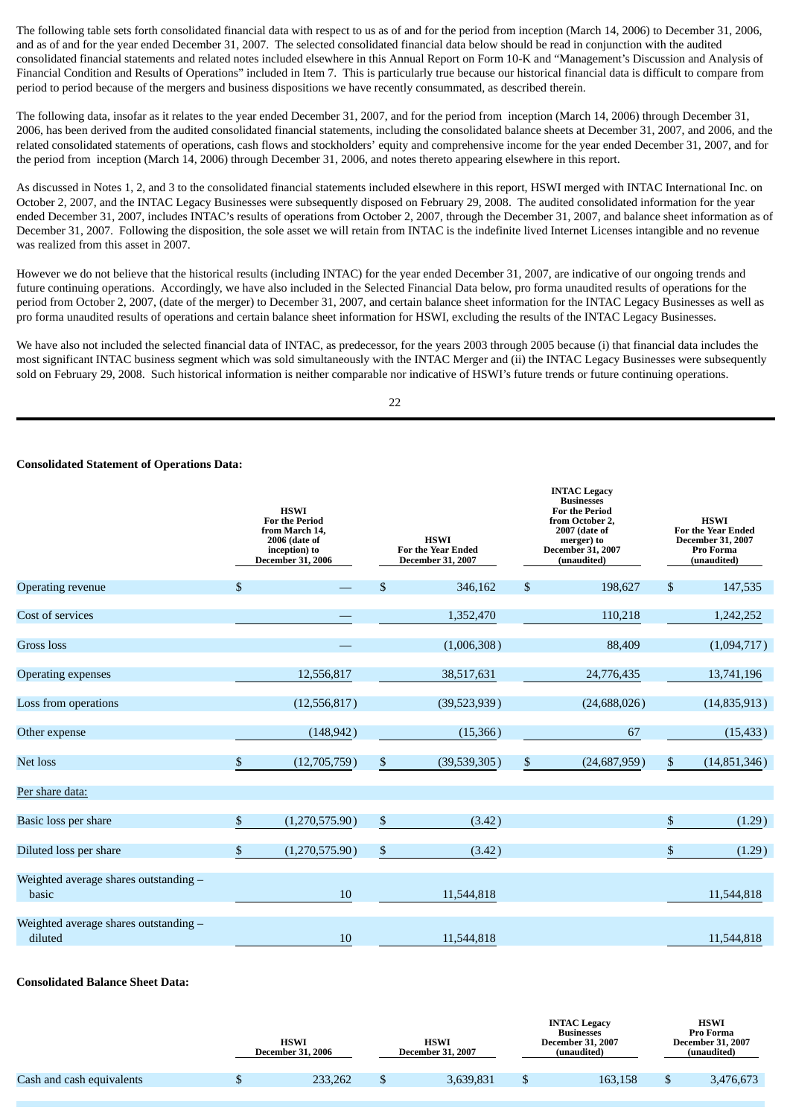The following table sets forth consolidated financial data with respect to us as of and for the period from inception (March 14, 2006) to December 31, 2006, and as of and for the year ended December 31, 2007. The selected consolidated financial data below should be read in conjunction with the audited consolidated financial statements and related notes included elsewhere in this Annual Report on Form 10-K and "Management's Discussion and Analysis of Financial Condition and Results of Operations" included in Item 7. This is particularly true because our historical financial data is difficult to compare from period to period because of the mergers and business dispositions we have recently consummated, as described therein.

The following data, insofar as it relates to the year ended December 31, 2007, and for the period from inception (March 14, 2006) through December 31, 2006, has been derived from the audited consolidated financial statements, including the consolidated balance sheets at December 31, 2007, and 2006, and the related consolidated statements of operations, cash flows and stockholders' equity and comprehensive income for the year ended December 31, 2007, and for the period from inception (March 14, 2006) through December 31, 2006, and notes thereto appearing elsewhere in this report.

As discussed in Notes 1, 2, and 3 to the consolidated financial statements included elsewhere in this report, HSWI merged with INTAC International Inc. on October 2, 2007, and the INTAC Legacy Businesses were subsequently disposed on February 29, 2008. The audited consolidated information for the year ended December 31, 2007, includes INTAC's results of operations from October 2, 2007, through the December 31, 2007, and balance sheet information as of December 31, 2007. Following the disposition, the sole asset we will retain from INTAC is the indefinite lived Internet Licenses intangible and no revenue was realized from this asset in 2007.

However we do not believe that the historical results (including INTAC) for the year ended December 31, 2007, are indicative of our ongoing trends and future continuing operations. Accordingly, we have also included in the Selected Financial Data below, pro forma unaudited results of operations for the period from October 2, 2007, (date of the merger) to December 31, 2007, and certain balance sheet information for the INTAC Legacy Businesses as well as pro forma unaudited results of operations and certain balance sheet information for HSWI, excluding the results of the INTAC Legacy Businesses.

We have also not included the selected financial data of INTAC, as predecessor, for the years 2003 through 2005 because (i) that financial data includes the most significant INTAC business segment which was sold simultaneously with the INTAC Merger and (ii) the INTAC Legacy Businesses were subsequently sold on February 29, 2008. Such historical information is neither comparable nor indicative of HSWI's future trends or future continuing operations.

 $22$ 

#### **Consolidated Statement of Operations Data:**

|                                                  | <b>HSWI</b><br><b>For the Period</b><br>from March 14,<br>2006 (date of<br>inception) to<br><b>December 31, 2006</b> |      | <b>HSWI</b><br><b>For the Year Ended</b><br><b>December 31, 2007</b> |                | <b>INTAC Legacy</b><br><b>Businesses</b><br><b>For the Period</b><br>from October 2,<br>2007 (date of<br>merger) to<br><b>December 31, 2007</b><br>(unaudited) | <b>HSWI</b><br>For the Year Ended<br><b>December 31, 2007</b><br>Pro Forma<br>(unaudited) |                |  |
|--------------------------------------------------|----------------------------------------------------------------------------------------------------------------------|------|----------------------------------------------------------------------|----------------|----------------------------------------------------------------------------------------------------------------------------------------------------------------|-------------------------------------------------------------------------------------------|----------------|--|
| Operating revenue                                | \$                                                                                                                   | $\$$ | 346,162                                                              | $\mathfrak{S}$ | 198,627                                                                                                                                                        | $\mathfrak{S}$                                                                            | 147,535        |  |
| Cost of services                                 |                                                                                                                      |      | 1,352,470                                                            |                | 110,218                                                                                                                                                        |                                                                                           | 1,242,252      |  |
| Gross loss                                       |                                                                                                                      |      | (1,006,308)                                                          |                | 88,409                                                                                                                                                         |                                                                                           | (1,094,717)    |  |
| <b>Operating expenses</b>                        | 12,556,817                                                                                                           |      | 38,517,631                                                           |                | 24,776,435                                                                                                                                                     |                                                                                           | 13,741,196     |  |
| Loss from operations                             | (12, 556, 817)                                                                                                       |      | (39,523,939)                                                         |                | (24, 688, 026)                                                                                                                                                 |                                                                                           | (14, 835, 913) |  |
| Other expense                                    | (148, 942)                                                                                                           |      | (15,366)                                                             |                | 67                                                                                                                                                             |                                                                                           | (15, 433)      |  |
| Net loss                                         | \$<br>(12,705,759)                                                                                                   | \$   | (39,539,305)                                                         | $\mathbb{S}$   | (24, 687, 959)                                                                                                                                                 | $\mathfrak{S}$                                                                            | (14,851,346)   |  |
| Per share data:                                  |                                                                                                                      |      |                                                                      |                |                                                                                                                                                                |                                                                                           |                |  |
| Basic loss per share                             | \$<br>(1,270,575.90)                                                                                                 | \$   | (3.42)                                                               |                |                                                                                                                                                                | \$                                                                                        | (1.29)         |  |
| Diluted loss per share                           | \$<br>(1,270,575.90)                                                                                                 | \$   | (3.42)                                                               |                |                                                                                                                                                                | $\$$                                                                                      | (1.29)         |  |
| Weighted average shares outstanding -<br>basic   | 10                                                                                                                   |      | 11,544,818                                                           |                |                                                                                                                                                                |                                                                                           | 11,544,818     |  |
| Weighted average shares outstanding -<br>diluted | 10                                                                                                                   |      | 11,544,818                                                           |                |                                                                                                                                                                |                                                                                           | 11,544,818     |  |
|                                                  |                                                                                                                      |      |                                                                      |                |                                                                                                                                                                |                                                                                           |                |  |

**Consolidated Balance Sheet Data:**

|                           | <b>HSWI</b><br><b>December 31, 2006</b> | <b>HSWI</b><br><b>December 31, 2007</b> | <b>INTAC Legacy</b><br><b>Businesses</b><br><b>December 31, 2007</b><br>(unaudited) | <b>HSWI</b><br>Pro Forma<br><b>December 31, 2007</b><br>(unaudited) |
|---------------------------|-----------------------------------------|-----------------------------------------|-------------------------------------------------------------------------------------|---------------------------------------------------------------------|
| Cash and cash equivalents | 233,262                                 | 3.639.831                               | 163.158                                                                             | 3,476,673                                                           |
|                           |                                         |                                         |                                                                                     |                                                                     |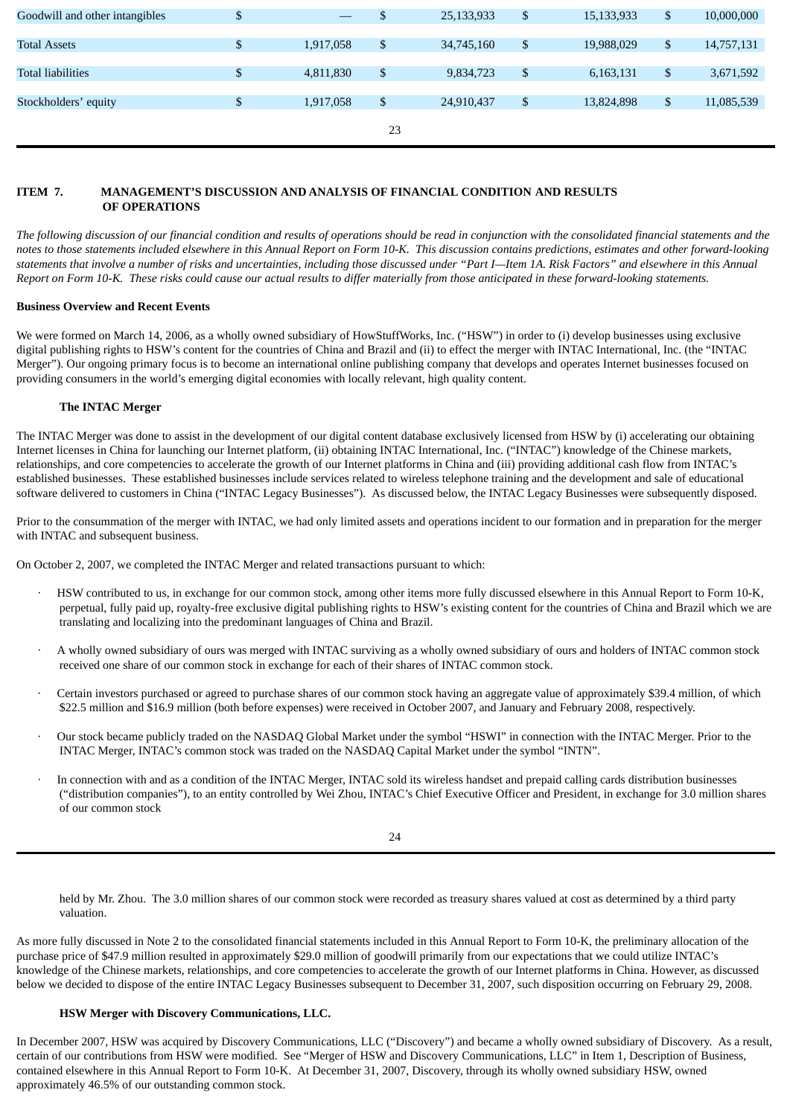| Goodwill and other intangibles | \$<br>$\overbrace{\phantom{12333}}$ | \$ | 25,133,933 | \$<br>15,133,933 | <sup>\$</sup> | 10,000,000 |
|--------------------------------|-------------------------------------|----|------------|------------------|---------------|------------|
|                                |                                     |    |            |                  |               |            |
| <b>Total Assets</b>            | \$<br>1,917,058                     | \$ | 34,745,160 | \$<br>19,988,029 | <sup>\$</sup> | 14,757,131 |
|                                |                                     |    |            |                  |               |            |
| <b>Total liabilities</b>       | \$<br>4,811,830                     | \$ | 9,834,723  | \$<br>6,163,131  | <sup>\$</sup> | 3,671,592  |
|                                |                                     |    |            |                  |               |            |
| Stockholders' equity           | \$<br>1,917,058                     | \$ | 24,910,437 | \$<br>13,824,898 | \$            | 11,085,539 |
|                                |                                     |    |            |                  |               |            |
|                                |                                     | 23 |            |                  |               |            |
|                                |                                     |    |            |                  |               |            |

## <span id="page-16-0"></span>**ITEM 7. MANAGEMENT'S DISCUSSION AND ANALYSIS OF FINANCIAL CONDITION AND RESULTS OF OPERATIONS**

The following discussion of our financial condition and results of operations should be read in conjunction with the consolidated financial statements and the notes to those statements included elsewhere in this Annual Report on Form 10-K. This discussion contains predictions, estimates and other forward-looking statements that involve a number of risks and uncertainties, including those discussed under "Part I—Item 1A. Risk Factors" and elsewhere in this Annual Report on Form 10-K. These risks could cause our actual results to differ materially from those anticipated in these forward-looking statements.

## **Business Overview and Recent Events**

We were formed on March 14, 2006, as a wholly owned subsidiary of HowStuffWorks, Inc. ("HSW") in order to (i) develop businesses using exclusive digital publishing rights to HSW's content for the countries of China and Brazil and (ii) to effect the merger with INTAC International, Inc. (the "INTAC Merger"). Our ongoing primary focus is to become an international online publishing company that develops and operates Internet businesses focused on providing consumers in the world's emerging digital economies with locally relevant, high quality content.

## **The INTAC Merger**

The INTAC Merger was done to assist in the development of our digital content database exclusively licensed from HSW by (i) accelerating our obtaining Internet licenses in China for launching our Internet platform, (ii) obtaining INTAC International, Inc. ("INTAC") knowledge of the Chinese markets, relationships, and core competencies to accelerate the growth of our Internet platforms in China and (iii) providing additional cash flow from INTAC's established businesses. These established businesses include services related to wireless telephone training and the development and sale of educational software delivered to customers in China ("INTAC Legacy Businesses"). As discussed below, the INTAC Legacy Businesses were subsequently disposed.

Prior to the consummation of the merger with INTAC, we had only limited assets and operations incident to our formation and in preparation for the merger with INTAC and subsequent business.

On October 2, 2007, we completed the INTAC Merger and related transactions pursuant to which:

- · HSW contributed to us, in exchange for our common stock, among other items more fully discussed elsewhere in this Annual Report to Form 10-K, perpetual, fully paid up, royalty-free exclusive digital publishing rights to HSW's existing content for the countries of China and Brazil which we are translating and localizing into the predominant languages of China and Brazil.
- · A wholly owned subsidiary of ours was merged with INTAC surviving as a wholly owned subsidiary of ours and holders of INTAC common stock received one share of our common stock in exchange for each of their shares of INTAC common stock.
- · Certain investors purchased or agreed to purchase shares of our common stock having an aggregate value of approximately \$39.4 million, of which \$22.5 million and \$16.9 million (both before expenses) were received in October 2007, and January and February 2008, respectively.
- · Our stock became publicly traded on the NASDAQ Global Market under the symbol "HSWI" in connection with the INTAC Merger. Prior to the INTAC Merger, INTAC's common stock was traded on the NASDAQ Capital Market under the symbol "INTN".
- In connection with and as a condition of the INTAC Merger, INTAC sold its wireless handset and prepaid calling cards distribution businesses ("distribution companies"), to an entity controlled by Wei Zhou, INTAC's Chief Executive Officer and President, in exchange for 3.0 million shares of our common stock

24

 held by Mr. Zhou. The 3.0 million shares of our common stock were recorded as treasury shares valued at cost as determined by a third party valuation.

As more fully discussed in Note 2 to the consolidated financial statements included in this Annual Report to Form 10-K, the preliminary allocation of the purchase price of \$47.9 million resulted in approximately \$29.0 million of goodwill primarily from our expectations that we could utilize INTAC's knowledge of the Chinese markets, relationships, and core competencies to accelerate the growth of our Internet platforms in China. However, as discussed below we decided to dispose of the entire INTAC Legacy Businesses subsequent to December 31, 2007, such disposition occurring on February 29, 2008.

## **HSW Merger with Discovery Communications, LLC.**

In December 2007, HSW was acquired by Discovery Communications, LLC ("Discovery") and became a wholly owned subsidiary of Discovery. As a result, certain of our contributions from HSW were modified. See "Merger of HSW and Discovery Communications, LLC" in Item 1, Description of Business, contained elsewhere in this Annual Report to Form 10-K. At December 31, 2007, Discovery, through its wholly owned subsidiary HSW, owned approximately 46.5% of our outstanding common stock.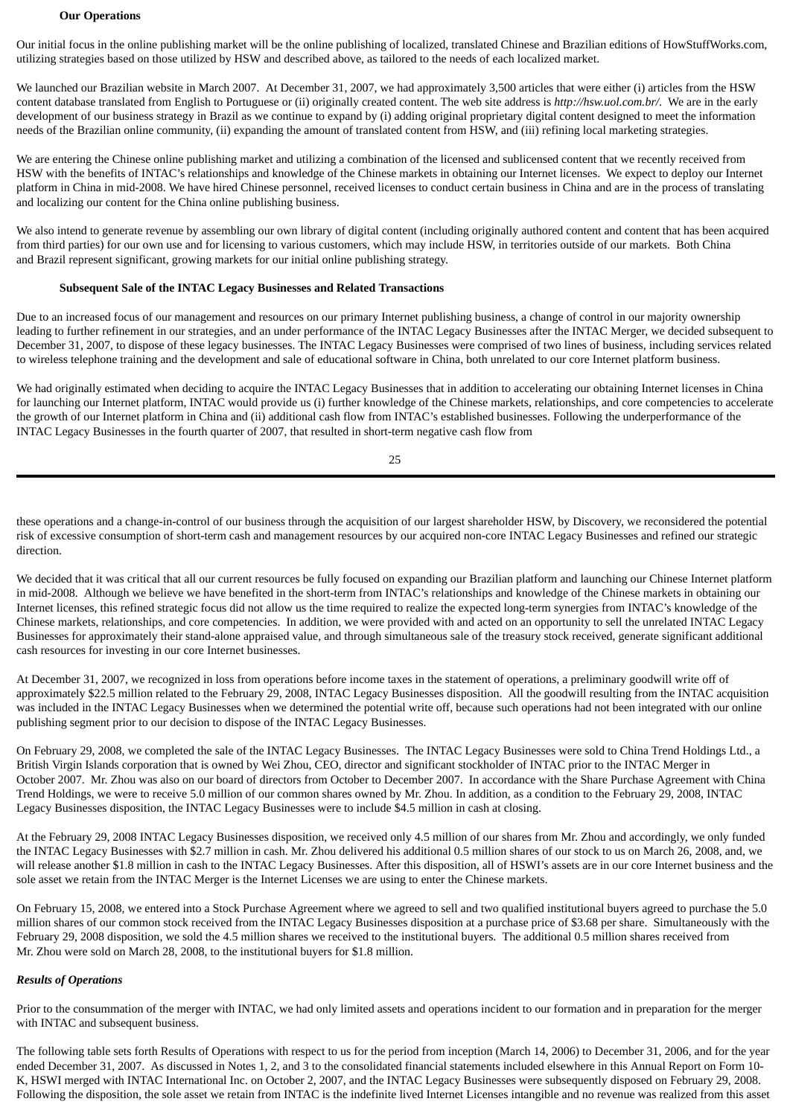## **Our Operations**

Our initial focus in the online publishing market will be the online publishing of localized, translated Chinese and Brazilian editions of HowStuffWorks.com, utilizing strategies based on those utilized by HSW and described above, as tailored to the needs of each localized market.

We launched our Brazilian website in March 2007. At December 31, 2007, we had approximately 3,500 articles that were either (i) articles from the HSW content database translated from English to Portuguese or (ii) originally created content. The web site address is *http://hsw.uol.com.br/*. We are in the early development of our business strategy in Brazil as we continue to expand by (i) adding original proprietary digital content designed to meet the information needs of the Brazilian online community, (ii) expanding the amount of translated content from HSW, and (iii) refining local marketing strategies.

We are entering the Chinese online publishing market and utilizing a combination of the licensed and sublicensed content that we recently received from HSW with the benefits of INTAC's relationships and knowledge of the Chinese markets in obtaining our Internet licenses. We expect to deploy our Internet platform in China in mid-2008. We have hired Chinese personnel, received licenses to conduct certain business in China and are in the process of translating and localizing our content for the China online publishing business.

We also intend to generate revenue by assembling our own library of digital content (including originally authored content and content that has been acquired from third parties) for our own use and for licensing to various customers, which may include HSW, in territories outside of our markets. Both China and Brazil represent significant, growing markets for our initial online publishing strategy.

#### **Subsequent Sale of the INTAC Legacy Businesses and Related Transactions**

Due to an increased focus of our management and resources on our primary Internet publishing business, a change of control in our majority ownership leading to further refinement in our strategies, and an under performance of the INTAC Legacy Businesses after the INTAC Merger, we decided subsequent to December 31, 2007, to dispose of these legacy businesses. The INTAC Legacy Businesses were comprised of two lines of business, including services related to wireless telephone training and the development and sale of educational software in China, both unrelated to our core Internet platform business.

We had originally estimated when deciding to acquire the INTAC Legacy Businesses that in addition to accelerating our obtaining Internet licenses in China for launching our Internet platform, INTAC would provide us (i) further knowledge of the Chinese markets, relationships, and core competencies to accelerate the growth of our Internet platform in China and (ii) additional cash flow from INTAC's established businesses. Following the underperformance of the INTAC Legacy Businesses in the fourth quarter of 2007, that resulted in short-term negative cash flow from

25

these operations and a change-in-control of our business through the acquisition of our largest shareholder HSW, by Discovery, we reconsidered the potential risk of excessive consumption of short-term cash and management resources by our acquired non-core INTAC Legacy Businesses and refined our strategic direction.

We decided that it was critical that all our current resources be fully focused on expanding our Brazilian platform and launching our Chinese Internet platform in mid-2008. Although we believe we have benefited in the short-term from INTAC's relationships and knowledge of the Chinese markets in obtaining our Internet licenses, this refined strategic focus did not allow us the time required to realize the expected long-term synergies from INTAC's knowledge of the Chinese markets, relationships, and core competencies. In addition, we were provided with and acted on an opportunity to sell the unrelated INTAC Legacy Businesses for approximately their stand-alone appraised value, and through simultaneous sale of the treasury stock received, generate significant additional cash resources for investing in our core Internet businesses.

At December 31, 2007, we recognized in loss from operations before income taxes in the statement of operations, a preliminary goodwill write off of approximately \$22.5 million related to the February 29, 2008, INTAC Legacy Businesses disposition. All the goodwill resulting from the INTAC acquisition was included in the INTAC Legacy Businesses when we determined the potential write off, because such operations had not been integrated with our online publishing segment prior to our decision to dispose of the INTAC Legacy Businesses.

On February 29, 2008, we completed the sale of the INTAC Legacy Businesses. The INTAC Legacy Businesses were sold to China Trend Holdings Ltd., a British Virgin Islands corporation that is owned by Wei Zhou, CEO, director and significant stockholder of INTAC prior to the INTAC Merger in October 2007. Mr. Zhou was also on our board of directors from October to December 2007. In accordance with the Share Purchase Agreement with China Trend Holdings, we were to receive 5.0 million of our common shares owned by Mr. Zhou. In addition, as a condition to the February 29, 2008, INTAC Legacy Businesses disposition, the INTAC Legacy Businesses were to include \$4.5 million in cash at closing.

At the February 29, 2008 INTAC Legacy Businesses disposition, we received only 4.5 million of our shares from Mr. Zhou and accordingly, we only funded the INTAC Legacy Businesses with \$2.7 million in cash. Mr. Zhou delivered his additional 0.5 million shares of our stock to us on March 26, 2008, and, we will release another \$1.8 million in cash to the INTAC Legacy Businesses. After this disposition, all of HSWI's assets are in our core Internet business and the sole asset we retain from the INTAC Merger is the Internet Licenses we are using to enter the Chinese markets.

On February 15, 2008, we entered into a Stock Purchase Agreement where we agreed to sell and two qualified institutional buyers agreed to purchase the 5.0 million shares of our common stock received from the INTAC Legacy Businesses disposition at a purchase price of \$3.68 per share. Simultaneously with the February 29, 2008 disposition, we sold the 4.5 million shares we received to the institutional buyers. The additional 0.5 million shares received from Mr. Zhou were sold on March 28, 2008, to the institutional buyers for \$1.8 million.

#### *Results of Operations*

Prior to the consummation of the merger with INTAC, we had only limited assets and operations incident to our formation and in preparation for the merger with INTAC and subsequent business.

The following table sets forth Results of Operations with respect to us for the period from inception (March 14, 2006) to December 31, 2006, and for the year ended December 31, 2007. As discussed in Notes 1, 2, and 3 to the consolidated financial statements included elsewhere in this Annual Report on Form 10- K, HSWI merged with INTAC International Inc. on October 2, 2007, and the INTAC Legacy Businesses were subsequently disposed on February 29, 2008. Following the disposition, the sole asset we retain from INTAC is the indefinite lived Internet Licenses intangible and no revenue was realized from this asset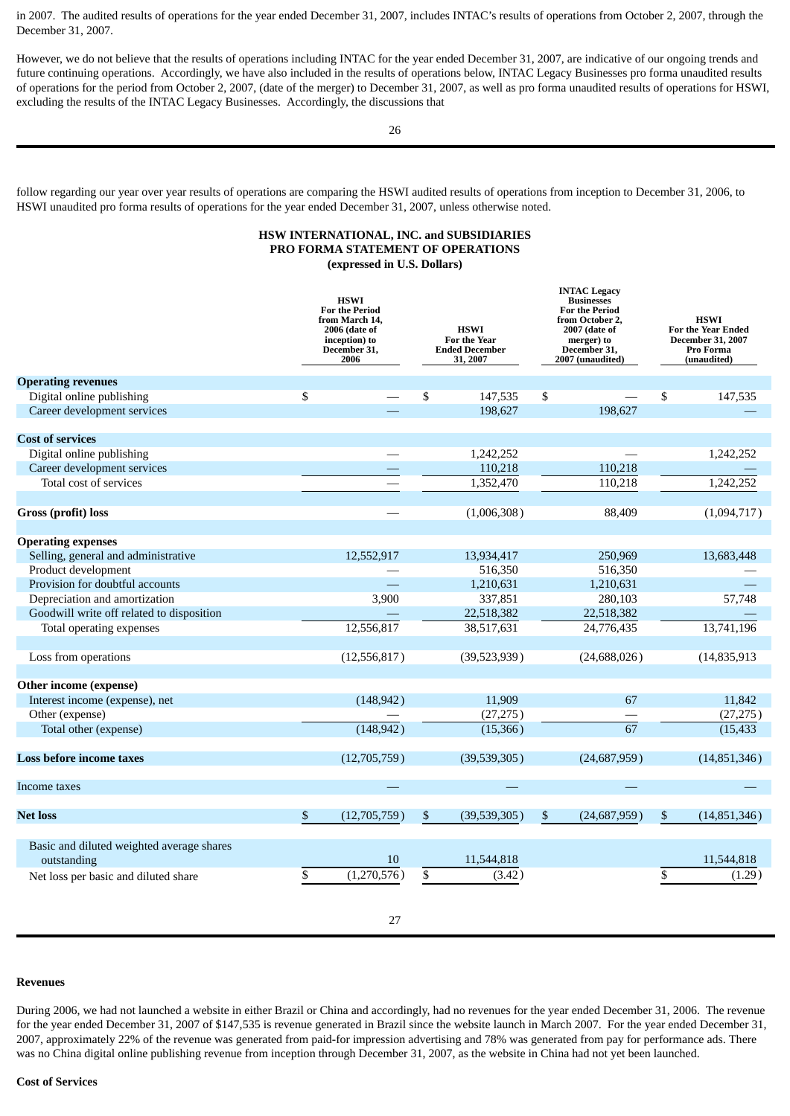in 2007. The audited results of operations for the year ended December 31, 2007, includes INTAC's results of operations from October 2, 2007, through the December 31, 2007.

However, we do not believe that the results of operations including INTAC for the year ended December 31, 2007, are indicative of our ongoing trends and future continuing operations. Accordingly, we have also included in the results of operations below, INTAC Legacy Businesses pro forma unaudited results of operations for the period from October 2, 2007, (date of the merger) to December 31, 2007, as well as pro forma unaudited results of operations for HSWI, excluding the results of the INTAC Legacy Businesses. Accordingly, the discussions that

follow regarding our year over year results of operations are comparing the HSWI audited results of operations from inception to December 31, 2006, to HSWI unaudited pro forma results of operations for the year ended December 31, 2007, unless otherwise noted.

### **HSW INTERNATIONAL, INC. and SUBSIDIARIES PRO FORMA STATEMENT OF OPERATIONS (expressed in U.S. Dollars)**

|                                                          | <b>HSWI</b><br><b>For the Period</b><br>from March 14,<br>2006 (date of<br>inception) to<br>December 31,<br>2006 |    | <b>HSWI</b><br><b>For the Year</b><br><b>Ended December</b><br>31, 2007 |    | <b>INTAC Legacy</b><br><b>Businesses</b><br><b>For the Period</b><br>from October 2,<br>2007 (date of<br>merger) to<br>December 31,<br>2007 (unaudited) |    | <b>HSWI</b><br>For the Year Ended<br><b>December 31, 2007</b><br>Pro Forma<br>(unaudited) |
|----------------------------------------------------------|------------------------------------------------------------------------------------------------------------------|----|-------------------------------------------------------------------------|----|---------------------------------------------------------------------------------------------------------------------------------------------------------|----|-------------------------------------------------------------------------------------------|
| <b>Operating revenues</b>                                |                                                                                                                  |    |                                                                         |    |                                                                                                                                                         |    |                                                                                           |
| Digital online publishing                                | \$                                                                                                               | \$ | 147,535                                                                 | \$ |                                                                                                                                                         | \$ | 147,535                                                                                   |
| Career development services                              |                                                                                                                  |    | 198,627                                                                 |    | 198,627                                                                                                                                                 |    |                                                                                           |
| <b>Cost of services</b>                                  |                                                                                                                  |    |                                                                         |    |                                                                                                                                                         |    |                                                                                           |
| Digital online publishing                                |                                                                                                                  |    | 1,242,252                                                               |    |                                                                                                                                                         |    | 1,242,252                                                                                 |
| Career development services                              |                                                                                                                  |    | 110,218                                                                 |    | 110,218                                                                                                                                                 |    |                                                                                           |
| Total cost of services                                   |                                                                                                                  |    | 1,352,470                                                               |    | 110,218                                                                                                                                                 |    | 1,242,252                                                                                 |
| Gross (profit) loss                                      |                                                                                                                  |    | (1,006,308)                                                             |    | 88,409                                                                                                                                                  |    | (1,094,717)                                                                               |
|                                                          |                                                                                                                  |    |                                                                         |    |                                                                                                                                                         |    |                                                                                           |
| <b>Operating expenses</b>                                |                                                                                                                  |    |                                                                         |    |                                                                                                                                                         |    |                                                                                           |
| Selling, general and administrative                      | 12,552,917                                                                                                       |    | 13,934,417                                                              |    | 250,969                                                                                                                                                 |    | 13,683,448                                                                                |
| Product development<br>Provision for doubtful accounts   |                                                                                                                  |    | 516,350                                                                 |    | 516,350                                                                                                                                                 |    |                                                                                           |
| Depreciation and amortization                            | 3,900                                                                                                            |    | 1,210,631<br>337,851                                                    |    | 1,210,631<br>280,103                                                                                                                                    |    | 57,748                                                                                    |
| Goodwill write off related to disposition                |                                                                                                                  |    | 22,518,382                                                              |    | 22,518,382                                                                                                                                              |    |                                                                                           |
| Total operating expenses                                 | 12,556,817                                                                                                       |    | 38,517,631                                                              |    | 24,776,435                                                                                                                                              |    | 13,741,196                                                                                |
|                                                          |                                                                                                                  |    |                                                                         |    |                                                                                                                                                         |    |                                                                                           |
| Loss from operations                                     | (12,556,817)                                                                                                     |    | (39,523,939)                                                            |    | (24, 688, 026)                                                                                                                                          |    | (14, 835, 913)                                                                            |
| Other income (expense)                                   |                                                                                                                  |    |                                                                         |    |                                                                                                                                                         |    |                                                                                           |
| Interest income (expense), net                           | (148, 942)                                                                                                       |    | 11,909                                                                  |    | 67                                                                                                                                                      |    | 11,842                                                                                    |
| Other (expense)                                          |                                                                                                                  |    | (27, 275)                                                               |    |                                                                                                                                                         |    | (27, 275)                                                                                 |
| Total other (expense)                                    | (148, 942)                                                                                                       |    | (15,366)                                                                |    | 67                                                                                                                                                      |    | (15, 433)                                                                                 |
|                                                          |                                                                                                                  |    |                                                                         |    |                                                                                                                                                         |    |                                                                                           |
| <b>Loss before income taxes</b>                          | (12,705,759)                                                                                                     |    | (39,539,305)                                                            |    | (24, 687, 959)                                                                                                                                          |    | (14,851,346)                                                                              |
| Income taxes                                             |                                                                                                                  |    |                                                                         |    |                                                                                                                                                         |    |                                                                                           |
| <b>Net loss</b>                                          | \$<br>(12,705,759)                                                                                               | \$ | (39,539,305)                                                            | \$ | (24, 687, 959)                                                                                                                                          | \$ | (14, 851, 346)                                                                            |
|                                                          |                                                                                                                  |    |                                                                         |    |                                                                                                                                                         |    |                                                                                           |
| Basic and diluted weighted average shares<br>outstanding | 10                                                                                                               |    | 11,544,818                                                              |    |                                                                                                                                                         |    | 11,544,818                                                                                |
| Net loss per basic and diluted share                     | \$<br>(1,270,576)                                                                                                | \$ | (3.42)                                                                  |    |                                                                                                                                                         | \$ | (1.29)                                                                                    |
|                                                          |                                                                                                                  |    |                                                                         |    |                                                                                                                                                         |    |                                                                                           |

#### **Revenues**

During 2006, we had not launched a website in either Brazil or China and accordingly, had no revenues for the year ended December 31, 2006. The revenue for the year ended December 31, 2007 of \$147,535 is revenue generated in Brazil since the website launch in March 2007. For the year ended December 31, 2007, approximately 22% of the revenue was generated from paid-for impression advertising and 78% was generated from pay for performance ads. There was no China digital online publishing revenue from inception through December 31, 2007, as the website in China had not yet been launched.

27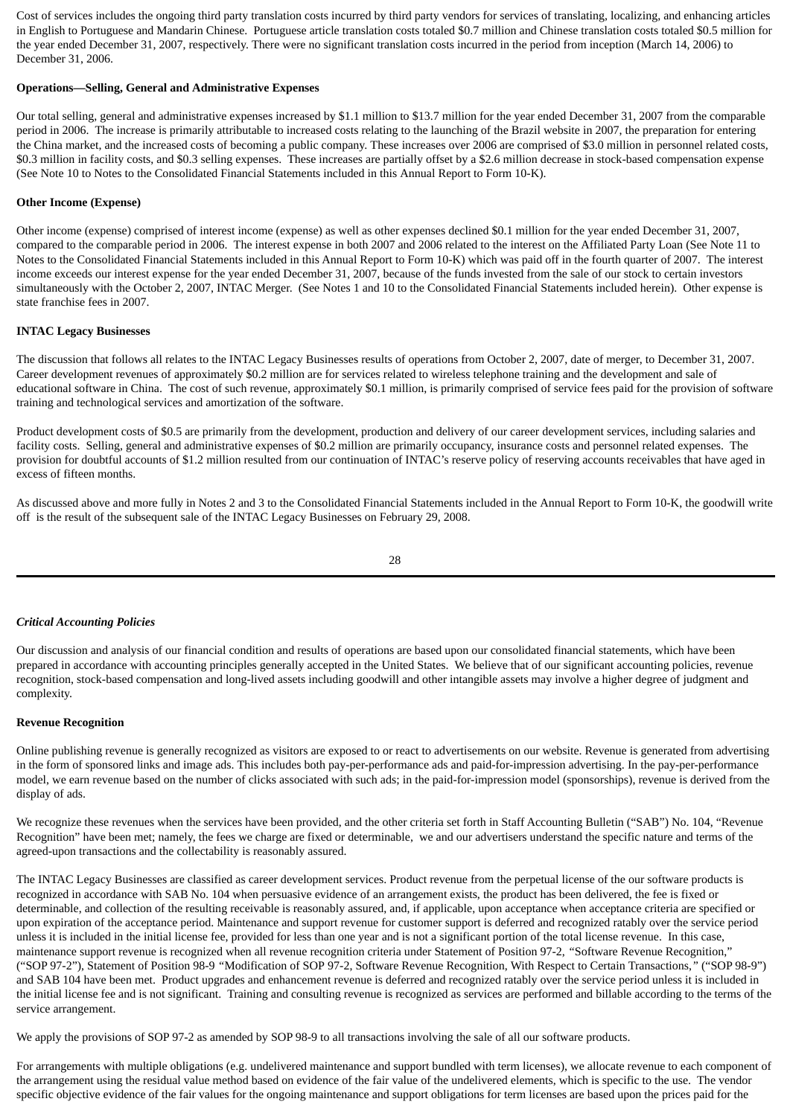Cost of services includes the ongoing third party translation costs incurred by third party vendors for services of translating, localizing, and enhancing articles in English to Portuguese and Mandarin Chinese. Portuguese article translation costs totaled \$0.7 million and Chinese translation costs totaled \$0.5 million for the year ended December 31, 2007, respectively. There were no significant translation costs incurred in the period from inception (March 14, 2006) to December 31, 2006.

#### **Operations—Selling, General and Administrative Expenses**

Our total selling, general and administrative expenses increased by \$1.1 million to \$13.7 million for the year ended December 31, 2007 from the comparable period in 2006. The increase is primarily attributable to increased costs relating to the launching of the Brazil website in 2007, the preparation for entering the China market, and the increased costs of becoming a public company. These increases over 2006 are comprised of \$3.0 million in personnel related costs, \$0.3 million in facility costs, and \$0.3 selling expenses. These increases are partially offset by a \$2.6 million decrease in stock-based compensation expense (See Note 10 to Notes to the Consolidated Financial Statements included in this Annual Report to Form 10-K).

#### **Other Income (Expense)**

Other income (expense) comprised of interest income (expense) as well as other expenses declined \$0.1 million for the year ended December 31, 2007, compared to the comparable period in 2006. The interest expense in both 2007 and 2006 related to the interest on the Affiliated Party Loan (See Note 11 to Notes to the Consolidated Financial Statements included in this Annual Report to Form 10-K) which was paid off in the fourth quarter of 2007. The interest income exceeds our interest expense for the year ended December 31, 2007, because of the funds invested from the sale of our stock to certain investors simultaneously with the October 2, 2007, INTAC Merger. (See Notes 1 and 10 to the Consolidated Financial Statements included herein). Other expense is state franchise fees in 2007.

#### **INTAC Legacy Businesses**

The discussion that follows all relates to the INTAC Legacy Businesses results of operations from October 2, 2007, date of merger, to December 31, 2007. Career development revenues of approximately \$0.2 million are for services related to wireless telephone training and the development and sale of educational software in China. The cost of such revenue, approximately \$0.1 million, is primarily comprised of service fees paid for the provision of software training and technological services and amortization of the software.

Product development costs of \$0.5 are primarily from the development, production and delivery of our career development services, including salaries and facility costs. Selling, general and administrative expenses of \$0.2 million are primarily occupancy, insurance costs and personnel related expenses. The provision for doubtful accounts of \$1.2 million resulted from our continuation of INTAC's reserve policy of reserving accounts receivables that have aged in excess of fifteen months.

As discussed above and more fully in Notes 2 and 3 to the Consolidated Financial Statements included in the Annual Report to Form 10-K, the goodwill write off is the result of the subsequent sale of the INTAC Legacy Businesses on February 29, 2008.

$$
^{28}
$$

## *Critical Accounting Policies*

Our discussion and analysis of our financial condition and results of operations are based upon our consolidated financial statements, which have been prepared in accordance with accounting principles generally accepted in the United States. We believe that of our significant accounting policies, revenue recognition, stock-based compensation and long-lived assets including goodwill and other intangible assets may involve a higher degree of judgment and complexity.

## **Revenue Recognition**

Online publishing revenue is generally recognized as visitors are exposed to or react to advertisements on our website. Revenue is generated from advertising in the form of sponsored links and image ads. This includes both pay-per-performance ads and paid-for-impression advertising. In the pay-per-performance model, we earn revenue based on the number of clicks associated with such ads; in the paid-for-impression model (sponsorships), revenue is derived from the display of ads.

We recognize these revenues when the services have been provided, and the other criteria set forth in Staff Accounting Bulletin ("SAB") No. 104, "Revenue Recognition" have been met; namely, the fees we charge are fixed or determinable, we and our advertisers understand the specific nature and terms of the agreed-upon transactions and the collectability is reasonably assured.

The INTAC Legacy Businesses are classified as career development services. Product revenue from the perpetual license of the our software products is recognized in accordance with SAB No. 104 when persuasive evidence of an arrangement exists, the product has been delivered, the fee is fixed or determinable, and collection of the resulting receivable is reasonably assured, and, if applicable, upon acceptance when acceptance criteria are specified or upon expiration of the acceptance period. Maintenance and support revenue for customer support is deferred and recognized ratably over the service period unless it is included in the initial license fee, provided for less than one year and is not a significant portion of the total license revenue. In this case, maintenance support revenue is recognized when all revenue recognition criteria under Statement of Position 97-2, *"*Software Revenue Recognition," ("SOP 97-2"), Statement of Position 98-9 *"*Modification of SOP 97-2, Software Revenue Recognition, With Respect to Certain Transactions,*"* ("SOP 98-9") and SAB 104 have been met. Product upgrades and enhancement revenue is deferred and recognized ratably over the service period unless it is included in the initial license fee and is not significant. Training and consulting revenue is recognized as services are performed and billable according to the terms of the service arrangement.

We apply the provisions of SOP 97-2 as amended by SOP 98-9 to all transactions involving the sale of all our software products.

For arrangements with multiple obligations (e.g. undelivered maintenance and support bundled with term licenses), we allocate revenue to each component of the arrangement using the residual value method based on evidence of the fair value of the undelivered elements, which is specific to the use. The vendor specific objective evidence of the fair values for the ongoing maintenance and support obligations for term licenses are based upon the prices paid for the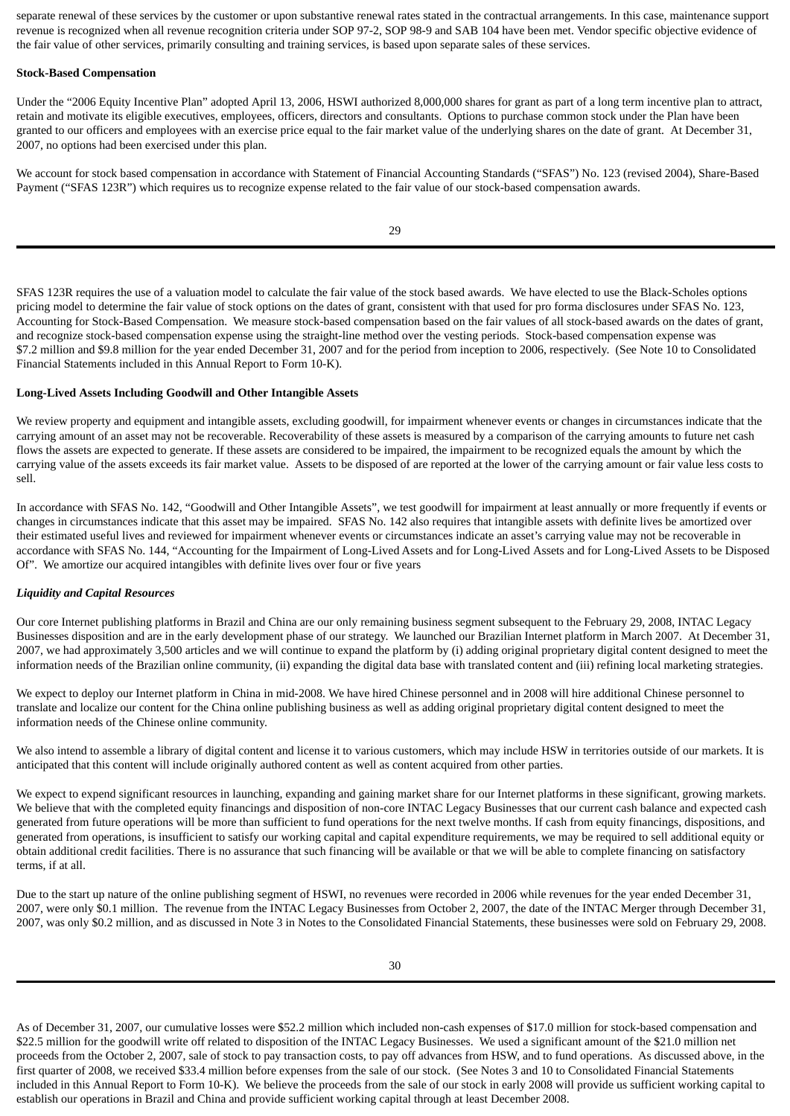separate renewal of these services by the customer or upon substantive renewal rates stated in the contractual arrangements. In this case, maintenance support revenue is recognized when all revenue recognition criteria under SOP 97-2, SOP 98-9 and SAB 104 have been met. Vendor specific objective evidence of the fair value of other services, primarily consulting and training services, is based upon separate sales of these services.

#### **Stock-Based Compensation**

Under the "2006 Equity Incentive Plan" adopted April 13, 2006, HSWI authorized 8,000,000 shares for grant as part of a long term incentive plan to attract, retain and motivate its eligible executives, employees, officers, directors and consultants. Options to purchase common stock under the Plan have been granted to our officers and employees with an exercise price equal to the fair market value of the underlying shares on the date of grant. At December 31, 2007, no options had been exercised under this plan.

We account for stock based compensation in accordance with Statement of Financial Accounting Standards ("SFAS") No. 123 (revised 2004), Share-Based Payment ("SFAS 123R") which requires us to recognize expense related to the fair value of our stock-based compensation awards.

SFAS 123R requires the use of a valuation model to calculate the fair value of the stock based awards. We have elected to use the Black-Scholes options pricing model to determine the fair value of stock options on the dates of grant, consistent with that used for pro forma disclosures under SFAS No. 123, Accounting for Stock-Based Compensation. We measure stock-based compensation based on the fair values of all stock-based awards on the dates of grant, and recognize stock-based compensation expense using the straight-line method over the vesting periods. Stock-based compensation expense was \$7.2 million and \$9.8 million for the year ended December 31, 2007 and for the period from inception to 2006, respectively. (See Note 10 to Consolidated Financial Statements included in this Annual Report to Form 10-K).

## **Long-Lived Assets Including Goodwill and Other Intangible Assets**

We review property and equipment and intangible assets, excluding goodwill, for impairment whenever events or changes in circumstances indicate that the carrying amount of an asset may not be recoverable. Recoverability of these assets is measured by a comparison of the carrying amounts to future net cash flows the assets are expected to generate. If these assets are considered to be impaired, the impairment to be recognized equals the amount by which the carrying value of the assets exceeds its fair market value. Assets to be disposed of are reported at the lower of the carrying amount or fair value less costs to sell.

In accordance with SFAS No. 142, "Goodwill and Other Intangible Assets", we test goodwill for impairment at least annually or more frequently if events or changes in circumstances indicate that this asset may be impaired. SFAS No. 142 also requires that intangible assets with definite lives be amortized over their estimated useful lives and reviewed for impairment whenever events or circumstances indicate an asset's carrying value may not be recoverable in accordance with SFAS No. 144, "Accounting for the Impairment of Long-Lived Assets and for Long-Lived Assets and for Long-Lived Assets to be Disposed Of". We amortize our acquired intangibles with definite lives over four or five years

#### *Liquidity and Capital Resources*

Our core Internet publishing platforms in Brazil and China are our only remaining business segment subsequent to the February 29, 2008, INTAC Legacy Businesses disposition and are in the early development phase of our strategy. We launched our Brazilian Internet platform in March 2007. At December 31, 2007, we had approximately 3,500 articles and we will continue to expand the platform by (i) adding original proprietary digital content designed to meet the information needs of the Brazilian online community, (ii) expanding the digital data base with translated content and (iii) refining local marketing strategies.

We expect to deploy our Internet platform in China in mid-2008. We have hired Chinese personnel and in 2008 will hire additional Chinese personnel to translate and localize our content for the China online publishing business as well as adding original proprietary digital content designed to meet the information needs of the Chinese online community.

We also intend to assemble a library of digital content and license it to various customers, which may include HSW in territories outside of our markets. It is anticipated that this content will include originally authored content as well as content acquired from other parties.

We expect to expend significant resources in launching, expanding and gaining market share for our Internet platforms in these significant, growing markets. We believe that with the completed equity financings and disposition of non-core INTAC Legacy Businesses that our current cash balance and expected cash generated from future operations will be more than sufficient to fund operations for the next twelve months. If cash from equity financings, dispositions, and generated from operations, is insufficient to satisfy our working capital and capital expenditure requirements, we may be required to sell additional equity or obtain additional credit facilities. There is no assurance that such financing will be available or that we will be able to complete financing on satisfactory terms, if at all.

Due to the start up nature of the online publishing segment of HSWI, no revenues were recorded in 2006 while revenues for the year ended December 31, 2007, were only \$0.1 million. The revenue from the INTAC Legacy Businesses from October 2, 2007, the date of the INTAC Merger through December 31, 2007, was only \$0.2 million, and as discussed in Note 3 in Notes to the Consolidated Financial Statements, these businesses were sold on February 29, 2008.

As of December 31, 2007, our cumulative losses were \$52.2 million which included non-cash expenses of \$17.0 million for stock-based compensation and \$22.5 million for the goodwill write off related to disposition of the INTAC Legacy Businesses. We used a significant amount of the \$21.0 million net proceeds from the October 2, 2007, sale of stock to pay transaction costs, to pay off advances from HSW, and to fund operations. As discussed above, in the first quarter of 2008, we received \$33.4 million before expenses from the sale of our stock. (See Notes 3 and 10 to Consolidated Financial Statements included in this Annual Report to Form 10-K). We believe the proceeds from the sale of our stock in early 2008 will provide us sufficient working capital to establish our operations in Brazil and China and provide sufficient working capital through at least December 2008.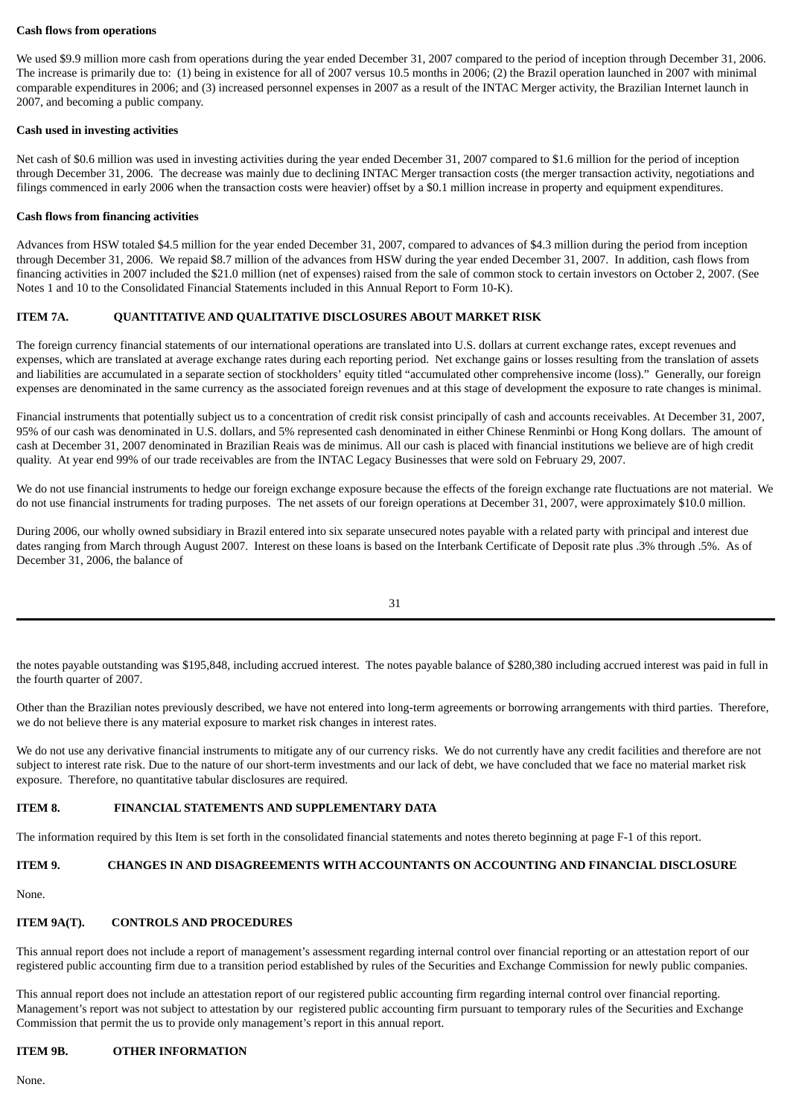## **Cash flows from operations**

We used \$9.9 million more cash from operations during the year ended December 31, 2007 compared to the period of inception through December 31, 2006. The increase is primarily due to: (1) being in existence for all of 2007 versus 10.5 months in 2006; (2) the Brazil operation launched in 2007 with minimal comparable expenditures in 2006; and (3) increased personnel expenses in 2007 as a result of the INTAC Merger activity, the Brazilian Internet launch in 2007, and becoming a public company.

## **Cash used in investing activities**

Net cash of \$0.6 million was used in investing activities during the year ended December 31, 2007 compared to \$1.6 million for the period of inception through December 31, 2006. The decrease was mainly due to declining INTAC Merger transaction costs (the merger transaction activity, negotiations and filings commenced in early 2006 when the transaction costs were heavier) offset by a \$0.1 million increase in property and equipment expenditures.

## **Cash flows from financing activities**

Advances from HSW totaled \$4.5 million for the year ended December 31, 2007, compared to advances of \$4.3 million during the period from inception through December 31, 2006. We repaid \$8.7 million of the advances from HSW during the year ended December 31, 2007. In addition, cash flows from financing activities in 2007 included the \$21.0 million (net of expenses) raised from the sale of common stock to certain investors on October 2, 2007. (See Notes 1 and 10 to the Consolidated Financial Statements included in this Annual Report to Form 10-K).

## **ITEM 7A. QUANTITATIVE AND QUALITATIVE DISCLOSURES ABOUT MARKET RISK**

The foreign currency financial statements of our international operations are translated into U.S. dollars at current exchange rates, except revenues and expenses, which are translated at average exchange rates during each reporting period. Net exchange gains or losses resulting from the translation of assets and liabilities are accumulated in a separate section of stockholders' equity titled "accumulated other comprehensive income (loss)." Generally, our foreign expenses are denominated in the same currency as the associated foreign revenues and at this stage of development the exposure to rate changes is minimal.

Financial instruments that potentially subject us to a concentration of credit risk consist principally of cash and accounts receivables. At December 31, 2007, 95% of our cash was denominated in U.S. dollars, and 5% represented cash denominated in either Chinese Renminbi or Hong Kong dollars. The amount of cash at December 31, 2007 denominated in Brazilian Reais was de minimus. All our cash is placed with financial institutions we believe are of high credit quality. At year end 99% of our trade receivables are from the INTAC Legacy Businesses that were sold on February 29, 2007.

We do not use financial instruments to hedge our foreign exchange exposure because the effects of the foreign exchange rate fluctuations are not material. We do not use financial instruments for trading purposes. The net assets of our foreign operations at December 31, 2007, were approximately \$10.0 million.

During 2006, our wholly owned subsidiary in Brazil entered into six separate unsecured notes payable with a related party with principal and interest due dates ranging from March through August 2007. Interest on these loans is based on the Interbank Certificate of Deposit rate plus .3% through .5%. As of December 31, 2006, the balance of

<span id="page-21-2"></span><span id="page-21-1"></span><span id="page-21-0"></span>
$$
31\\
$$

the notes payable outstanding was \$195,848, including accrued interest. The notes payable balance of \$280,380 including accrued interest was paid in full in the fourth quarter of 2007.

Other than the Brazilian notes previously described, we have not entered into long-term agreements or borrowing arrangements with third parties. Therefore, we do not believe there is any material exposure to market risk changes in interest rates.

We do not use any derivative financial instruments to mitigate any of our currency risks. We do not currently have any credit facilities and therefore are not subject to interest rate risk. Due to the nature of our short-term investments and our lack of debt, we have concluded that we face no material market risk exposure. Therefore, no quantitative tabular disclosures are required.

## **ITEM 8. FINANCIAL STATEMENTS AND SUPPLEMENTARY DATA**

The information required by this Item is set forth in the consolidated financial statements and notes thereto beginning at page F-1 of this report.

## **ITEM 9. CHANGES IN AND DISAGREEMENTS WITH ACCOUNTANTS ON ACCOUNTING AND FINANCIAL DISCLOSURE**

None.

## <span id="page-21-3"></span>**ITEM 9A(T). CONTROLS AND PROCEDURES**

This annual report does not include a report of management's assessment regarding internal control over financial reporting or an attestation report of our registered public accounting firm due to a transition period established by rules of the Securities and Exchange Commission for newly public companies.

This annual report does not include an attestation report of our registered public accounting firm regarding internal control over financial reporting. Management's report was not subject to attestation by our registered public accounting firm pursuant to temporary rules of the Securities and Exchange Commission that permit the us to provide only management's report in this annual report.

## <span id="page-21-4"></span>**ITEM 9B. OTHER INFORMATION**

None.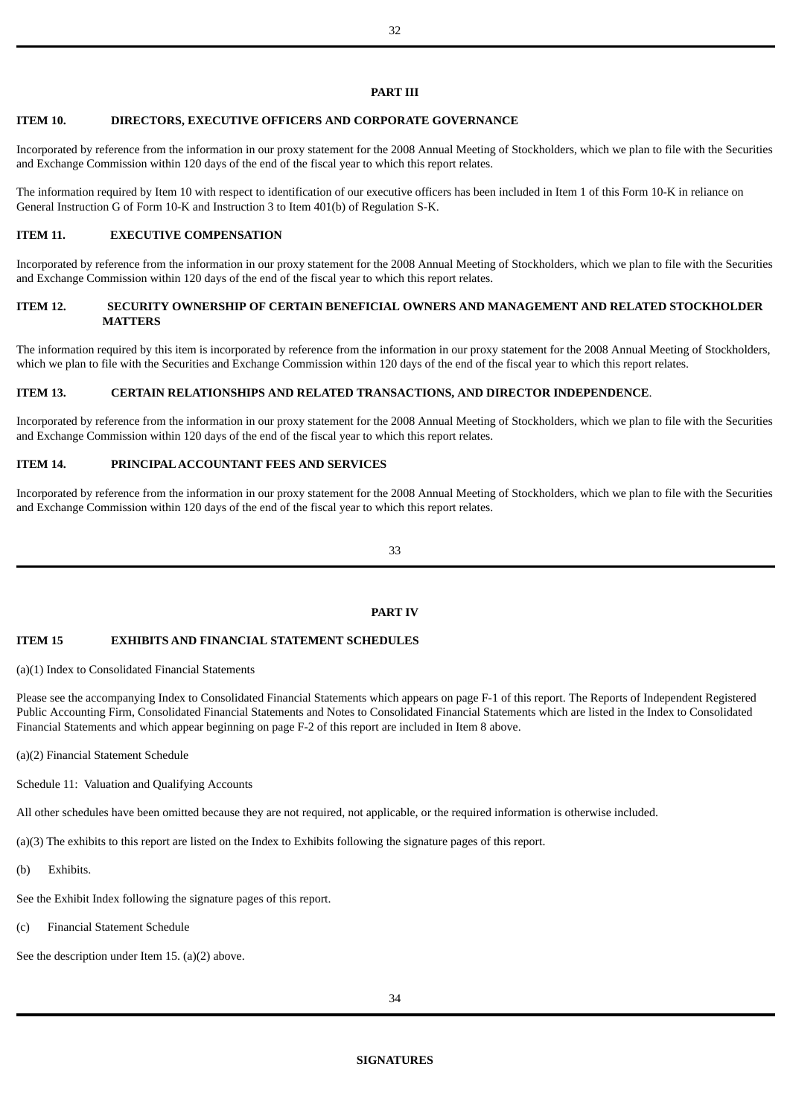<span id="page-22-2"></span><span id="page-22-1"></span><span id="page-22-0"></span>32

### **ITEM 10. DIRECTORS, EXECUTIVE OFFICERS AND CORPORATE GOVERNANCE**

Incorporated by reference from the information in our proxy statement for the 2008 Annual Meeting of Stockholders, which we plan to file with the Securities and Exchange Commission within 120 days of the end of the fiscal year to which this report relates.

The information required by Item 10 with respect to identification of our executive officers has been included in Item 1 of this Form 10-K in reliance on General Instruction G of Form 10-K and Instruction 3 to Item 401(b) of Regulation S-K.

## **ITEM 11. EXECUTIVE COMPENSATION**

Incorporated by reference from the information in our proxy statement for the 2008 Annual Meeting of Stockholders, which we plan to file with the Securities and Exchange Commission within 120 days of the end of the fiscal year to which this report relates.

### <span id="page-22-3"></span>**ITEM 12. SECURITY OWNERSHIP OF CERTAIN BENEFICIAL OWNERS AND MANAGEMENT AND RELATED STOCKHOLDER MATTERS**

The information required by this item is incorporated by reference from the information in our proxy statement for the 2008 Annual Meeting of Stockholders, which we plan to file with the Securities and Exchange Commission within 120 days of the end of the fiscal year to which this report relates.

### **ITEM 13. CERTAIN RELATIONSHIPS AND RELATED TRANSACTIONS, AND DIRECTOR INDEPENDENCE**.

Incorporated by reference from the information in our proxy statement for the 2008 Annual Meeting of Stockholders, which we plan to file with the Securities and Exchange Commission within 120 days of the end of the fiscal year to which this report relates.

#### **ITEM 14. PRINCIPALACCOUNTANT FEES AND SERVICES**

Incorporated by reference from the information in our proxy statement for the 2008 Annual Meeting of Stockholders, which we plan to file with the Securities and Exchange Commission within 120 days of the end of the fiscal year to which this report relates.

<span id="page-22-5"></span><span id="page-22-4"></span>33

#### <span id="page-22-7"></span><span id="page-22-6"></span>**PART IV**

#### **ITEM 15 EXHIBITS AND FINANCIAL STATEMENT SCHEDULES**

(a)(1) Index to Consolidated Financial Statements

Please see the accompanying Index to Consolidated Financial Statements which appears on page F-1 of this report. The Reports of Independent Registered Public Accounting Firm, Consolidated Financial Statements and Notes to Consolidated Financial Statements which are listed in the Index to Consolidated Financial Statements and which appear beginning on page F-2 of this report are included in Item 8 above.

(a)(2) Financial Statement Schedule

Schedule 11: Valuation and Qualifying Accounts

All other schedules have been omitted because they are not required, not applicable, or the required information is otherwise included.

(a)(3) The exhibits to this report are listed on the Index to Exhibits following the signature pages of this report.

(b) Exhibits.

See the Exhibit Index following the signature pages of this report.

(c) Financial Statement Schedule

<span id="page-22-8"></span>See the description under Item 15. (a)(2) above.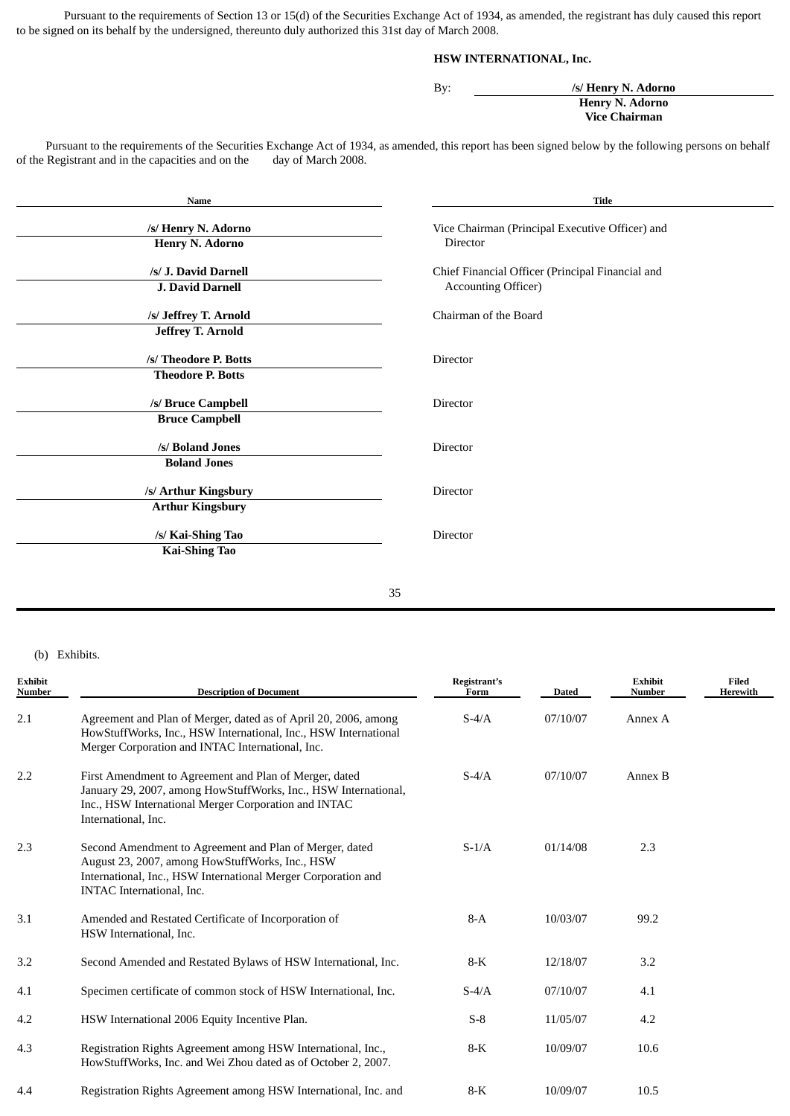Pursuant to the requirements of Section 13 or 15(d) of the Securities Exchange Act of 1934, as amended, the registrant has duly caused this report to be signed on its behalf by the undersigned, thereunto duly authorized this 31st day of March 2008.

## **HSW INTERNATIONAL, Inc.**

By: **/s/ Henry N. Adorno Henry N. Adorno Vice Chairman**

Pursuant to the requirements of the Securities Exchange Act of 1934, as amended, this report has been signed below by the following persons on behalf of the Registrant and in the capacities and on the day of March 2008.

| Name                                              | <b>Title</b>                                                                   |
|---------------------------------------------------|--------------------------------------------------------------------------------|
| /s/ Henry N. Adorno<br><b>Henry N. Adorno</b>     | Vice Chairman (Principal Executive Officer) and<br>Director                    |
| /s/ J. David Darnell<br>J. David Darnell          | Chief Financial Officer (Principal Financial and<br><b>Accounting Officer)</b> |
| /s/ Jeffrey T. Arnold<br><b>Jeffrey T. Arnold</b> | Chairman of the Board                                                          |
| /s/ Theodore P. Botts<br><b>Theodore P. Botts</b> | Director                                                                       |
| /s/ Bruce Campbell<br><b>Bruce Campbell</b>       | Director                                                                       |
| /s/ Boland Jones<br><b>Boland Jones</b>           | Director                                                                       |
| /s/ Arthur Kingsbury<br><b>Arthur Kingsbury</b>   | Director                                                                       |
| /s/ Kai-Shing Tao<br><b>Kai-Shing Tao</b>         | Director                                                                       |
|                                                   |                                                                                |

35

### <span id="page-23-0"></span>(b) Exhibits.

| <b>Exhibit</b><br><b>Number</b> | <b>Description of Document</b>                                                                                                                                                                           | Registrant's<br>Form | <b>Dated</b> | <b>Exhibit</b><br><b>Number</b> | <b>Filed</b><br>Herewith |
|---------------------------------|----------------------------------------------------------------------------------------------------------------------------------------------------------------------------------------------------------|----------------------|--------------|---------------------------------|--------------------------|
| 2.1                             | Agreement and Plan of Merger, dated as of April 20, 2006, among<br>HowStuffWorks, Inc., HSW International, Inc., HSW International<br>Merger Corporation and INTAC International, Inc.                   | $S-4/A$              | 07/10/07     | Annex A                         |                          |
| 2.2                             | First Amendment to Agreement and Plan of Merger, dated<br>January 29, 2007, among HowStuffWorks, Inc., HSW International,<br>Inc., HSW International Merger Corporation and INTAC<br>International, Inc. | $S-4/A$              | 07/10/07     | Annex B                         |                          |
| 2.3                             | Second Amendment to Agreement and Plan of Merger, dated<br>August 23, 2007, among HowStuffWorks, Inc., HSW<br>International, Inc., HSW International Merger Corporation and<br>INTAC International, Inc. | $S-1/A$              | 01/14/08     | 2.3                             |                          |
| 3.1                             | Amended and Restated Certificate of Incorporation of<br>HSW International, Inc.                                                                                                                          | $8-A$                | 10/03/07     | 99.2                            |                          |
| 3.2                             | Second Amended and Restated Bylaws of HSW International, Inc.                                                                                                                                            | $8-K$                | 12/18/07     | 3.2                             |                          |
| 4.1                             | Specimen certificate of common stock of HSW International, Inc.                                                                                                                                          | $S-4/A$              | 07/10/07     | 4.1                             |                          |
| 4.2                             | HSW International 2006 Equity Incentive Plan.                                                                                                                                                            | $S-8$                | 11/05/07     | 4.2                             |                          |
| 4.3                             | Registration Rights Agreement among HSW International, Inc.,<br>HowStuffWorks, Inc. and Wei Zhou dated as of October 2, 2007.                                                                            | $8-K$                | 10/09/07     | 10.6                            |                          |
| 4.4                             | Registration Rights Agreement among HSW International, Inc. and                                                                                                                                          | $8-K$                | 10/09/07     | 10.5                            |                          |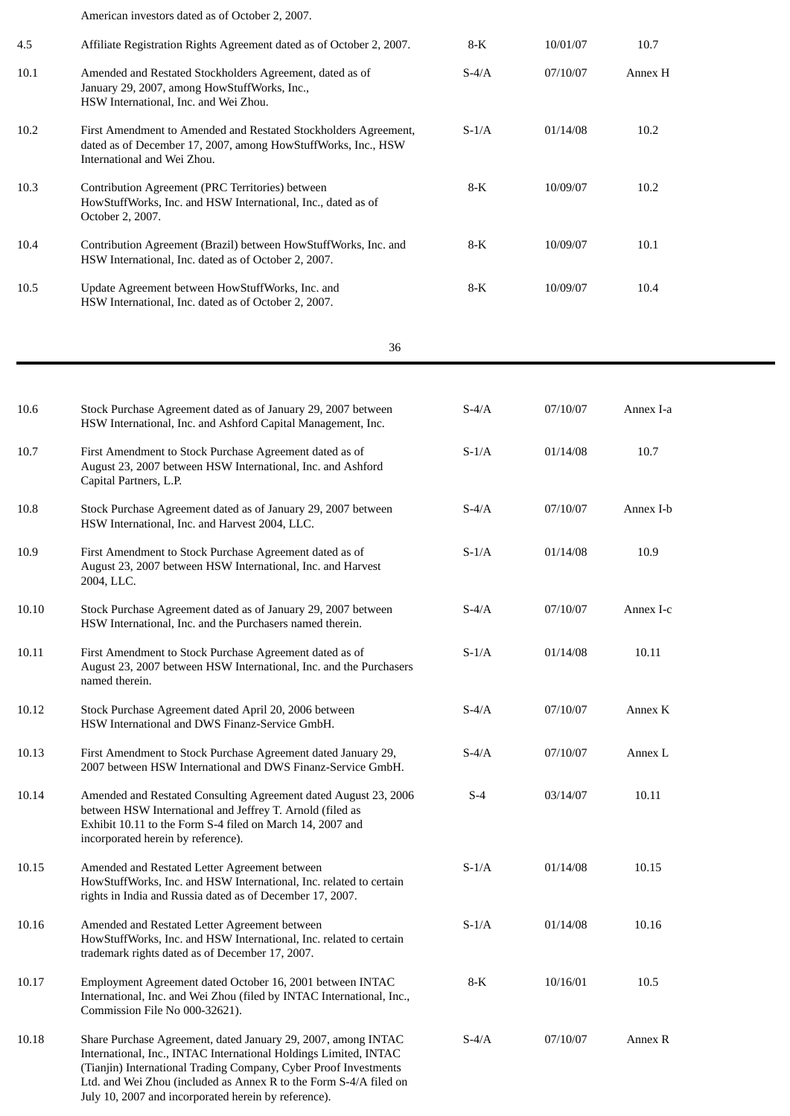|       | American investors dated as of October 2, 2007.                                                                                                                                                                                                                                                                                    |         |          |           |  |
|-------|------------------------------------------------------------------------------------------------------------------------------------------------------------------------------------------------------------------------------------------------------------------------------------------------------------------------------------|---------|----------|-----------|--|
| 4.5   | Affiliate Registration Rights Agreement dated as of October 2, 2007.                                                                                                                                                                                                                                                               | $8-K$   | 10/01/07 | 10.7      |  |
| 10.1  | Amended and Restated Stockholders Agreement, dated as of<br>January 29, 2007, among HowStuffWorks, Inc.,<br>HSW International, Inc. and Wei Zhou.                                                                                                                                                                                  | $S-4/A$ | 07/10/07 | Annex H   |  |
| 10.2  | First Amendment to Amended and Restated Stockholders Agreement,<br>dated as of December 17, 2007, among HowStuffWorks, Inc., HSW<br>International and Wei Zhou.                                                                                                                                                                    | $S-1/A$ | 01/14/08 | 10.2      |  |
| 10.3  | Contribution Agreement (PRC Territories) between<br>HowStuffWorks, Inc. and HSW International, Inc., dated as of<br>October 2, 2007.                                                                                                                                                                                               | $8-K$   | 10/09/07 | 10.2      |  |
| 10.4  | Contribution Agreement (Brazil) between HowStuffWorks, Inc. and<br>HSW International, Inc. dated as of October 2, 2007.                                                                                                                                                                                                            | $8-K$   | 10/09/07 | 10.1      |  |
| 10.5  | Update Agreement between HowStuffWorks, Inc. and<br>HSW International, Inc. dated as of October 2, 2007.                                                                                                                                                                                                                           | $8-K$   | 10/09/07 | 10.4      |  |
|       | 36                                                                                                                                                                                                                                                                                                                                 |         |          |           |  |
| 10.6  | Stock Purchase Agreement dated as of January 29, 2007 between<br>HSW International, Inc. and Ashford Capital Management, Inc.                                                                                                                                                                                                      | $S-4/A$ | 07/10/07 | Annex I-a |  |
| 10.7  | First Amendment to Stock Purchase Agreement dated as of<br>August 23, 2007 between HSW International, Inc. and Ashford<br>Capital Partners, L.P.                                                                                                                                                                                   | $S-1/A$ | 01/14/08 | 10.7      |  |
| 10.8  | Stock Purchase Agreement dated as of January 29, 2007 between<br>HSW International, Inc. and Harvest 2004, LLC.                                                                                                                                                                                                                    | $S-4/A$ | 07/10/07 | Annex I-b |  |
| 10.9  | First Amendment to Stock Purchase Agreement dated as of<br>August 23, 2007 between HSW International, Inc. and Harvest<br>2004, LLC.                                                                                                                                                                                               | $S-1/A$ | 01/14/08 | 10.9      |  |
| 10.10 | Stock Purchase Agreement dated as of January 29, 2007 between<br>HSW International, Inc. and the Purchasers named therein.                                                                                                                                                                                                         | $S-4/A$ | 07/10/07 | Annex I-c |  |
| 10.11 | First Amendment to Stock Purchase Agreement dated as of<br>August 23, 2007 between HSW International, Inc. and the Purchasers<br>named therein.                                                                                                                                                                                    | $S-1/A$ | 01/14/08 | 10.11     |  |
| 10.12 | Stock Purchase Agreement dated April 20, 2006 between<br>HSW International and DWS Finanz-Service GmbH.                                                                                                                                                                                                                            | $S-4/A$ | 07/10/07 | Annex K   |  |
| 10.13 | First Amendment to Stock Purchase Agreement dated January 29,<br>2007 between HSW International and DWS Finanz-Service GmbH.                                                                                                                                                                                                       | $S-4/A$ | 07/10/07 | Annex L   |  |
| 10.14 | Amended and Restated Consulting Agreement dated August 23, 2006<br>between HSW International and Jeffrey T. Arnold (filed as<br>Exhibit 10.11 to the Form S-4 filed on March 14, 2007 and<br>incorporated herein by reference).                                                                                                    | $S-4$   | 03/14/07 | 10.11     |  |
| 10.15 | Amended and Restated Letter Agreement between<br>HowStuffWorks, Inc. and HSW International, Inc. related to certain<br>rights in India and Russia dated as of December 17, 2007.                                                                                                                                                   | $S-1/A$ | 01/14/08 | 10.15     |  |
| 10.16 | Amended and Restated Letter Agreement between<br>HowStuffWorks, Inc. and HSW International, Inc. related to certain<br>trademark rights dated as of December 17, 2007.                                                                                                                                                             | $S-1/A$ | 01/14/08 | 10.16     |  |
| 10.17 | Employment Agreement dated October 16, 2001 between INTAC<br>International, Inc. and Wei Zhou (filed by INTAC International, Inc.,<br>Commission File No 000-32621).                                                                                                                                                               | $8-K$   | 10/16/01 | 10.5      |  |
| 10.18 | Share Purchase Agreement, dated January 29, 2007, among INTAC<br>International, Inc., INTAC International Holdings Limited, INTAC<br>(Tianjin) International Trading Company, Cyber Proof Investments<br>Ltd. and Wei Zhou (included as Annex R to the Form S-4/A filed on<br>July 10, 2007 and incorporated herein by reference). | $S-4/A$ | 07/10/07 | Annex R   |  |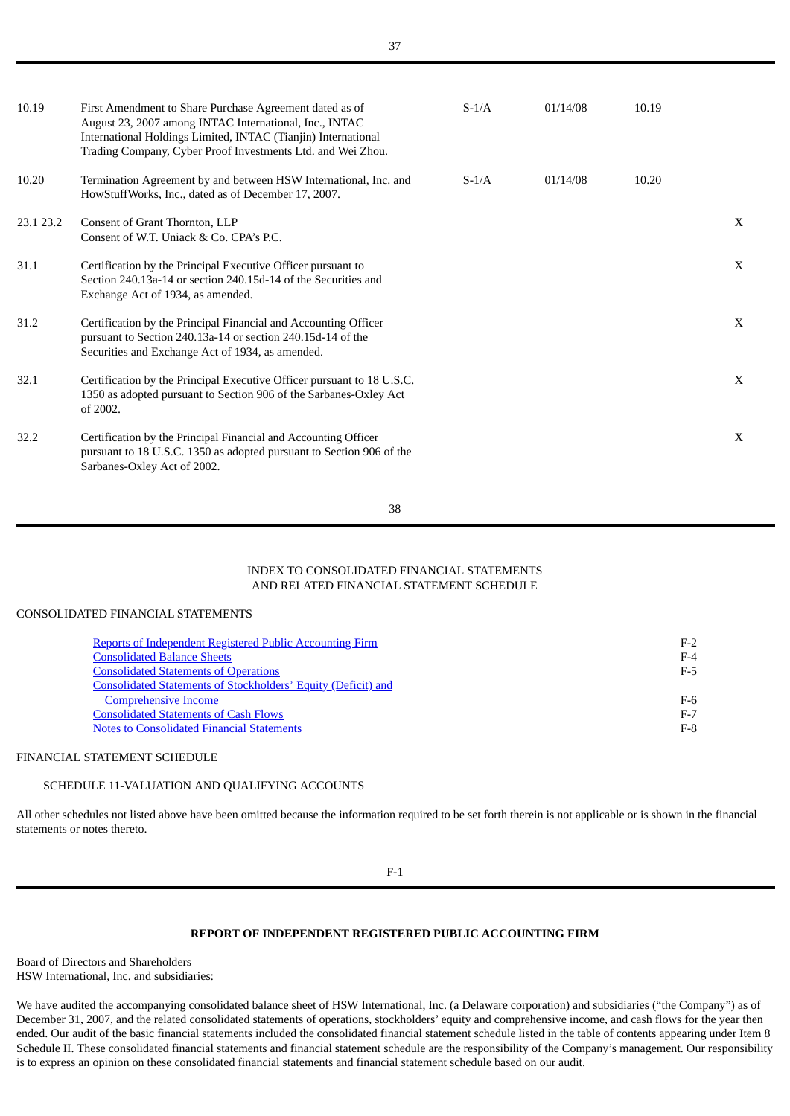| 10.19     | First Amendment to Share Purchase Agreement dated as of<br>August 23, 2007 among INTAC International, Inc., INTAC<br>International Holdings Limited, INTAC (Tianjin) International<br>Trading Company, Cyber Proof Investments Ltd. and Wei Zhou. | $S-1/A$ | 01/14/08 | 10.19 |                           |
|-----------|---------------------------------------------------------------------------------------------------------------------------------------------------------------------------------------------------------------------------------------------------|---------|----------|-------|---------------------------|
| 10.20     | Termination Agreement by and between HSW International, Inc. and<br>HowStuffWorks, Inc., dated as of December 17, 2007.                                                                                                                           | $S-1/A$ | 01/14/08 | 10.20 |                           |
| 23.1 23.2 | Consent of Grant Thornton, LLP<br>Consent of W.T. Uniack & Co. CPA's P.C.                                                                                                                                                                         |         |          |       | $\boldsymbol{\mathrm{X}}$ |
| 31.1      | Certification by the Principal Executive Officer pursuant to<br>Section 240.13a-14 or section 240.15d-14 of the Securities and<br>Exchange Act of 1934, as amended.                                                                               |         |          |       | X                         |
| 31.2      | Certification by the Principal Financial and Accounting Officer<br>pursuant to Section 240.13a-14 or section 240.15d-14 of the<br>Securities and Exchange Act of 1934, as amended.                                                                |         |          |       | X                         |
| 32.1      | Certification by the Principal Executive Officer pursuant to 18 U.S.C.<br>1350 as adopted pursuant to Section 906 of the Sarbanes-Oxley Act<br>of 2002.                                                                                           |         |          |       | X                         |
| 32.2      | Certification by the Principal Financial and Accounting Officer<br>pursuant to 18 U.S.C. 1350 as adopted pursuant to Section 906 of the<br>Sarbanes-Oxley Act of 2002.                                                                            |         |          |       | X                         |

#### <span id="page-25-0"></span>INDEX TO CONSOLIDATED FINANCIAL STATEMENTS AND RELATED FINANCIAL STATEMENT SCHEDULE

## CONSOLIDATED FINANCIAL STATEMENTS

| <b>Reports of Independent Registered Public Accounting Firm</b>      | $F-2$ |
|----------------------------------------------------------------------|-------|
|                                                                      | $F-4$ |
| <b>Consolidated Balance Sheets</b>                                   |       |
| <b>Consolidated Statements of Operations</b>                         | $F-5$ |
| <b>Consolidated Statements of Stockholders' Equity (Deficit) and</b> |       |
| <b>Comprehensive Income</b>                                          | $F-6$ |
| <b>Consolidated Statements of Cash Flows</b>                         | $F-7$ |
| <b>Notes to Consolidated Financial Statements</b>                    | $F-8$ |
|                                                                      |       |

## FINANCIAL STATEMENT SCHEDULE

## SCHEDULE 11-VALUATION AND QUALIFYING ACCOUNTS

All other schedules not listed above have been omitted because the information required to be set forth therein is not applicable or is shown in the financial statements or notes thereto.

37

### <span id="page-25-1"></span>F-1

## **REPORT OF INDEPENDENT REGISTERED PUBLIC ACCOUNTING FIRM**

Board of Directors and Shareholders HSW International, Inc. and subsidiaries:

We have audited the accompanying consolidated balance sheet of HSW International, Inc. (a Delaware corporation) and subsidiaries ("the Company") as of December 31, 2007, and the related consolidated statements of operations, stockholders' equity and comprehensive income, and cash flows for the year then ended. Our audit of the basic financial statements included the consolidated financial statement schedule listed in the table of contents appearing under Item 8 Schedule II. These consolidated financial statements and financial statement schedule are the responsibility of the Company's management. Our responsibility is to express an opinion on these consolidated financial statements and financial statement schedule based on our audit.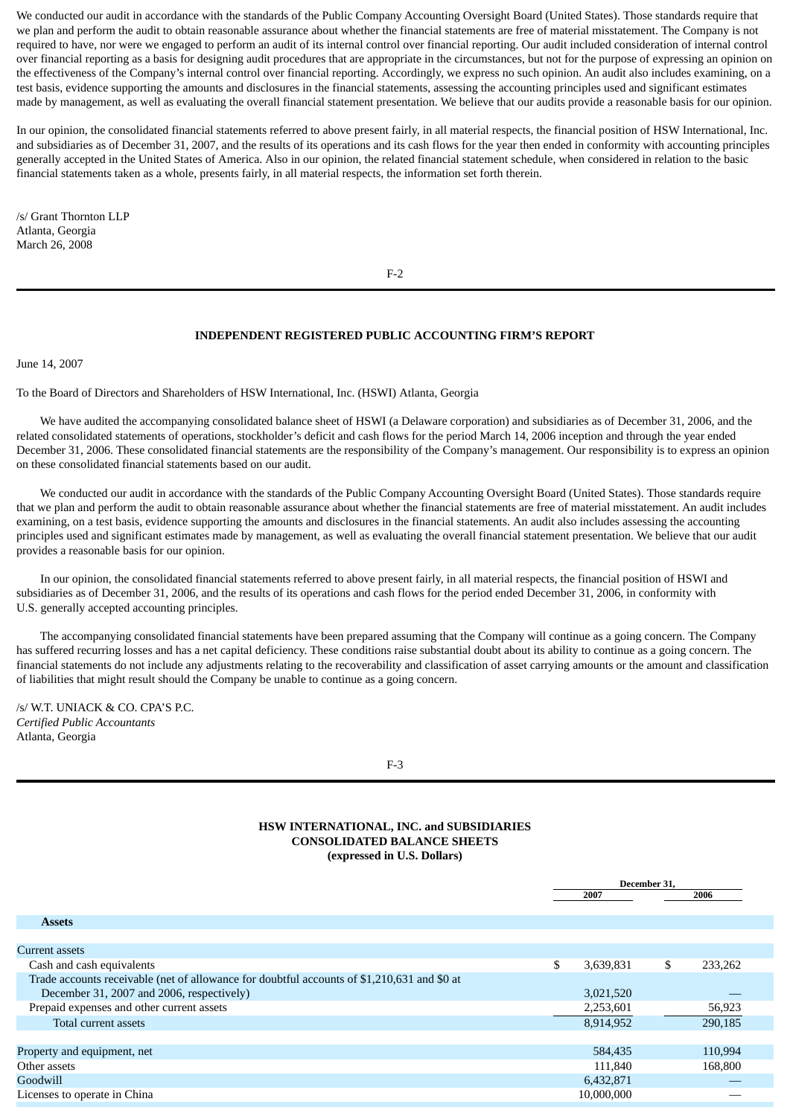We conducted our audit in accordance with the standards of the Public Company Accounting Oversight Board (United States). Those standards require that we plan and perform the audit to obtain reasonable assurance about whether the financial statements are free of material misstatement. The Company is not required to have, nor were we engaged to perform an audit of its internal control over financial reporting. Our audit included consideration of internal control over financial reporting as a basis for designing audit procedures that are appropriate in the circumstances, but not for the purpose of expressing an opinion on the effectiveness of the Company's internal control over financial reporting. Accordingly, we express no such opinion. An audit also includes examining, on a test basis, evidence supporting the amounts and disclosures in the financial statements, assessing the accounting principles used and significant estimates made by management, as well as evaluating the overall financial statement presentation. We believe that our audits provide a reasonable basis for our opinion.

In our opinion, the consolidated financial statements referred to above present fairly, in all material respects, the financial position of HSW International, Inc. and subsidiaries as of December 31, 2007, and the results of its operations and its cash flows for the year then ended in conformity with accounting principles generally accepted in the United States of America. Also in our opinion, the related financial statement schedule, when considered in relation to the basic financial statements taken as a whole, presents fairly, in all material respects, the information set forth therein.

/s/ Grant Thornton LLP Atlanta, Georgia March 26, 2008

F-2

### **INDEPENDENT REGISTERED PUBLIC ACCOUNTING FIRM'S REPORT**

June 14, 2007

To the Board of Directors and Shareholders of HSW International, Inc. (HSWI) Atlanta, Georgia

We have audited the accompanying consolidated balance sheet of HSWI (a Delaware corporation) and subsidiaries as of December 31, 2006, and the related consolidated statements of operations, stockholder's deficit and cash flows for the period March 14, 2006 inception and through the year ended December 31, 2006. These consolidated financial statements are the responsibility of the Company's management. Our responsibility is to express an opinion on these consolidated financial statements based on our audit.

We conducted our audit in accordance with the standards of the Public Company Accounting Oversight Board (United States). Those standards require that we plan and perform the audit to obtain reasonable assurance about whether the financial statements are free of material misstatement. An audit includes examining, on a test basis, evidence supporting the amounts and disclosures in the financial statements. An audit also includes assessing the accounting principles used and significant estimates made by management, as well as evaluating the overall financial statement presentation. We believe that our audit provides a reasonable basis for our opinion.

In our opinion, the consolidated financial statements referred to above present fairly, in all material respects, the financial position of HSWI and subsidiaries as of December 31, 2006, and the results of its operations and cash flows for the period ended December 31, 2006, in conformity with U.S. generally accepted accounting principles.

The accompanying consolidated financial statements have been prepared assuming that the Company will continue as a going concern. The Company has suffered recurring losses and has a net capital deficiency. These conditions raise substantial doubt about its ability to continue as a going concern. The financial statements do not include any adjustments relating to the recoverability and classification of asset carrying amounts or the amount and classification of liabilities that might result should the Company be unable to continue as a going concern.

/s/ W.T. UNIACK & CO. CPA'S P.C. *Certified Public Accountants* Atlanta, Georgia

<span id="page-26-0"></span>F-3

#### **HSW INTERNATIONAL, INC. and SUBSIDIARIES CONSOLIDATED BALANCE SHEETS (expressed in U.S. Dollars)**

|                                                                                             |              | December 31. |    |         |
|---------------------------------------------------------------------------------------------|--------------|--------------|----|---------|
|                                                                                             | 2006<br>2007 |              |    |         |
|                                                                                             |              |              |    |         |
| <b>Assets</b>                                                                               |              |              |    |         |
|                                                                                             |              |              |    |         |
| Current assets                                                                              |              |              |    |         |
| Cash and cash equivalents                                                                   | \$           | 3,639,831    | \$ | 233,262 |
| Trade accounts receivable (net of allowance for doubtful accounts of \$1,210,631 and \$0 at |              |              |    |         |
| December 31, 2007 and 2006, respectively)                                                   |              | 3,021,520    |    |         |
| Prepaid expenses and other current assets                                                   |              | 2,253,601    |    | 56,923  |
| Total current assets                                                                        |              | 8,914,952    |    | 290,185 |
|                                                                                             |              |              |    |         |
| Property and equipment, net                                                                 |              | 584,435      |    | 110,994 |
| Other assets                                                                                |              | 111,840      |    | 168,800 |
| Goodwill                                                                                    |              | 6,432,871    |    |         |
| Licenses to operate in China                                                                |              | 10,000,000   |    |         |
|                                                                                             |              |              |    |         |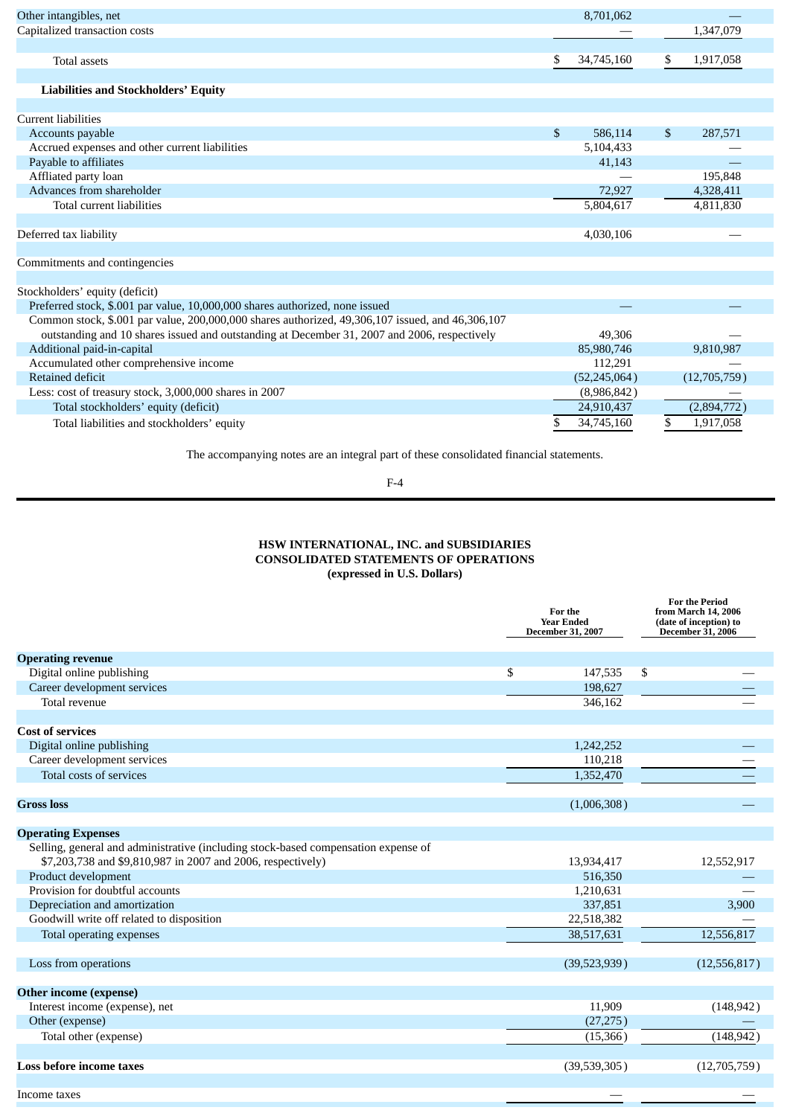| Other intangibles, net                                                                           | 8.701.062        |              |              |
|--------------------------------------------------------------------------------------------------|------------------|--------------|--------------|
| Capitalized transaction costs                                                                    |                  |              | 1,347,079    |
|                                                                                                  |                  |              |              |
| <b>Total assets</b>                                                                              | \$<br>34,745,160 | \$           | 1,917,058    |
|                                                                                                  |                  |              |              |
| <b>Liabilities and Stockholders' Equity</b>                                                      |                  |              |              |
|                                                                                                  |                  |              |              |
| Current liabilities                                                                              |                  |              |              |
| Accounts payable                                                                                 | \$<br>586,114    | $\mathbb{S}$ | 287,571      |
| Accrued expenses and other current liabilities                                                   | 5,104,433        |              |              |
| Payable to affiliates                                                                            | 41,143           |              |              |
| Affliated party loan                                                                             |                  |              | 195,848      |
| Advances from shareholder                                                                        | 72,927           |              | 4,328,411    |
| Total current liabilities                                                                        | 5,804,617        |              | 4,811,830    |
|                                                                                                  |                  |              |              |
| Deferred tax liability                                                                           | 4,030,106        |              |              |
|                                                                                                  |                  |              |              |
| Commitments and contingencies                                                                    |                  |              |              |
|                                                                                                  |                  |              |              |
| Stockholders' equity (deficit)                                                                   |                  |              |              |
| Preferred stock, \$.001 par value, 10,000,000 shares authorized, none issued                     |                  |              |              |
| Common stock, \$.001 par value, 200,000,000 shares authorized, 49,306,107 issued, and 46,306,107 |                  |              |              |
| outstanding and 10 shares issued and outstanding at December 31, 2007 and 2006, respectively     | 49,306           |              |              |
| Additional paid-in-capital                                                                       | 85,980,746       |              | 9,810,987    |
| Accumulated other comprehensive income                                                           | 112,291          |              |              |
| Retained deficit                                                                                 | (52, 245, 064)   |              | (12,705,759) |
| Less: cost of treasury stock, 3,000,000 shares in 2007                                           | (8,986,842)      |              |              |
| Total stockholders' equity (deficit)                                                             | 24,910,437       |              | (2,894,772)  |
| Total liabilities and stockholders' equity                                                       | \$<br>34,745,160 | \$           | 1,917,058    |
|                                                                                                  |                  |              |              |

The accompanying notes are an integral part of these consolidated financial statements.

<span id="page-27-0"></span>F-4

## **HSW INTERNATIONAL, INC. and SUBSIDIARIES CONSOLIDATED STATEMENTS OF OPERATIONS (expressed in U.S. Dollars)**

|                                                                                    | For the<br><b>Year Ended</b><br><b>December 31, 2007</b> | <b>For the Period</b><br>from March 14, 2006<br>(date of inception) to<br><b>December 31, 2006</b> |
|------------------------------------------------------------------------------------|----------------------------------------------------------|----------------------------------------------------------------------------------------------------|
| <b>Operating revenue</b>                                                           |                                                          |                                                                                                    |
| Digital online publishing                                                          | \$<br>147,535                                            | \$                                                                                                 |
| Career development services                                                        | 198,627                                                  |                                                                                                    |
| Total revenue                                                                      | 346,162                                                  |                                                                                                    |
| <b>Cost of services</b>                                                            |                                                          |                                                                                                    |
| Digital online publishing                                                          | 1,242,252                                                |                                                                                                    |
| Career development services                                                        | 110,218                                                  |                                                                                                    |
| Total costs of services                                                            | 1,352,470                                                |                                                                                                    |
| <b>Gross loss</b>                                                                  | (1,006,308)                                              |                                                                                                    |
| <b>Operating Expenses</b>                                                          |                                                          |                                                                                                    |
| Selling, general and administrative (including stock-based compensation expense of |                                                          |                                                                                                    |
| \$7,203,738 and \$9,810,987 in 2007 and 2006, respectively)                        | 13,934,417                                               | 12,552,917                                                                                         |
| Product development                                                                | 516,350                                                  |                                                                                                    |
| Provision for doubtful accounts                                                    | 1,210,631                                                |                                                                                                    |
| Depreciation and amortization                                                      | 337,851                                                  | 3,900                                                                                              |
| Goodwill write off related to disposition                                          | 22,518,382                                               |                                                                                                    |
| Total operating expenses                                                           | 38,517,631                                               | 12,556,817                                                                                         |
| Loss from operations                                                               | (39,523,939)                                             | (12,556,817)                                                                                       |
| Other income (expense)                                                             |                                                          |                                                                                                    |
| Interest income (expense), net                                                     | 11,909                                                   | (148, 942)                                                                                         |
| Other (expense)                                                                    | (27, 275)                                                |                                                                                                    |
| Total other (expense)                                                              | (15,366)                                                 | (148, 942)                                                                                         |
| <b>Loss before income taxes</b>                                                    | (39,539,305)                                             | (12,705,759)                                                                                       |
|                                                                                    |                                                          |                                                                                                    |
| Income taxes                                                                       |                                                          |                                                                                                    |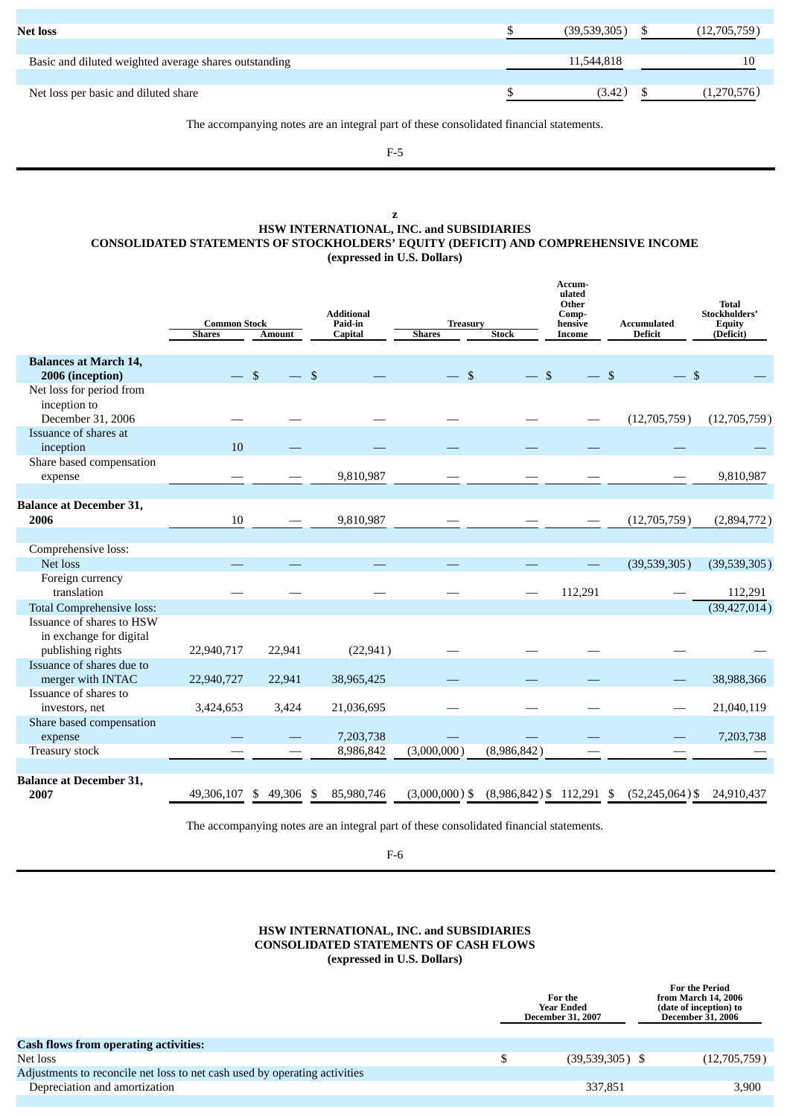| <b>Net loss</b>                                       | (39,539,305) | (12,705,759) |
|-------------------------------------------------------|--------------|--------------|
|                                                       |              |              |
| Basic and diluted weighted average shares outstanding | 11,544,818   | 10           |
|                                                       |              |              |
| Net loss per basic and diluted share                  | (3.42)       | (1,270,576)  |
|                                                       |              |              |

The accompanying notes are an integral part of these consolidated financial statements.

<span id="page-28-0"></span>F-5

### **z HSW INTERNATIONAL, INC. and SUBSIDIARIES CONSOLIDATED STATEMENTS OF STOCKHOLDERS' EQUITY (DEFICIT) AND COMPREHENSIVE INCOME (expressed in U.S. Dollars)**

|                                                | <b>Common Stock</b><br><b>Shares</b> | <b>Amount</b> | <b>Additional</b><br>Paid-in<br>Capital | <b>Treasury</b><br><b>Shares</b> | <b>Stock</b>                | Accum-<br>ulated<br>Other<br>Comp-<br>hensive<br><b>Income</b> | <b>Accumulated</b><br><b>Deficit</b> | <b>Total</b><br>Stockholders'<br><b>Equity</b><br>(Deficit) |
|------------------------------------------------|--------------------------------------|---------------|-----------------------------------------|----------------------------------|-----------------------------|----------------------------------------------------------------|--------------------------------------|-------------------------------------------------------------|
| <b>Balances at March 14,</b>                   |                                      |               |                                         |                                  |                             |                                                                |                                      |                                                             |
| 2006 (inception)<br>Net loss for period from   |                                      | $\mathcal{S}$ | $\mathcal{S}$                           | $-$ \$                           | $\mathcal{S}$               | $-$ \$                                                         | $-$ \$                               |                                                             |
| inception to                                   |                                      |               |                                         |                                  |                             |                                                                |                                      |                                                             |
| December 31, 2006                              |                                      |               |                                         |                                  |                             |                                                                | (12,705,759)                         | (12,705,759)                                                |
| Issuance of shares at                          |                                      |               |                                         |                                  |                             |                                                                |                                      |                                                             |
| inception                                      | 10                                   |               |                                         |                                  |                             |                                                                |                                      |                                                             |
| Share based compensation                       |                                      |               |                                         |                                  |                             |                                                                |                                      |                                                             |
| expense                                        |                                      |               | 9,810,987                               |                                  |                             |                                                                |                                      | 9,810,987                                                   |
| <b>Balance at December 31,</b>                 |                                      |               |                                         |                                  |                             |                                                                |                                      |                                                             |
| 2006                                           | 10                                   |               | 9,810,987                               |                                  |                             |                                                                | (12,705,759)                         | (2,894,772)                                                 |
|                                                |                                      |               |                                         |                                  |                             |                                                                |                                      |                                                             |
| Comprehensive loss:                            |                                      |               |                                         |                                  |                             |                                                                |                                      |                                                             |
| Net loss                                       |                                      |               |                                         |                                  |                             |                                                                | (39,539,305)                         | (39,539,305)                                                |
| Foreign currency<br>translation                |                                      |               |                                         |                                  |                             | 112,291                                                        |                                      | 112,291                                                     |
| <b>Total Comprehensive loss:</b>               |                                      |               |                                         |                                  |                             |                                                                |                                      | (39, 427, 014)                                              |
| Issuance of shares to HSW                      |                                      |               |                                         |                                  |                             |                                                                |                                      |                                                             |
| in exchange for digital                        |                                      |               |                                         |                                  |                             |                                                                |                                      |                                                             |
| publishing rights<br>Issuance of shares due to | 22,940,717                           | 22,941        | (22, 941)                               |                                  |                             |                                                                |                                      |                                                             |
| merger with INTAC                              | 22,940,727                           | 22,941        | 38,965,425                              |                                  |                             |                                                                |                                      | 38,988,366                                                  |
| Issuance of shares to                          |                                      |               |                                         |                                  |                             |                                                                |                                      |                                                             |
| investors, net                                 | 3,424,653                            | 3,424         | 21,036,695                              |                                  |                             |                                                                |                                      | 21,040,119                                                  |
| Share based compensation                       |                                      |               |                                         |                                  |                             |                                                                |                                      |                                                             |
| expense                                        |                                      |               | 7,203,738                               |                                  |                             |                                                                |                                      | 7,203,738                                                   |
| Treasury stock                                 |                                      |               | 8,986,842                               | (3,000,000)                      | (8,986,842)                 |                                                                |                                      |                                                             |
| <b>Balance at December 31,</b>                 |                                      |               |                                         |                                  |                             |                                                                |                                      |                                                             |
| 2007                                           | 49,306,107                           | 49,306<br>\$. | <sup>\$</sup><br>85,980,746             | $(3,000,000)$ \$                 | $(8,986,842)$ \$ 112,291 \$ |                                                                | $(52, 245, 064)$ \$                  | 24,910,437                                                  |
|                                                |                                      |               |                                         |                                  |                             |                                                                |                                      |                                                             |

The accompanying notes are an integral part of these consolidated financial statements.

<span id="page-28-1"></span>F-6

## **HSW INTERNATIONAL, INC. and SUBSIDIARIES CONSOLIDATED STATEMENTS OF CASH FLOWS (expressed in U.S. Dollars)**

|                                                                            |   | For the<br><b>Year Ended</b><br><b>December 31, 2007</b> | <b>For the Period</b><br>from March 14, 2006<br>(date of inception) to<br><b>December 31, 2006</b> |
|----------------------------------------------------------------------------|---|----------------------------------------------------------|----------------------------------------------------------------------------------------------------|
| <b>Cash flows from operating activities:</b>                               |   |                                                          |                                                                                                    |
| Net loss                                                                   | S | $(39,539,305)$ \$                                        | (12,705,759)                                                                                       |
| Adjustments to reconcile net loss to net cash used by operating activities |   |                                                          |                                                                                                    |
| Depreciation and amortization                                              |   | 337,851                                                  | 3,900                                                                                              |
|                                                                            |   |                                                          |                                                                                                    |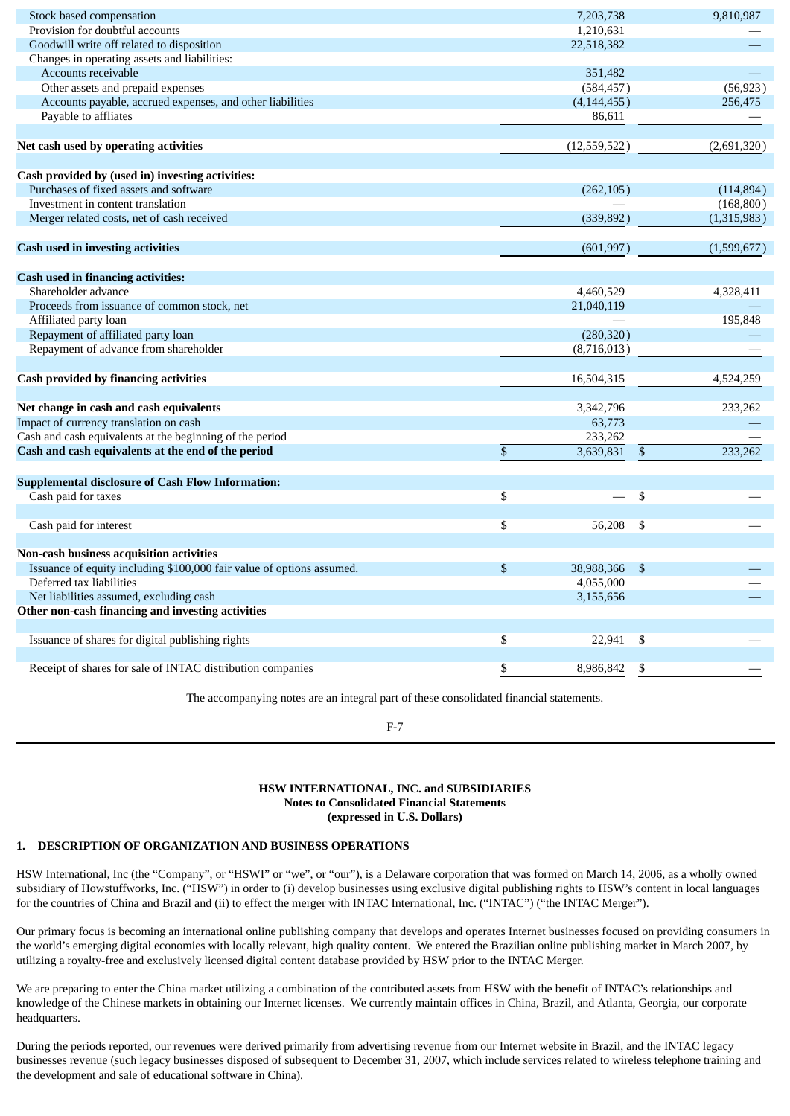| Stock based compensation                                              | 7,203,738        |                | 9,810,987   |
|-----------------------------------------------------------------------|------------------|----------------|-------------|
| Provision for doubtful accounts                                       | 1,210,631        |                |             |
| Goodwill write off related to disposition                             | 22,518,382       |                |             |
| Changes in operating assets and liabilities:                          |                  |                |             |
| Accounts receivable                                                   | 351,482          |                |             |
| Other assets and prepaid expenses                                     | (584, 457)       |                | (56, 923)   |
| Accounts payable, accrued expenses, and other liabilities             | (4, 144, 455)    |                | 256,475     |
| Payable to affliates                                                  | 86,611           |                |             |
|                                                                       |                  |                |             |
| Net cash used by operating activities                                 | (12, 559, 522)   |                | (2,691,320) |
|                                                                       |                  |                |             |
| Cash provided by (used in) investing activities:                      |                  |                |             |
| Purchases of fixed assets and software                                | (262, 105)       |                | (114, 894)  |
| Investment in content translation                                     |                  |                | (168, 800)  |
| Merger related costs, net of cash received                            | (339, 892)       |                | (1,315,983) |
| <b>Cash used in investing activities</b>                              | (601, 997)       |                | (1,599,677) |
|                                                                       |                  |                |             |
| <b>Cash used in financing activities:</b>                             |                  |                |             |
| Shareholder advance                                                   | 4,460,529        |                | 4,328,411   |
| Proceeds from issuance of common stock, net                           | 21,040,119       |                |             |
| Affiliated party loan                                                 |                  |                | 195,848     |
| Repayment of affiliated party loan                                    | (280, 320)       |                |             |
| Repayment of advance from shareholder                                 | (8,716,013)      |                |             |
|                                                                       |                  |                |             |
| <b>Cash provided by financing activities</b>                          | 16,504,315       |                | 4,524,259   |
| Net change in cash and cash equivalents                               | 3,342,796        |                | 233,262     |
| Impact of currency translation on cash                                | 63,773           |                |             |
| Cash and cash equivalents at the beginning of the period              | 233,262          |                |             |
| Cash and cash equivalents at the end of the period                    | \$<br>3,639,831  | $\$$           | 233,262     |
|                                                                       |                  |                |             |
| <b>Supplemental disclosure of Cash Flow Information:</b>              |                  |                |             |
| Cash paid for taxes                                                   | \$               | \$             |             |
|                                                                       |                  |                |             |
| Cash paid for interest                                                | \$<br>56,208     | \$             |             |
| Non-cash business acquisition activities                              |                  |                |             |
| Issuance of equity including \$100,000 fair value of options assumed. | \$<br>38,988,366 | $\mathfrak{s}$ |             |
| Deferred tax liabilities                                              | 4,055,000        |                |             |
| Net liabilities assumed, excluding cash                               | 3,155,656        |                |             |
| Other non-cash financing and investing activities                     |                  |                |             |
|                                                                       |                  |                |             |
| Issuance of shares for digital publishing rights                      | \$<br>22,941     | -\$            |             |
|                                                                       |                  |                |             |
| Receipt of shares for sale of INTAC distribution companies            | \$<br>8,986,842  | \$             |             |

The accompanying notes are an integral part of these consolidated financial statements.

<span id="page-29-0"></span>F-7

### **HSW INTERNATIONAL, INC. and SUBSIDIARIES Notes to Consolidated Financial Statements (expressed in U.S. Dollars)**

## **1. DESCRIPTION OF ORGANIZATION AND BUSINESS OPERATIONS**

HSW International, Inc (the "Company", or "HSWI" or "we", or "our"), is a Delaware corporation that was formed on March 14, 2006, as a wholly owned subsidiary of Howstuffworks, Inc. ("HSW") in order to (i) develop businesses using exclusive digital publishing rights to HSW's content in local languages for the countries of China and Brazil and (ii) to effect the merger with INTAC International, Inc. ("INTAC") ("the INTAC Merger").

Our primary focus is becoming an international online publishing company that develops and operates Internet businesses focused on providing consumers in the world's emerging digital economies with locally relevant, high quality content. We entered the Brazilian online publishing market in March 2007, by utilizing a royalty-free and exclusively licensed digital content database provided by HSW prior to the INTAC Merger.

We are preparing to enter the China market utilizing a combination of the contributed assets from HSW with the benefit of INTAC's relationships and knowledge of the Chinese markets in obtaining our Internet licenses. We currently maintain offices in China, Brazil, and Atlanta, Georgia, our corporate headquarters.

During the periods reported, our revenues were derived primarily from advertising revenue from our Internet website in Brazil, and the INTAC legacy businesses revenue (such legacy businesses disposed of subsequent to December 31, 2007, which include services related to wireless telephone training and the development and sale of educational software in China).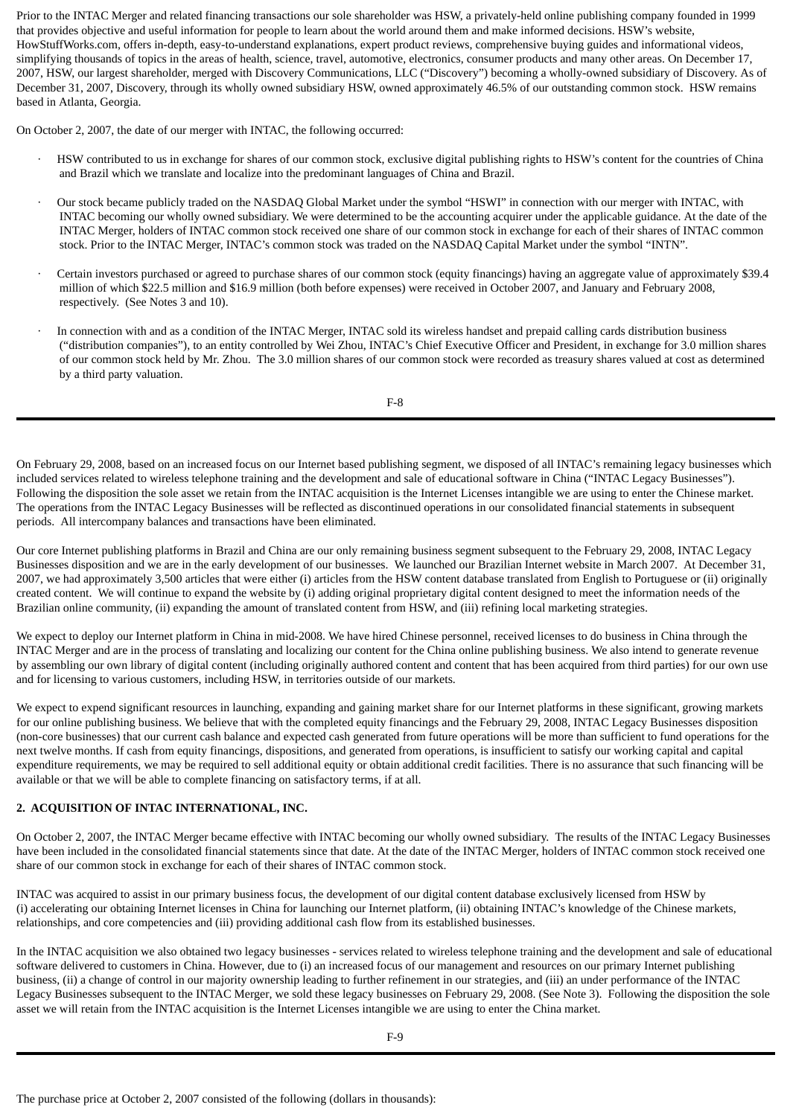Prior to the INTAC Merger and related financing transactions our sole shareholder was HSW, a privately-held online publishing company founded in 1999 that provides objective and useful information for people to learn about the world around them and make informed decisions. HSW's website, HowStuffWorks.com, offers in-depth, easy-to-understand explanations, expert product reviews, comprehensive buying guides and informational videos, simplifying thousands of topics in the areas of health, science, travel, automotive, electronics, consumer products and many other areas. On December 17, 2007, HSW, our largest shareholder, merged with Discovery Communications, LLC ("Discovery") becoming a wholly-owned subsidiary of Discovery. As of December 31, 2007, Discovery, through its wholly owned subsidiary HSW, owned approximately 46.5% of our outstanding common stock. HSW remains based in Atlanta, Georgia.

On October 2, 2007, the date of our merger with INTAC, the following occurred:

- · HSW contributed to us in exchange for shares of our common stock, exclusive digital publishing rights to HSW's content for the countries of China and Brazil which we translate and localize into the predominant languages of China and Brazil.
- · Our stock became publicly traded on the NASDAQ Global Market under the symbol "HSWI" in connection with our merger with INTAC, with INTAC becoming our wholly owned subsidiary. We were determined to be the accounting acquirer under the applicable guidance. At the date of the INTAC Merger, holders of INTAC common stock received one share of our common stock in exchange for each of their shares of INTAC common stock. Prior to the INTAC Merger, INTAC's common stock was traded on the NASDAQ Capital Market under the symbol "INTN".
- · Certain investors purchased or agreed to purchase shares of our common stock (equity financings) having an aggregate value of approximately \$39.4 million of which \$22.5 million and \$16.9 million (both before expenses) were received in October 2007, and January and February 2008, respectively. (See Notes 3 and 10).
- In connection with and as a condition of the INTAC Merger, INTAC sold its wireless handset and prepaid calling cards distribution business ("distribution companies"), to an entity controlled by Wei Zhou, INTAC's Chief Executive Officer and President, in exchange for 3.0 million shares of our common stock held by Mr. Zhou. The 3.0 million shares of our common stock were recorded as treasury shares valued at cost as determined by a third party valuation.

On February 29, 2008, based on an increased focus on our Internet based publishing segment, we disposed of all INTAC's remaining legacy businesses which included services related to wireless telephone training and the development and sale of educational software in China ("INTAC Legacy Businesses"). Following the disposition the sole asset we retain from the INTAC acquisition is the Internet Licenses intangible we are using to enter the Chinese market. The operations from the INTAC Legacy Businesses will be reflected as discontinued operations in our consolidated financial statements in subsequent periods. All intercompany balances and transactions have been eliminated.

Our core Internet publishing platforms in Brazil and China are our only remaining business segment subsequent to the February 29, 2008, INTAC Legacy Businesses disposition and we are in the early development of our businesses. We launched our Brazilian Internet website in March 2007. At December 31, 2007, we had approximately 3,500 articles that were either (i) articles from the HSW content database translated from English to Portuguese or (ii) originally created content. We will continue to expand the website by (i) adding original proprietary digital content designed to meet the information needs of the Brazilian online community, (ii) expanding the amount of translated content from HSW, and (iii) refining local marketing strategies.

We expect to deploy our Internet platform in China in mid-2008. We have hired Chinese personnel, received licenses to do business in China through the INTAC Merger and are in the process of translating and localizing our content for the China online publishing business. We also intend to generate revenue by assembling our own library of digital content (including originally authored content and content that has been acquired from third parties) for our own use and for licensing to various customers, including HSW, in territories outside of our markets.

We expect to expend significant resources in launching, expanding and gaining market share for our Internet platforms in these significant, growing markets for our online publishing business. We believe that with the completed equity financings and the February 29, 2008, INTAC Legacy Businesses disposition (non-core businesses) that our current cash balance and expected cash generated from future operations will be more than sufficient to fund operations for the next twelve months. If cash from equity financings, dispositions, and generated from operations, is insufficient to satisfy our working capital and capital expenditure requirements, we may be required to sell additional equity or obtain additional credit facilities. There is no assurance that such financing will be available or that we will be able to complete financing on satisfactory terms, if at all.

## **2. ACQUISITION OF INTAC INTERNATIONAL, INC.**

On October 2, 2007, the INTAC Merger became effective with INTAC becoming our wholly owned subsidiary. The results of the INTAC Legacy Businesses have been included in the consolidated financial statements since that date. At the date of the INTAC Merger, holders of INTAC common stock received one share of our common stock in exchange for each of their shares of INTAC common stock.

INTAC was acquired to assist in our primary business focus, the development of our digital content database exclusively licensed from HSW by (i) accelerating our obtaining Internet licenses in China for launching our Internet platform, (ii) obtaining INTAC's knowledge of the Chinese markets, relationships, and core competencies and (iii) providing additional cash flow from its established businesses.

In the INTAC acquisition we also obtained two legacy businesses - services related to wireless telephone training and the development and sale of educational software delivered to customers in China. However, due to (i) an increased focus of our management and resources on our primary Internet publishing business, (ii) a change of control in our majority ownership leading to further refinement in our strategies, and (iii) an under performance of the INTAC Legacy Businesses subsequent to the INTAC Merger, we sold these legacy businesses on February 29, 2008. (See Note 3). Following the disposition the sole asset we will retain from the INTAC acquisition is the Internet Licenses intangible we are using to enter the China market.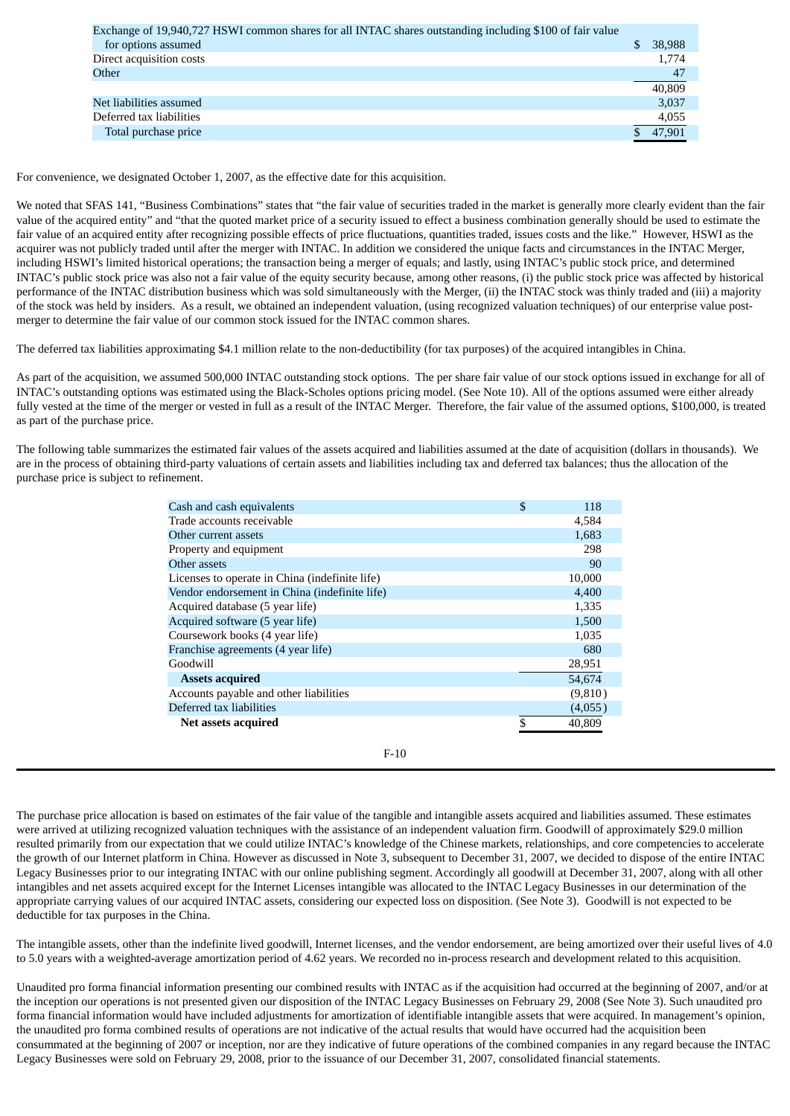| Exchange of 19,940,727 HSWI common shares for all INTAC shares outstanding including \$100 of fair value |  |  |  |
|----------------------------------------------------------------------------------------------------------|--|--|--|
|----------------------------------------------------------------------------------------------------------|--|--|--|

|                          | $\cdot$<br>$\cdot$ $\cdot$ |
|--------------------------|----------------------------|
| for options assumed      | 38,988<br>\$               |
| Direct acquisition costs | 1,774                      |
| Other                    | 47                         |
|                          | 40,809                     |
| Net liabilities assumed  | 3,037                      |
| Deferred tax liabilities | 4,055                      |
| Total purchase price     | 47,901                     |
|                          |                            |

For convenience, we designated October 1, 2007, as the effective date for this acquisition.

We noted that SFAS 141, "Business Combinations" states that "the fair value of securities traded in the market is generally more clearly evident than the fair value of the acquired entity" and "that the quoted market price of a security issued to effect a business combination generally should be used to estimate the fair value of an acquired entity after recognizing possible effects of price fluctuations, quantities traded, issues costs and the like." However, HSWI as the acquirer was not publicly traded until after the merger with INTAC. In addition we considered the unique facts and circumstances in the INTAC Merger, including HSWI's limited historical operations; the transaction being a merger of equals; and lastly, using INTAC's public stock price, and determined INTAC's public stock price was also not a fair value of the equity security because, among other reasons, (i) the public stock price was affected by historical performance of the INTAC distribution business which was sold simultaneously with the Merger, (ii) the INTAC stock was thinly traded and (iii) a majority of the stock was held by insiders. As a result, we obtained an independent valuation, (using recognized valuation techniques) of our enterprise value postmerger to determine the fair value of our common stock issued for the INTAC common shares.

The deferred tax liabilities approximating \$4.1 million relate to the non-deductibility (for tax purposes) of the acquired intangibles in China.

As part of the acquisition, we assumed 500,000 INTAC outstanding stock options. The per share fair value of our stock options issued in exchange for all of INTAC's outstanding options was estimated using the Black-Scholes options pricing model. (See Note 10). All of the options assumed were either already fully vested at the time of the merger or vested in full as a result of the INTAC Merger. Therefore, the fair value of the assumed options, \$100,000, is treated as part of the purchase price.

The following table summarizes the estimated fair values of the assets acquired and liabilities assumed at the date of acquisition (dollars in thousands). We are in the process of obtaining third-party valuations of certain assets and liabilities including tax and deferred tax balances; thus the allocation of the purchase price is subject to refinement.

| Cash and cash equivalents                      | \$ | 118     |
|------------------------------------------------|----|---------|
| Trade accounts receivable                      |    | 4,584   |
| Other current assets                           |    | 1,683   |
| Property and equipment                         |    | 298     |
| Other assets                                   |    | 90      |
| Licenses to operate in China (indefinite life) |    | 10,000  |
| Vendor endorsement in China (indefinite life)  |    | 4,400   |
| Acquired database (5 year life)                |    | 1,335   |
| Acquired software (5 year life)                |    | 1,500   |
| Coursework books (4 year life)                 |    | 1,035   |
| Franchise agreements (4 year life)             |    | 680     |
| Goodwill                                       |    | 28,951  |
| <b>Assets acquired</b>                         |    | 54,674  |
| Accounts payable and other liabilities         |    | (9,810) |
| Deferred tax liabilities                       |    | (4,055) |
| Net assets acquired                            | ፍ  | 40,809  |

F-10

The purchase price allocation is based on estimates of the fair value of the tangible and intangible assets acquired and liabilities assumed. These estimates were arrived at utilizing recognized valuation techniques with the assistance of an independent valuation firm. Goodwill of approximately \$29.0 million resulted primarily from our expectation that we could utilize INTAC's knowledge of the Chinese markets, relationships, and core competencies to accelerate the growth of our Internet platform in China. However as discussed in Note 3, subsequent to December 31, 2007, we decided to dispose of the entire INTAC Legacy Businesses prior to our integrating INTAC with our online publishing segment. Accordingly all goodwill at December 31, 2007, along with all other intangibles and net assets acquired except for the Internet Licenses intangible was allocated to the INTAC Legacy Businesses in our determination of the appropriate carrying values of our acquired INTAC assets, considering our expected loss on disposition. (See Note 3). Goodwill is not expected to be deductible for tax purposes in the China.

The intangible assets, other than the indefinite lived goodwill, Internet licenses, and the vendor endorsement, are being amortized over their useful lives of 4.0 to 5.0 years with a weighted-average amortization period of 4.62 years. We recorded no in-process research and development related to this acquisition.

Unaudited pro forma financial information presenting our combined results with INTAC as if the acquisition had occurred at the beginning of 2007, and/or at the inception our operations is not presented given our disposition of the INTAC Legacy Businesses on February 29, 2008 (See Note 3). Such unaudited pro forma financial information would have included adjustments for amortization of identifiable intangible assets that were acquired. In management's opinion, the unaudited pro forma combined results of operations are not indicative of the actual results that would have occurred had the acquisition been consummated at the beginning of 2007 or inception, nor are they indicative of future operations of the combined companies in any regard because the INTAC Legacy Businesses were sold on February 29, 2008, prior to the issuance of our December 31, 2007, consolidated financial statements.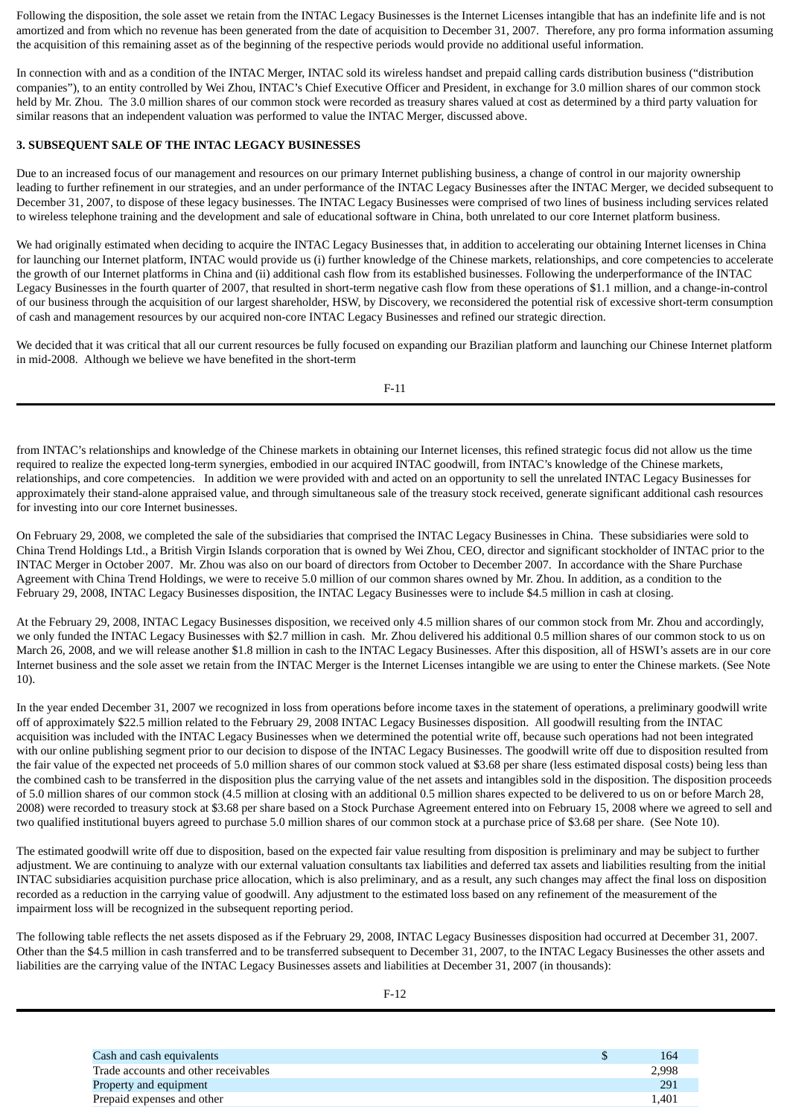Following the disposition, the sole asset we retain from the INTAC Legacy Businesses is the Internet Licenses intangible that has an indefinite life and is not amortized and from which no revenue has been generated from the date of acquisition to December 31, 2007. Therefore, any pro forma information assuming the acquisition of this remaining asset as of the beginning of the respective periods would provide no additional useful information.

In connection with and as a condition of the INTAC Merger, INTAC sold its wireless handset and prepaid calling cards distribution business ("distribution companies"), to an entity controlled by Wei Zhou, INTAC's Chief Executive Officer and President, in exchange for 3.0 million shares of our common stock held by Mr. Zhou. The 3.0 million shares of our common stock were recorded as treasury shares valued at cost as determined by a third party valuation for similar reasons that an independent valuation was performed to value the INTAC Merger, discussed above.

## **3. SUBSEQUENT SALE OF THE INTAC LEGACY BUSINESSES**

Due to an increased focus of our management and resources on our primary Internet publishing business, a change of control in our majority ownership leading to further refinement in our strategies, and an under performance of the INTAC Legacy Businesses after the INTAC Merger, we decided subsequent to December 31, 2007, to dispose of these legacy businesses. The INTAC Legacy Businesses were comprised of two lines of business including services related to wireless telephone training and the development and sale of educational software in China, both unrelated to our core Internet platform business.

We had originally estimated when deciding to acquire the INTAC Legacy Businesses that, in addition to accelerating our obtaining Internet licenses in China for launching our Internet platform, INTAC would provide us (i) further knowledge of the Chinese markets, relationships, and core competencies to accelerate the growth of our Internet platforms in China and (ii) additional cash flow from its established businesses. Following the underperformance of the INTAC Legacy Businesses in the fourth quarter of 2007, that resulted in short-term negative cash flow from these operations of \$1.1 million, and a change-in-control of our business through the acquisition of our largest shareholder, HSW, by Discovery, we reconsidered the potential risk of excessive short-term consumption of cash and management resources by our acquired non-core INTAC Legacy Businesses and refined our strategic direction.

We decided that it was critical that all our current resources be fully focused on expanding our Brazilian platform and launching our Chinese Internet platform in mid-2008. Although we believe we have benefited in the short-term

F-11

from INTAC's relationships and knowledge of the Chinese markets in obtaining our Internet licenses, this refined strategic focus did not allow us the time required to realize the expected long-term synergies, embodied in our acquired INTAC goodwill, from INTAC's knowledge of the Chinese markets, relationships, and core competencies. In addition we were provided with and acted on an opportunity to sell the unrelated INTAC Legacy Businesses for approximately their stand-alone appraised value, and through simultaneous sale of the treasury stock received, generate significant additional cash resources for investing into our core Internet businesses.

On February 29, 2008, we completed the sale of the subsidiaries that comprised the INTAC Legacy Businesses in China. These subsidiaries were sold to China Trend Holdings Ltd., a British Virgin Islands corporation that is owned by Wei Zhou, CEO, director and significant stockholder of INTAC prior to the INTAC Merger in October 2007. Mr. Zhou was also on our board of directors from October to December 2007. In accordance with the Share Purchase Agreement with China Trend Holdings, we were to receive 5.0 million of our common shares owned by Mr. Zhou. In addition, as a condition to the February 29, 2008, INTAC Legacy Businesses disposition, the INTAC Legacy Businesses were to include \$4.5 million in cash at closing.

At the February 29, 2008, INTAC Legacy Businesses disposition, we received only 4.5 million shares of our common stock from Mr. Zhou and accordingly, we only funded the INTAC Legacy Businesses with \$2.7 million in cash. Mr. Zhou delivered his additional 0.5 million shares of our common stock to us on March 26, 2008, and we will release another \$1.8 million in cash to the INTAC Legacy Businesses. After this disposition, all of HSWI's assets are in our core Internet business and the sole asset we retain from the INTAC Merger is the Internet Licenses intangible we are using to enter the Chinese markets. (See Note 10).

In the year ended December 31, 2007 we recognized in loss from operations before income taxes in the statement of operations, a preliminary goodwill write off of approximately \$22.5 million related to the February 29, 2008 INTAC Legacy Businesses disposition. All goodwill resulting from the INTAC acquisition was included with the INTAC Legacy Businesses when we determined the potential write off, because such operations had not been integrated with our online publishing segment prior to our decision to dispose of the INTAC Legacy Businesses. The goodwill write off due to disposition resulted from the fair value of the expected net proceeds of 5.0 million shares of our common stock valued at \$3.68 per share (less estimated disposal costs) being less than the combined cash to be transferred in the disposition plus the carrying value of the net assets and intangibles sold in the disposition. The disposition proceeds of 5.0 million shares of our common stock (4.5 million at closing with an additional 0.5 million shares expected to be delivered to us on or before March 28, 2008) were recorded to treasury stock at \$3.68 per share based on a Stock Purchase Agreement entered into on February 15, 2008 where we agreed to sell and two qualified institutional buyers agreed to purchase 5.0 million shares of our common stock at a purchase price of \$3.68 per share. (See Note 10).

The estimated goodwill write off due to disposition, based on the expected fair value resulting from disposition is preliminary and may be subject to further adjustment. We are continuing to analyze with our external valuation consultants tax liabilities and deferred tax assets and liabilities resulting from the initial INTAC subsidiaries acquisition purchase price allocation, which is also preliminary, and as a result, any such changes may affect the final loss on disposition recorded as a reduction in the carrying value of goodwill. Any adjustment to the estimated loss based on any refinement of the measurement of the impairment loss will be recognized in the subsequent reporting period.

The following table reflects the net assets disposed as if the February 29, 2008, INTAC Legacy Businesses disposition had occurred at December 31, 2007. Other than the \$4.5 million in cash transferred and to be transferred subsequent to December 31, 2007, to the INTAC Legacy Businesses the other assets and liabilities are the carrying value of the INTAC Legacy Businesses assets and liabilities at December 31, 2007 (in thousands):

| Cash and cash equivalents            | 164   |
|--------------------------------------|-------|
| Trade accounts and other receivables | 2,998 |
| Property and equipment               | 291   |
| Prepaid expenses and other           | 1.401 |
|                                      |       |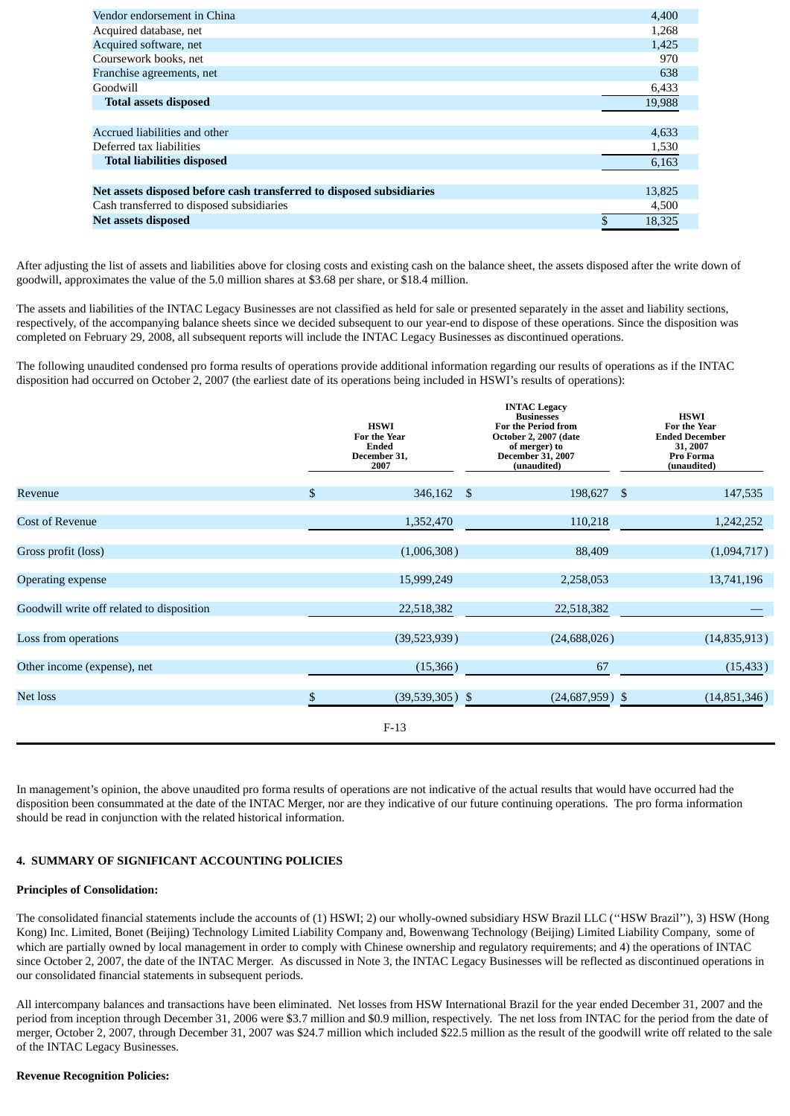| 4.400  |
|--------|
| 1,268  |
| 1,425  |
| 970    |
| 638    |
| 6,433  |
| 19,988 |
|        |
| 4,633  |
| 1,530  |
| 6,163  |
|        |
| 13,825 |
| 4,500  |
| 18,325 |
|        |

After adjusting the list of assets and liabilities above for closing costs and existing cash on the balance sheet, the assets disposed after the write down of goodwill, approximates the value of the 5.0 million shares at \$3.68 per share, or \$18.4 million.

The assets and liabilities of the INTAC Legacy Businesses are not classified as held for sale or presented separately in the asset and liability sections, respectively, of the accompanying balance sheets since we decided subsequent to our year-end to dispose of these operations. Since the disposition was completed on February 29, 2008, all subsequent reports will include the INTAC Legacy Businesses as discontinued operations.

The following unaudited condensed pro forma results of operations provide additional information regarding our results of operations as if the INTAC disposition had occurred on October 2, 2007 (the earliest date of its operations being included in HSWI's results of operations):

|                                           | <b>HSWI</b><br>For the Year<br><b>Ended</b><br>December 31,<br>2007 | <b>INTAC Legacy</b><br><b>Businesses</b><br><b>For the Period from</b><br>October 2, 2007 (date<br>of merger) to<br>December 31, 2007<br>(unaudited) | <b>HSWI</b><br>For the Year<br><b>Ended December</b><br>31, 2007<br>Pro Forma<br>(unaudited) |
|-------------------------------------------|---------------------------------------------------------------------|------------------------------------------------------------------------------------------------------------------------------------------------------|----------------------------------------------------------------------------------------------|
| Revenue                                   | \$<br>346,162 \$                                                    | 198,627 \$                                                                                                                                           | 147,535                                                                                      |
| <b>Cost of Revenue</b>                    | 1,352,470                                                           | 110,218                                                                                                                                              | 1,242,252                                                                                    |
| Gross profit (loss)                       | (1,006,308)                                                         | 88,409                                                                                                                                               | (1,094,717)                                                                                  |
| <b>Operating expense</b>                  | 15,999,249                                                          | 2,258,053                                                                                                                                            | 13,741,196                                                                                   |
| Goodwill write off related to disposition | 22,518,382                                                          | 22,518,382                                                                                                                                           |                                                                                              |
| Loss from operations                      | (39,523,939)                                                        | (24, 688, 026)                                                                                                                                       | (14, 835, 913)                                                                               |
| Other income (expense), net               | (15,366)                                                            | 67                                                                                                                                                   | (15, 433)                                                                                    |
| Net loss                                  | $(39,539,305)$ \$                                                   | $(24,687,959)$ \$                                                                                                                                    | (14,851,346)                                                                                 |
|                                           | $F-13$                                                              |                                                                                                                                                      |                                                                                              |

In management's opinion, the above unaudited pro forma results of operations are not indicative of the actual results that would have occurred had the disposition been consummated at the date of the INTAC Merger, nor are they indicative of our future continuing operations. The pro forma information should be read in conjunction with the related historical information.

## **4. SUMMARY OF SIGNIFICANT ACCOUNTING POLICIES**

## **Principles of Consolidation:**

The consolidated financial statements include the accounts of (1) HSWI; 2) our wholly-owned subsidiary HSW Brazil LLC (''HSW Brazil''), 3) HSW (Hong Kong) Inc. Limited, Bonet (Beijing) Technology Limited Liability Company and, Bowenwang Technology (Beijing) Limited Liability Company, some of which are partially owned by local management in order to comply with Chinese ownership and regulatory requirements; and 4) the operations of INTAC since October 2, 2007, the date of the INTAC Merger. As discussed in Note 3, the INTAC Legacy Businesses will be reflected as discontinued operations in our consolidated financial statements in subsequent periods.

All intercompany balances and transactions have been eliminated. Net losses from HSW International Brazil for the year ended December 31, 2007 and the period from inception through December 31, 2006 were \$3.7 million and \$0.9 million, respectively. The net loss from INTAC for the period from the date of merger, October 2, 2007, through December 31, 2007 was \$24.7 million which included \$22.5 million as the result of the goodwill write off related to the sale of the INTAC Legacy Businesses.

#### **Revenue Recognition Policies:**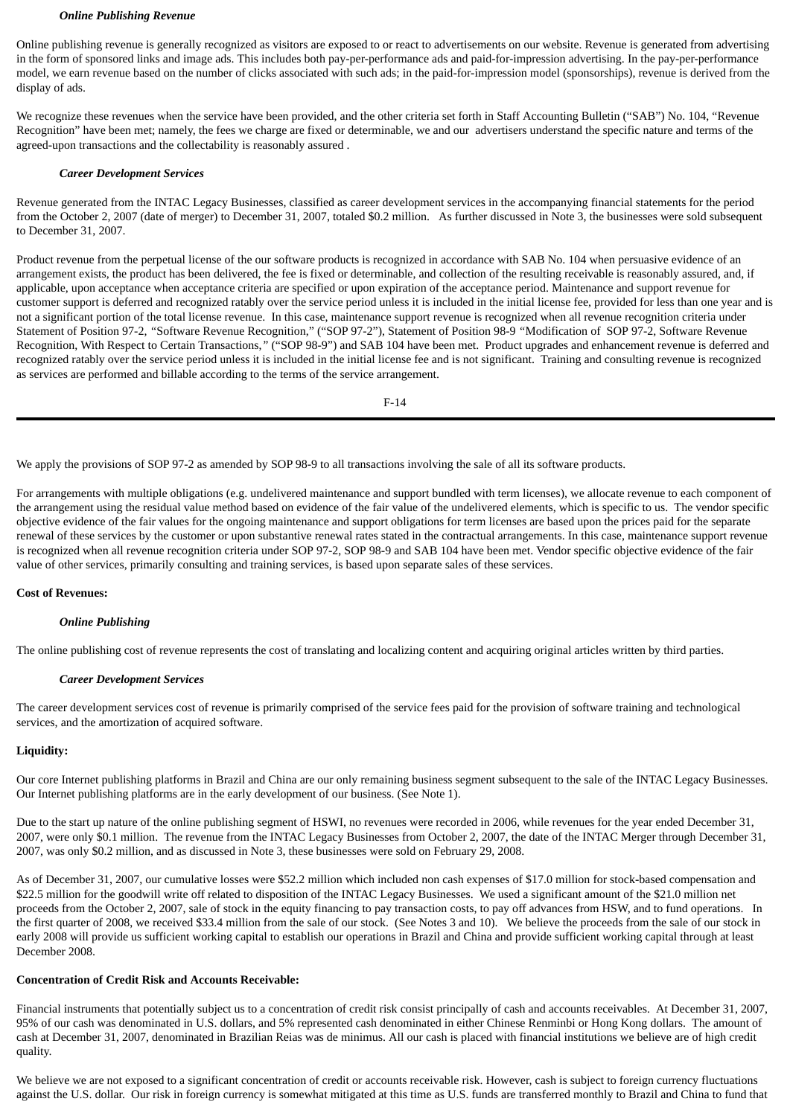#### *Online Publishing Revenue*

Online publishing revenue is generally recognized as visitors are exposed to or react to advertisements on our website. Revenue is generated from advertising in the form of sponsored links and image ads. This includes both pay-per-performance ads and paid-for-impression advertising. In the pay-per-performance model, we earn revenue based on the number of clicks associated with such ads; in the paid-for-impression model (sponsorships), revenue is derived from the display of ads.

We recognize these revenues when the service have been provided, and the other criteria set forth in Staff Accounting Bulletin ("SAB") No. 104, "Revenue Recognition" have been met; namely, the fees we charge are fixed or determinable, we and our advertisers understand the specific nature and terms of the agreed-upon transactions and the collectability is reasonably assured .

#### *Career Development Services*

Revenue generated from the INTAC Legacy Businesses, classified as career development services in the accompanying financial statements for the period from the October 2, 2007 (date of merger) to December 31, 2007, totaled \$0.2 million. As further discussed in Note 3, the businesses were sold subsequent to December 31, 2007.

Product revenue from the perpetual license of the our software products is recognized in accordance with SAB No. 104 when persuasive evidence of an arrangement exists, the product has been delivered, the fee is fixed or determinable, and collection of the resulting receivable is reasonably assured, and, if applicable, upon acceptance when acceptance criteria are specified or upon expiration of the acceptance period. Maintenance and support revenue for customer support is deferred and recognized ratably over the service period unless it is included in the initial license fee, provided for less than one year and is not a significant portion of the total license revenue. In this case, maintenance support revenue is recognized when all revenue recognition criteria under Statement of Position 97-2, *"*Software Revenue Recognition," ("SOP 97-2"), Statement of Position 98-9 *"*Modification of SOP 97-2, Software Revenue Recognition, With Respect to Certain Transactions,*"* ("SOP 98-9") and SAB 104 have been met. Product upgrades and enhancement revenue is deferred and recognized ratably over the service period unless it is included in the initial license fee and is not significant. Training and consulting revenue is recognized as services are performed and billable according to the terms of the service arrangement.

 $F-14$ 

We apply the provisions of SOP 97-2 as amended by SOP 98-9 to all transactions involving the sale of all its software products.

For arrangements with multiple obligations (e.g. undelivered maintenance and support bundled with term licenses), we allocate revenue to each component of the arrangement using the residual value method based on evidence of the fair value of the undelivered elements, which is specific to us. The vendor specific objective evidence of the fair values for the ongoing maintenance and support obligations for term licenses are based upon the prices paid for the separate renewal of these services by the customer or upon substantive renewal rates stated in the contractual arrangements. In this case, maintenance support revenue is recognized when all revenue recognition criteria under SOP 97-2, SOP 98-9 and SAB 104 have been met. Vendor specific objective evidence of the fair value of other services, primarily consulting and training services, is based upon separate sales of these services.

#### **Cost of Revenues:**

#### *Online Publishing*

The online publishing cost of revenue represents the cost of translating and localizing content and acquiring original articles written by third parties.

#### *Career Development Services*

The career development services cost of revenue is primarily comprised of the service fees paid for the provision of software training and technological services, and the amortization of acquired software.

#### **Liquidity:**

Our core Internet publishing platforms in Brazil and China are our only remaining business segment subsequent to the sale of the INTAC Legacy Businesses. Our Internet publishing platforms are in the early development of our business. (See Note 1).

Due to the start up nature of the online publishing segment of HSWI, no revenues were recorded in 2006, while revenues for the year ended December 31, 2007, were only \$0.1 million. The revenue from the INTAC Legacy Businesses from October 2, 2007, the date of the INTAC Merger through December 31, 2007, was only \$0.2 million, and as discussed in Note 3, these businesses were sold on February 29, 2008.

As of December 31, 2007, our cumulative losses were \$52.2 million which included non cash expenses of \$17.0 million for stock-based compensation and \$22.5 million for the goodwill write off related to disposition of the INTAC Legacy Businesses. We used a significant amount of the \$21.0 million net proceeds from the October 2, 2007, sale of stock in the equity financing to pay transaction costs, to pay off advances from HSW, and to fund operations. In the first quarter of 2008, we received \$33.4 million from the sale of our stock. (See Notes 3 and 10). We believe the proceeds from the sale of our stock in early 2008 will provide us sufficient working capital to establish our operations in Brazil and China and provide sufficient working capital through at least December 2008.

#### **Concentration of Credit Risk and Accounts Receivable:**

Financial instruments that potentially subject us to a concentration of credit risk consist principally of cash and accounts receivables. At December 31, 2007, 95% of our cash was denominated in U.S. dollars, and 5% represented cash denominated in either Chinese Renminbi or Hong Kong dollars. The amount of cash at December 31, 2007, denominated in Brazilian Reias was de minimus. All our cash is placed with financial institutions we believe are of high credit quality.

We believe we are not exposed to a significant concentration of credit or accounts receivable risk. However, cash is subject to foreign currency fluctuations against the U.S. dollar. Our risk in foreign currency is somewhat mitigated at this time as U.S. funds are transferred monthly to Brazil and China to fund that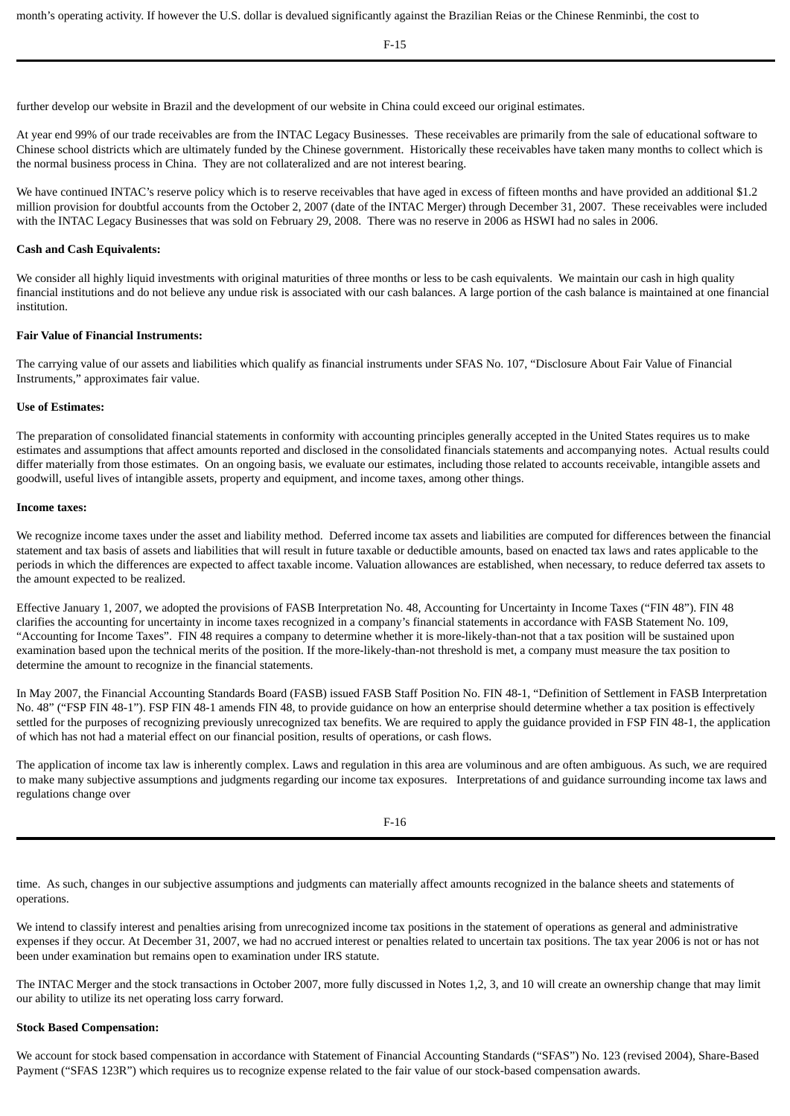further develop our website in Brazil and the development of our website in China could exceed our original estimates.

At year end 99% of our trade receivables are from the INTAC Legacy Businesses. These receivables are primarily from the sale of educational software to Chinese school districts which are ultimately funded by the Chinese government. Historically these receivables have taken many months to collect which is the normal business process in China. They are not collateralized and are not interest bearing.

We have continued INTAC's reserve policy which is to reserve receivables that have aged in excess of fifteen months and have provided an additional \$1.2 million provision for doubtful accounts from the October 2, 2007 (date of the INTAC Merger) through December 31, 2007. These receivables were included with the INTAC Legacy Businesses that was sold on February 29, 2008. There was no reserve in 2006 as HSWI had no sales in 2006.

#### **Cash and Cash Equivalents:**

We consider all highly liquid investments with original maturities of three months or less to be cash equivalents. We maintain our cash in high quality financial institutions and do not believe any undue risk is associated with our cash balances. A large portion of the cash balance is maintained at one financial institution.

#### **Fair Value of Financial Instruments:**

The carrying value of our assets and liabilities which qualify as financial instruments under SFAS No. 107, "Disclosure About Fair Value of Financial Instruments," approximates fair value.

#### **Use of Estimates:**

The preparation of consolidated financial statements in conformity with accounting principles generally accepted in the United States requires us to make estimates and assumptions that affect amounts reported and disclosed in the consolidated financials statements and accompanying notes. Actual results could differ materially from those estimates. On an ongoing basis, we evaluate our estimates, including those related to accounts receivable, intangible assets and goodwill, useful lives of intangible assets, property and equipment, and income taxes, among other things.

#### **Income taxes:**

We recognize income taxes under the asset and liability method. Deferred income tax assets and liabilities are computed for differences between the financial statement and tax basis of assets and liabilities that will result in future taxable or deductible amounts, based on enacted tax laws and rates applicable to the periods in which the differences are expected to affect taxable income. Valuation allowances are established, when necessary, to reduce deferred tax assets to the amount expected to be realized.

Effective January 1, 2007, we adopted the provisions of FASB Interpretation No. 48, Accounting for Uncertainty in Income Taxes ("FIN 48"). FIN 48 clarifies the accounting for uncertainty in income taxes recognized in a company's financial statements in accordance with FASB Statement No. 109, "Accounting for Income Taxes". FIN 48 requires a company to determine whether it is more-likely-than-not that a tax position will be sustained upon examination based upon the technical merits of the position. If the more-likely-than-not threshold is met, a company must measure the tax position to determine the amount to recognize in the financial statements.

In May 2007, the Financial Accounting Standards Board (FASB) issued FASB Staff Position No. FIN 48-1, "Definition of Settlement in FASB Interpretation No. 48" ("FSP FIN 48-1"). FSP FIN 48-1 amends FIN 48, to provide guidance on how an enterprise should determine whether a tax position is effectively settled for the purposes of recognizing previously unrecognized tax benefits. We are required to apply the guidance provided in FSP FIN 48-1, the application of which has not had a material effect on our financial position, results of operations, or cash flows.

The application of income tax law is inherently complex. Laws and regulation in this area are voluminous and are often ambiguous. As such, we are required to make many subjective assumptions and judgments regarding our income tax exposures. Interpretations of and guidance surrounding income tax laws and regulations change over

F-16

time. As such, changes in our subjective assumptions and judgments can materially affect amounts recognized in the balance sheets and statements of operations.

We intend to classify interest and penalties arising from unrecognized income tax positions in the statement of operations as general and administrative expenses if they occur. At December 31, 2007, we had no accrued interest or penalties related to uncertain tax positions. The tax year 2006 is not or has not been under examination but remains open to examination under IRS statute.

The INTAC Merger and the stock transactions in October 2007, more fully discussed in Notes 1,2, 3, and 10 will create an ownership change that may limit our ability to utilize its net operating loss carry forward.

#### **Stock Based Compensation:**

We account for stock based compensation in accordance with Statement of Financial Accounting Standards ("SFAS") No. 123 (revised 2004), Share-Based Payment ("SFAS 123R") which requires us to recognize expense related to the fair value of our stock-based compensation awards.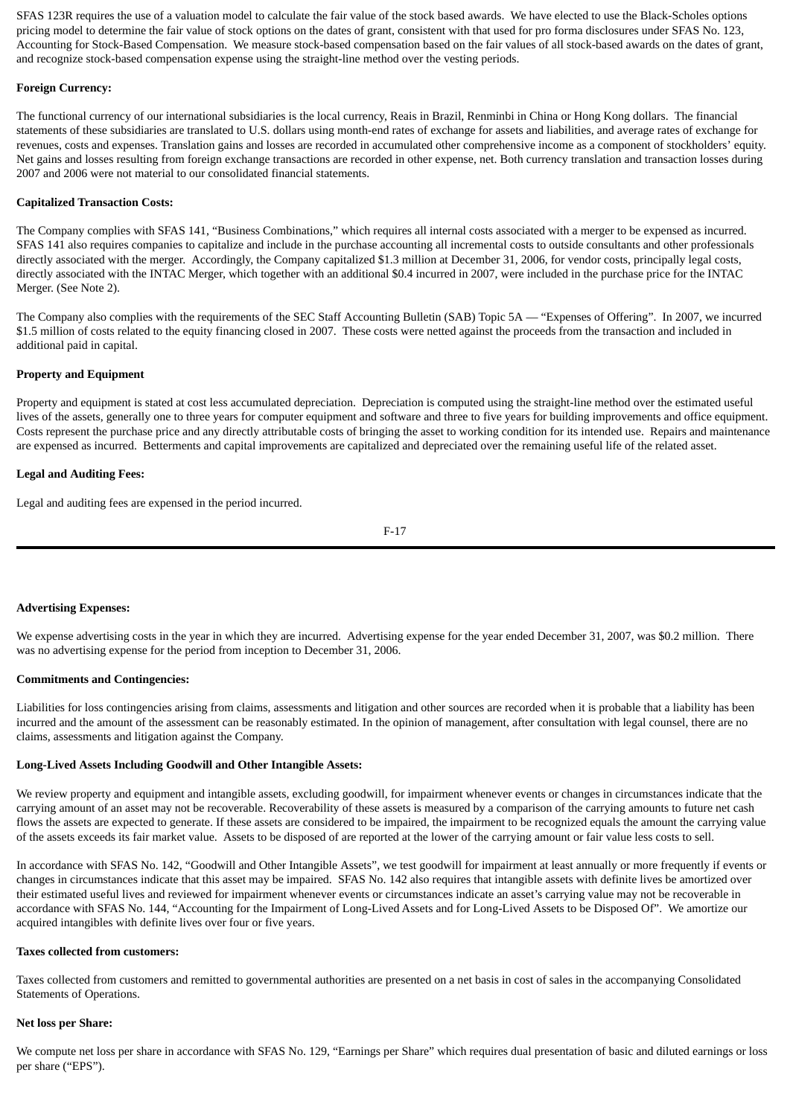SFAS 123R requires the use of a valuation model to calculate the fair value of the stock based awards. We have elected to use the Black-Scholes options pricing model to determine the fair value of stock options on the dates of grant, consistent with that used for pro forma disclosures under SFAS No. 123, Accounting for Stock-Based Compensation. We measure stock-based compensation based on the fair values of all stock-based awards on the dates of grant, and recognize stock-based compensation expense using the straight-line method over the vesting periods.

## **Foreign Currency:**

The functional currency of our international subsidiaries is the local currency, Reais in Brazil, Renminbi in China or Hong Kong dollars. The financial statements of these subsidiaries are translated to U.S. dollars using month-end rates of exchange for assets and liabilities, and average rates of exchange for revenues, costs and expenses. Translation gains and losses are recorded in accumulated other comprehensive income as a component of stockholders' equity. Net gains and losses resulting from foreign exchange transactions are recorded in other expense, net. Both currency translation and transaction losses during 2007 and 2006 were not material to our consolidated financial statements.

## **Capitalized Transaction Costs:**

The Company complies with SFAS 141, "Business Combinations," which requires all internal costs associated with a merger to be expensed as incurred. SFAS 141 also requires companies to capitalize and include in the purchase accounting all incremental costs to outside consultants and other professionals directly associated with the merger. Accordingly, the Company capitalized \$1.3 million at December 31, 2006, for vendor costs, principally legal costs, directly associated with the INTAC Merger, which together with an additional \$0.4 incurred in 2007, were included in the purchase price for the INTAC Merger. (See Note 2).

The Company also complies with the requirements of the SEC Staff Accounting Bulletin (SAB) Topic 5A — "Expenses of Offering". In 2007, we incurred \$1.5 million of costs related to the equity financing closed in 2007. These costs were netted against the proceeds from the transaction and included in additional paid in capital.

## **Property and Equipment**

Property and equipment is stated at cost less accumulated depreciation. Depreciation is computed using the straight-line method over the estimated useful lives of the assets, generally one to three years for computer equipment and software and three to five years for building improvements and office equipment. Costs represent the purchase price and any directly attributable costs of bringing the asset to working condition for its intended use. Repairs and maintenance are expensed as incurred. Betterments and capital improvements are capitalized and depreciated over the remaining useful life of the related asset.

## **Legal and Auditing Fees:**

Legal and auditing fees are expensed in the period incurred.

F-17

## **Advertising Expenses:**

We expense advertising costs in the year in which they are incurred. Advertising expense for the year ended December 31, 2007, was \$0.2 million. There was no advertising expense for the period from inception to December 31, 2006.

## **Commitments and Contingencies:**

Liabilities for loss contingencies arising from claims, assessments and litigation and other sources are recorded when it is probable that a liability has been incurred and the amount of the assessment can be reasonably estimated. In the opinion of management, after consultation with legal counsel, there are no claims, assessments and litigation against the Company.

## **Long-Lived Assets Including Goodwill and Other Intangible Assets:**

We review property and equipment and intangible assets, excluding goodwill, for impairment whenever events or changes in circumstances indicate that the carrying amount of an asset may not be recoverable. Recoverability of these assets is measured by a comparison of the carrying amounts to future net cash flows the assets are expected to generate. If these assets are considered to be impaired, the impairment to be recognized equals the amount the carrying value of the assets exceeds its fair market value. Assets to be disposed of are reported at the lower of the carrying amount or fair value less costs to sell.

In accordance with SFAS No. 142, "Goodwill and Other Intangible Assets", we test goodwill for impairment at least annually or more frequently if events or changes in circumstances indicate that this asset may be impaired. SFAS No. 142 also requires that intangible assets with definite lives be amortized over their estimated useful lives and reviewed for impairment whenever events or circumstances indicate an asset's carrying value may not be recoverable in accordance with SFAS No. 144, "Accounting for the Impairment of Long-Lived Assets and for Long-Lived Assets to be Disposed Of". We amortize our acquired intangibles with definite lives over four or five years.

## **Taxes collected from customers:**

Taxes collected from customers and remitted to governmental authorities are presented on a net basis in cost of sales in the accompanying Consolidated Statements of Operations.

## **Net loss per Share:**

We compute net loss per share in accordance with SFAS No. 129, "Earnings per Share" which requires dual presentation of basic and diluted earnings or loss per share ("EPS").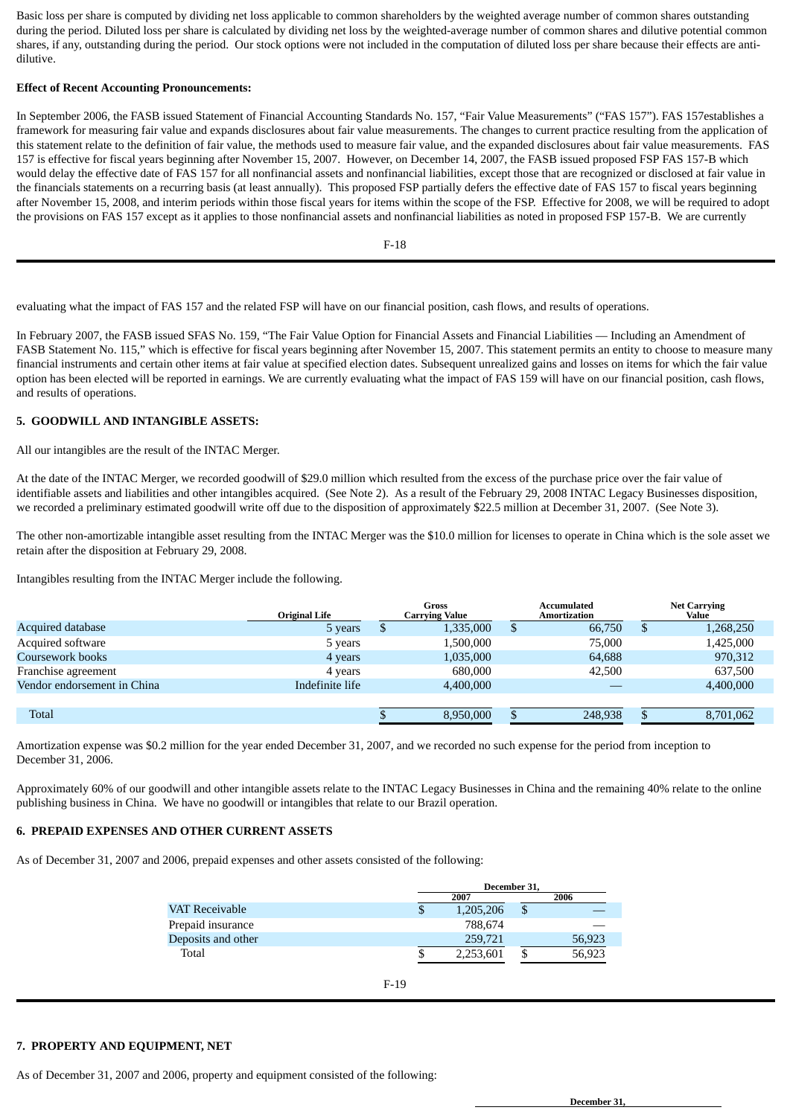Basic loss per share is computed by dividing net loss applicable to common shareholders by the weighted average number of common shares outstanding during the period. Diluted loss per share is calculated by dividing net loss by the weighted-average number of common shares and dilutive potential common shares, if any, outstanding during the period. Our stock options were not included in the computation of diluted loss per share because their effects are antidilutive.

## **Effect of Recent Accounting Pronouncements:**

In September 2006, the FASB issued Statement of Financial Accounting Standards No. 157, "Fair Value Measurements" ("FAS 157"). FAS 157establishes a framework for measuring fair value and expands disclosures about fair value measurements. The changes to current practice resulting from the application of this statement relate to the definition of fair value, the methods used to measure fair value, and the expanded disclosures about fair value measurements. FAS 157 is effective for fiscal years beginning after November 15, 2007. However, on December 14, 2007, the FASB issued proposed FSP FAS 157-B which would delay the effective date of FAS 157 for all nonfinancial assets and nonfinancial liabilities, except those that are recognized or disclosed at fair value in the financials statements on a recurring basis (at least annually). This proposed FSP partially defers the effective date of FAS 157 to fiscal years beginning after November 15, 2008, and interim periods within those fiscal years for items within the scope of the FSP. Effective for 2008, we will be required to adopt the provisions on FAS 157 except as it applies to those nonfinancial assets and nonfinancial liabilities as noted in proposed FSP 157-B. We are currently

F-18

evaluating what the impact of FAS 157 and the related FSP will have on our financial position, cash flows, and results of operations.

In February 2007, the FASB issued SFAS No. 159, "The Fair Value Option for Financial Assets and Financial Liabilities — Including an Amendment of FASB Statement No. 115," which is effective for fiscal years beginning after November 15, 2007. This statement permits an entity to choose to measure many financial instruments and certain other items at fair value at specified election dates. Subsequent unrealized gains and losses on items for which the fair value option has been elected will be reported in earnings. We are currently evaluating what the impact of FAS 159 will have on our financial position, cash flows, and results of operations.

#### **5. GOODWILL AND INTANGIBLE ASSETS:**

All our intangibles are the result of the INTAC Merger.

At the date of the INTAC Merger, we recorded goodwill of \$29.0 million which resulted from the excess of the purchase price over the fair value of identifiable assets and liabilities and other intangibles acquired. (See Note 2). As a result of the February 29, 2008 INTAC Legacy Businesses disposition, we recorded a preliminary estimated goodwill write off due to the disposition of approximately \$22.5 million at December 31, 2007. (See Note 3).

The other non-amortizable intangible asset resulting from the INTAC Merger was the \$10.0 million for licenses to operate in China which is the sole asset we retain after the disposition at February 29, 2008.

Intangibles resulting from the INTAC Merger include the following.

|                             | Original Life   | Gross<br><b>Carrying Value</b> | Accumulated<br>Amortization |    | <b>Net Carrying</b><br>Value |
|-----------------------------|-----------------|--------------------------------|-----------------------------|----|------------------------------|
| <b>Acquired database</b>    | 5 years         | 1,335,000                      | 66,750                      | S, | 1,268,250                    |
| Acquired software           | 5 years         | 1,500,000                      | 75,000                      |    | 1,425,000                    |
| Coursework books            | 4 years         | 1,035,000                      | 64,688                      |    | 970,312                      |
| Franchise agreement         | 4 years         | 680,000                        | 42,500                      |    | 637,500                      |
| Vendor endorsement in China | Indefinite life | 4,400,000                      |                             |    | 4,400,000                    |
|                             |                 |                                |                             |    |                              |
| <b>Total</b>                |                 | 8,950,000                      | 248,938                     |    | 8,701,062                    |

Amortization expense was \$0.2 million for the year ended December 31, 2007, and we recorded no such expense for the period from inception to December 31, 2006.

Approximately 60% of our goodwill and other intangible assets relate to the INTAC Legacy Businesses in China and the remaining 40% relate to the online publishing business in China. We have no goodwill or intangibles that relate to our Brazil operation.

## **6. PREPAID EXPENSES AND OTHER CURRENT ASSETS**

As of December 31, 2007 and 2006, prepaid expenses and other assets consisted of the following:

|                       |        | December 31, |           |    |        |  |
|-----------------------|--------|--------------|-----------|----|--------|--|
|                       |        |              | 2007      |    | 2006   |  |
| <b>VAT Receivable</b> |        | \$           | 1,205,206 | \$ |        |  |
| Prepaid insurance     |        |              | 788,674   |    |        |  |
| Deposits and other    |        |              | 259,721   |    | 56,923 |  |
| Total                 |        |              | 2,253,601 |    | 56,923 |  |
|                       |        |              |           |    |        |  |
|                       | $F-19$ |              |           |    |        |  |

### **7. PROPERTY AND EQUIPMENT, NET**

As of December 31, 2007 and 2006, property and equipment consisted of the following: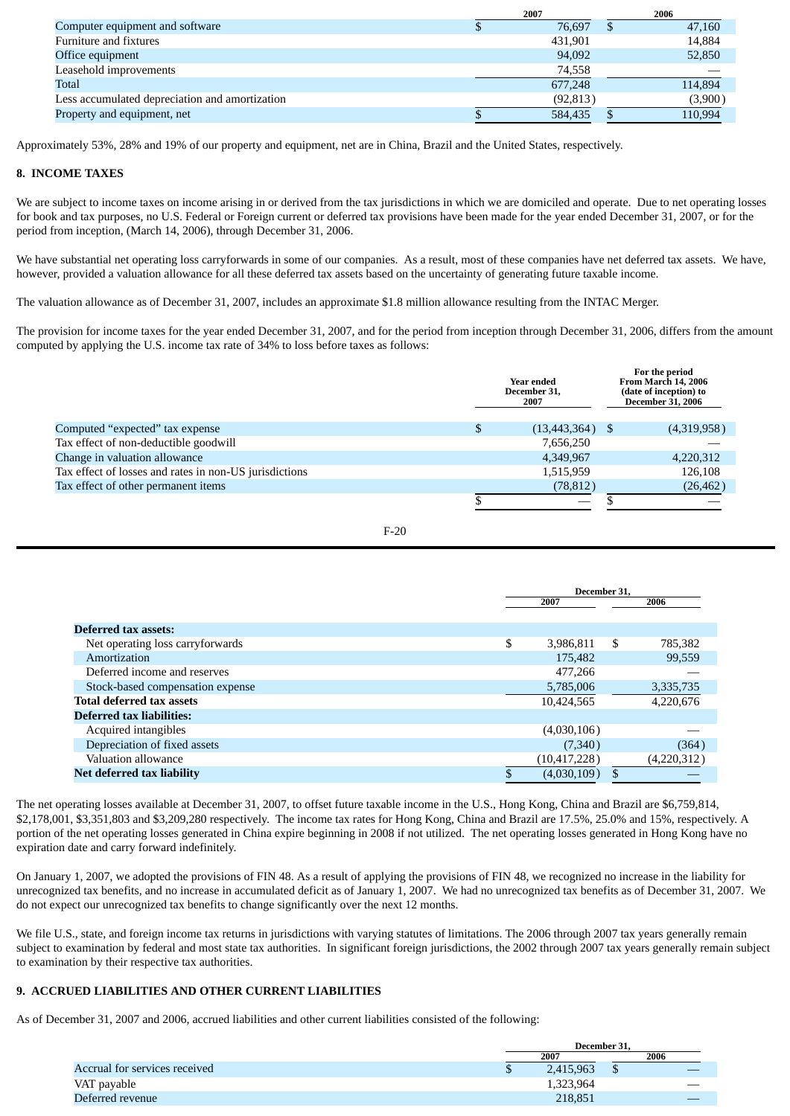|                                                | 2007      | 2006    |
|------------------------------------------------|-----------|---------|
| Computer equipment and software                | 76.697    | 47,160  |
| Furniture and fixtures                         | 431,901   | 14,884  |
| Office equipment                               | 94,092    | 52,850  |
| Leasehold improvements                         | 74.558    |         |
| Total                                          | 677,248   | 114,894 |
| Less accumulated depreciation and amortization | (92, 813) | (3,900) |
| Property and equipment, net                    | 584,435   | 110,994 |

Approximately 53%, 28% and 19% of our property and equipment, net are in China, Brazil and the United States, respectively.

## **8. INCOME TAXES**

We are subject to income taxes on income arising in or derived from the tax jurisdictions in which we are domiciled and operate. Due to net operating losses for book and tax purposes, no U.S. Federal or Foreign current or deferred tax provisions have been made for the year ended December 31, 2007, or for the period from inception, (March 14, 2006), through December 31, 2006.

We have substantial net operating loss carryforwards in some of our companies. As a result, most of these companies have net deferred tax assets. We have, however, provided a valuation allowance for all these deferred tax assets based on the uncertainty of generating future taxable income.

The valuation allowance as of December 31, 2007, includes an approximate \$1.8 million allowance resulting from the INTAC Merger.

The provision for income taxes for the year ended December 31, 2007, and for the period from inception through December 31, 2006, differs from the amount computed by applying the U.S. income tax rate of 34% to loss before taxes as follows:

|                                                        | Year ended<br>December 31,<br>2007 | For the period<br>From March 14, 2006<br>(date of inception) to<br><b>December 31, 2006</b> |
|--------------------------------------------------------|------------------------------------|---------------------------------------------------------------------------------------------|
| Computed "expected" tax expense                        | \$<br>$(13, 443, 364)$ \$          | (4,319,958)                                                                                 |
| Tax effect of non-deductible goodwill                  | 7,656,250                          |                                                                                             |
| Change in valuation allowance                          | 4,349,967                          | 4,220,312                                                                                   |
| Tax effect of losses and rates in non-US jurisdictions | 1,515,959                          | 126,108                                                                                     |
| Tax effect of other permanent items                    | (78, 812)                          | (26, 462)                                                                                   |
|                                                        |                                    |                                                                                             |

F-20

|                                  |   | December 31.   |    |             |  |
|----------------------------------|---|----------------|----|-------------|--|
|                                  |   | 2006<br>2007   |    |             |  |
|                                  |   |                |    |             |  |
| <b>Deferred tax assets:</b>      |   |                |    |             |  |
| Net operating loss carryforwards | S | 3,986,811      | \$ | 785,382     |  |
| Amortization                     |   | 175,482        |    | 99,559      |  |
| Deferred income and reserves     |   | 477,266        |    |             |  |
| Stock-based compensation expense |   | 5,785,006      |    | 3,335,735   |  |
| <b>Total deferred tax assets</b> |   | 10,424,565     |    | 4,220,676   |  |
| <b>Deferred tax liabilities:</b> |   |                |    |             |  |
| Acquired intangibles             |   | (4,030,106)    |    |             |  |
| Depreciation of fixed assets     |   | (7,340)        |    | (364)       |  |
| Valuation allowance              |   | (10, 417, 228) |    | (4,220,312) |  |
| Net deferred tax liability       |   | (4,030,109)    |    |             |  |

The net operating losses available at December 31, 2007, to offset future taxable income in the U.S., Hong Kong, China and Brazil are \$6,759,814, \$2,178,001, \$3,351,803 and \$3,209,280 respectively. The income tax rates for Hong Kong, China and Brazil are 17.5%, 25.0% and 15%, respectively. A portion of the net operating losses generated in China expire beginning in 2008 if not utilized. The net operating losses generated in Hong Kong have no expiration date and carry forward indefinitely.

On January 1, 2007, we adopted the provisions of FIN 48. As a result of applying the provisions of FIN 48, we recognized no increase in the liability for unrecognized tax benefits, and no increase in accumulated deficit as of January 1, 2007. We had no unrecognized tax benefits as of December 31, 2007. We do not expect our unrecognized tax benefits to change significantly over the next 12 months.

We file U.S., state, and foreign income tax returns in jurisdictions with varying statutes of limitations. The 2006 through 2007 tax years generally remain subject to examination by federal and most state tax authorities. In significant foreign jurisdictions, the 2002 through 2007 tax years generally remain subject to examination by their respective tax authorities.

## **9. ACCRUED LIABILITIES AND OTHER CURRENT LIABILITIES**

As of December 31, 2007 and 2006, accrued liabilities and other current liabilities consisted of the following:

|                               | December 31. |  |                          |  |
|-------------------------------|--------------|--|--------------------------|--|
|                               | 2006<br>2007 |  |                          |  |
| Accrual for services received | 2,415,963    |  |                          |  |
| VAT payable                   | 1,323,964    |  | $\overline{\phantom{a}}$ |  |
| Deferred revenue              | 218,851      |  |                          |  |
|                               |              |  |                          |  |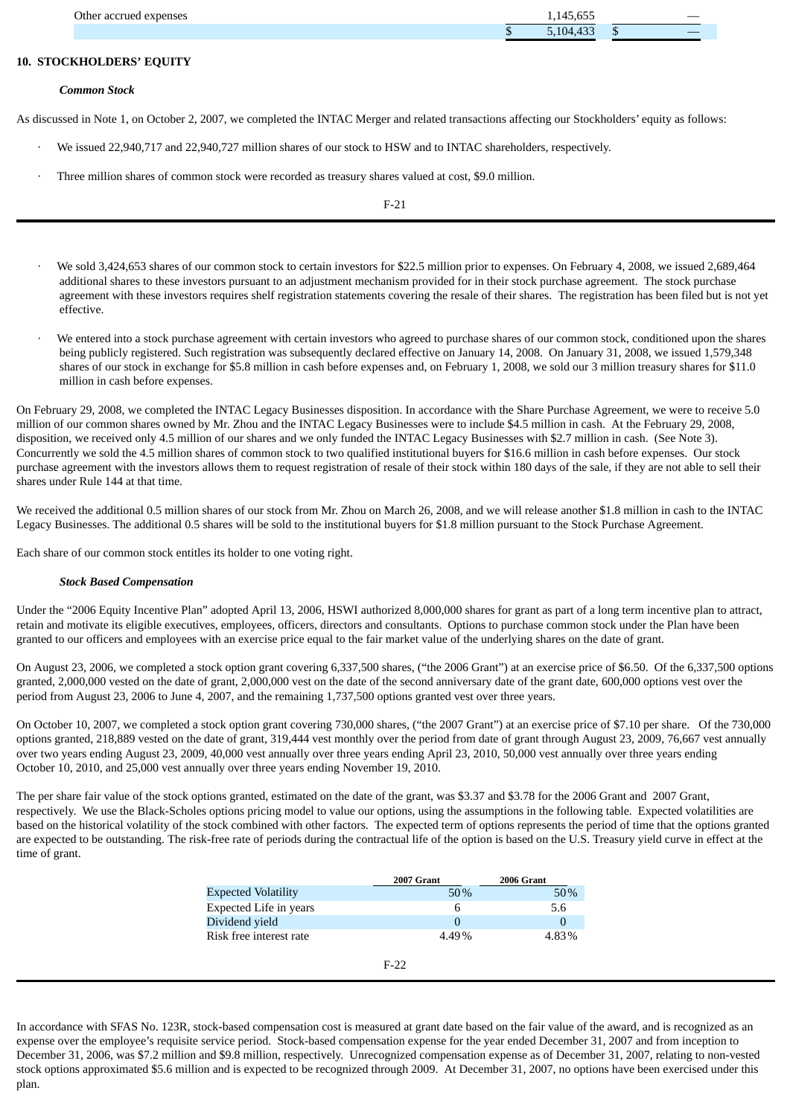| Other accrued<br>expenses<br>.<br>. |     | $\sim$ $ -$ | --  |  |
|-------------------------------------|-----|-------------|-----|--|
|                                     | . . | 100         | ъĐ. |  |

## **10. STOCKHOLDERS' EQUITY**

## *Common Stock*

As discussed in Note 1, on October 2, 2007, we completed the INTAC Merger and related transactions affecting our Stockholders' equity as follows:

- · We issued 22,940,717 and 22,940,727 million shares of our stock to HSW and to INTAC shareholders, respectively.
- Three million shares of common stock were recorded as treasury shares valued at cost, \$9.0 million.

F-21

- · We sold 3,424,653 shares of our common stock to certain investors for \$22.5 million prior to expenses. On February 4, 2008, we issued 2,689,464 additional shares to these investors pursuant to an adjustment mechanism provided for in their stock purchase agreement. The stock purchase agreement with these investors requires shelf registration statements covering the resale of their shares. The registration has been filed but is not yet effective.
- · We entered into a stock purchase agreement with certain investors who agreed to purchase shares of our common stock, conditioned upon the shares being publicly registered. Such registration was subsequently declared effective on January 14, 2008. On January 31, 2008, we issued 1,579,348 shares of our stock in exchange for \$5.8 million in cash before expenses and, on February 1, 2008, we sold our 3 million treasury shares for \$11.0 million in cash before expenses.

On February 29, 2008, we completed the INTAC Legacy Businesses disposition. In accordance with the Share Purchase Agreement, we were to receive 5.0 million of our common shares owned by Mr. Zhou and the INTAC Legacy Businesses were to include \$4.5 million in cash. At the February 29, 2008, disposition, we received only 4.5 million of our shares and we only funded the INTAC Legacy Businesses with \$2.7 million in cash. (See Note 3). Concurrently we sold the 4.5 million shares of common stock to two qualified institutional buyers for \$16.6 million in cash before expenses. Our stock purchase agreement with the investors allows them to request registration of resale of their stock within 180 days of the sale, if they are not able to sell their shares under Rule 144 at that time.

We received the additional 0.5 million shares of our stock from Mr. Zhou on March 26, 2008, and we will release another \$1.8 million in cash to the INTAC Legacy Businesses. The additional 0.5 shares will be sold to the institutional buyers for \$1.8 million pursuant to the Stock Purchase Agreement.

Each share of our common stock entitles its holder to one voting right.

## *Stock Based Compensation*

Under the "2006 Equity Incentive Plan" adopted April 13, 2006, HSWI authorized 8,000,000 shares for grant as part of a long term incentive plan to attract, retain and motivate its eligible executives, employees, officers, directors and consultants. Options to purchase common stock under the Plan have been granted to our officers and employees with an exercise price equal to the fair market value of the underlying shares on the date of grant.

On August 23, 2006, we completed a stock option grant covering 6,337,500 shares, ("the 2006 Grant") at an exercise price of \$6.50. Of the 6,337,500 options granted, 2,000,000 vested on the date of grant, 2,000,000 vest on the date of the second anniversary date of the grant date, 600,000 options vest over the period from August 23, 2006 to June 4, 2007, and the remaining 1,737,500 options granted vest over three years.

On October 10, 2007, we completed a stock option grant covering 730,000 shares, ("the 2007 Grant") at an exercise price of \$7.10 per share. Of the 730,000 options granted, 218,889 vested on the date of grant, 319,444 vest monthly over the period from date of grant through August 23, 2009, 76,667 vest annually over two years ending August 23, 2009, 40,000 vest annually over three years ending April 23, 2010, 50,000 vest annually over three years ending October 10, 2010, and 25,000 vest annually over three years ending November 19, 2010.

The per share fair value of the stock options granted, estimated on the date of the grant, was \$3.37 and \$3.78 for the 2006 Grant and 2007 Grant, respectively. We use the Black-Scholes options pricing model to value our options, using the assumptions in the following table. Expected volatilities are based on the historical volatility of the stock combined with other factors. The expected term of options represents the period of time that the options granted are expected to be outstanding. The risk-free rate of periods during the contractual life of the option is based on the U.S. Treasury yield curve in effect at the time of grant.

|                            | 2007 Grant | 2006 Grant |
|----------------------------|------------|------------|
| <b>Expected Volatility</b> | 50%        | 50%        |
| Expected Life in years     | 6          | 5.6        |
| Dividend yield             |            | $\Omega$   |
| Risk free interest rate    | 4.49%      | 4.83%      |
|                            |            |            |
|                            | F-22       |            |

In accordance with SFAS No. 123R, stock-based compensation cost is measured at grant date based on the fair value of the award, and is recognized as an expense over the employee's requisite service period. Stock-based compensation expense for the year ended December 31, 2007 and from inception to December 31, 2006, was \$7.2 million and \$9.8 million, respectively. Unrecognized compensation expense as of December 31, 2007, relating to non-vested stock options approximated \$5.6 million and is expected to be recognized through 2009. At December 31, 2007, no options have been exercised under this plan.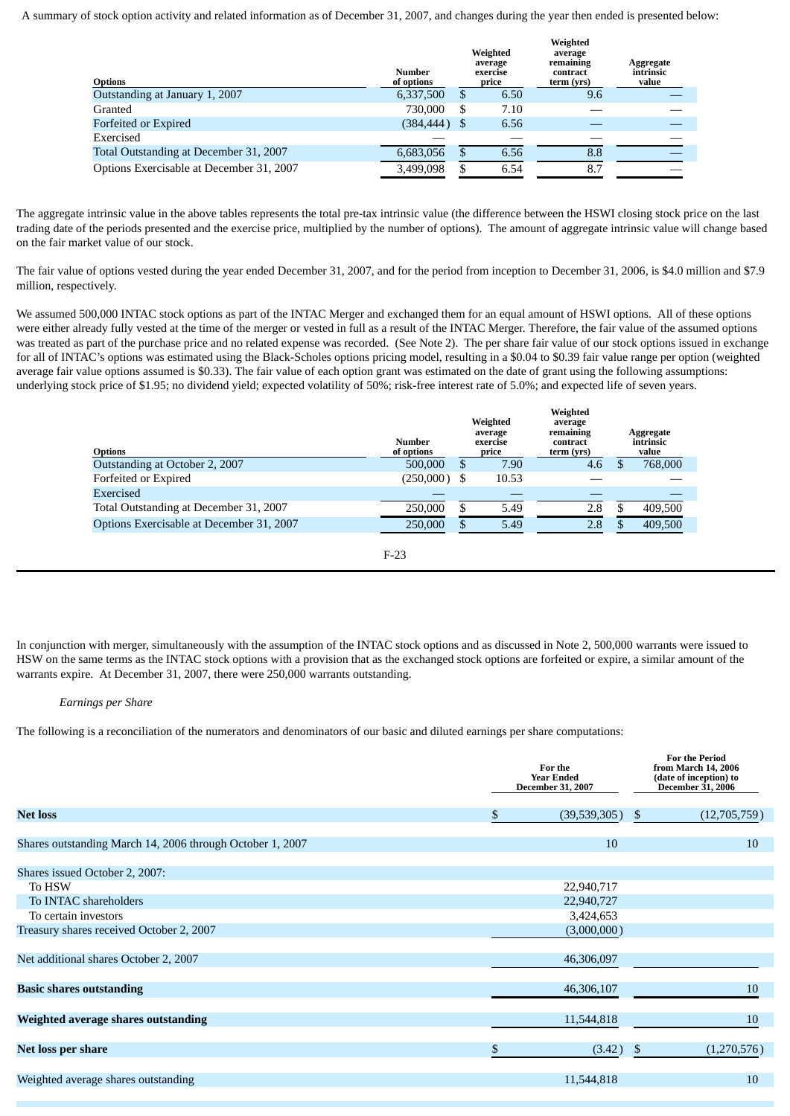A summary of stock option activity and related information as of December 31, 2007, and changes during the year then ended is presented below:

| <b>Options</b>                           | <b>Number</b><br>of options |      | Weighted<br>average<br>exercise<br>price | Weighted<br>average<br>remaining<br>contract<br>term (yrs) | Aggregate<br>intrinsic<br>value |
|------------------------------------------|-----------------------------|------|------------------------------------------|------------------------------------------------------------|---------------------------------|
| Outstanding at January 1, 2007           | 6,337,500                   | \$   | 6.50                                     | 9.6                                                        |                                 |
| Granted                                  | 730,000                     | \$   | 7.10                                     |                                                            |                                 |
| <b>Forfeited or Expired</b>              | (384, 444)                  | - \$ | 6.56                                     |                                                            |                                 |
| Exercised                                |                             |      |                                          |                                                            |                                 |
| Total Outstanding at December 31, 2007   | 6,683,056                   | S    | 6.56                                     | 8.8                                                        |                                 |
| Options Exercisable at December 31, 2007 | 3,499,098                   | S    | 6.54                                     | 8.7                                                        |                                 |

The aggregate intrinsic value in the above tables represents the total pre-tax intrinsic value (the difference between the HSWI closing stock price on the last trading date of the periods presented and the exercise price, multiplied by the number of options). The amount of aggregate intrinsic value will change based on the fair market value of our stock.

The fair value of options vested during the year ended December 31, 2007, and for the period from inception to December 31, 2006, is \$4.0 million and \$7.9 million, respectively.

We assumed 500,000 INTAC stock options as part of the INTAC Merger and exchanged them for an equal amount of HSWI options. All of these options were either already fully vested at the time of the merger or vested in full as a result of the INTAC Merger. Therefore, the fair value of the assumed options was treated as part of the purchase price and no related expense was recorded. (See Note 2). The per share fair value of our stock options issued in exchange for all of INTAC's options was estimated using the Black-Scholes options pricing model, resulting in a \$0.04 to \$0.39 fair value range per option (weighted average fair value options assumed is \$0.33). The fair value of each option grant was estimated on the date of grant using the following assumptions: underlying stock price of \$1.95; no dividend yield; expected volatility of 50%; risk-free interest rate of 5.0%; and expected life of seven years.

| <b>Options</b>                           | Number<br>of options |    | Weighted<br>average<br>exercise<br>price | Weighted<br>average<br>remaining<br>contract<br>term (yrs) | Aggregate<br>intrinsic<br>value |
|------------------------------------------|----------------------|----|------------------------------------------|------------------------------------------------------------|---------------------------------|
| Outstanding at October 2, 2007           | 500,000              | \$ | 7.90                                     | 4.6                                                        | 768,000                         |
| Forfeited or Expired                     | (250,000)            |    | 10.53                                    |                                                            |                                 |
| Exercised                                |                      |    |                                          |                                                            |                                 |
| Total Outstanding at December 31, 2007   | 250,000              | J  | 5.49                                     | 2.8                                                        | 409,500                         |
| Options Exercisable at December 31, 2007 | 250,000              | S  | 5.49                                     | 2.8                                                        | 409.500                         |
|                                          |                      |    |                                          |                                                            |                                 |

F-23

In conjunction with merger, simultaneously with the assumption of the INTAC stock options and as discussed in Note 2, 500,000 warrants were issued to HSW on the same terms as the INTAC stock options with a provision that as the exchanged stock options are forfeited or expire, a similar amount of the warrants expire. At December 31, 2007, there were 250,000 warrants outstanding.

#### *Earnings per Share*

The following is a reconciliation of the numerators and denominators of our basic and diluted earnings per share computations:

|                                                           |     | For the<br><b>Year Ended</b><br><b>December 31, 2007</b> |    | <b>For the Period</b><br>from March 14, 2006<br>(date of inception) to<br><b>December 31, 2006</b> |
|-----------------------------------------------------------|-----|----------------------------------------------------------|----|----------------------------------------------------------------------------------------------------|
| <b>Net loss</b>                                           | \$  | (39,539,305)                                             | -S | (12,705,759)                                                                                       |
| Shares outstanding March 14, 2006 through October 1, 2007 |     | 10                                                       |    | 10                                                                                                 |
| Shares issued October 2, 2007:                            |     |                                                          |    |                                                                                                    |
| To HSW                                                    |     | 22,940,717                                               |    |                                                                                                    |
| To INTAC shareholders                                     |     | 22,940,727                                               |    |                                                                                                    |
| To certain investors                                      |     | 3,424,653                                                |    |                                                                                                    |
| Treasury shares received October 2, 2007                  |     | (3,000,000)                                              |    |                                                                                                    |
|                                                           |     |                                                          |    |                                                                                                    |
| Net additional shares October 2, 2007                     |     | 46,306,097                                               |    |                                                                                                    |
|                                                           |     |                                                          |    |                                                                                                    |
| <b>Basic shares outstanding</b>                           |     | 46,306,107                                               |    | 10                                                                                                 |
|                                                           |     |                                                          |    |                                                                                                    |
| Weighted average shares outstanding                       |     | 11,544,818                                               |    | 10                                                                                                 |
|                                                           |     |                                                          |    |                                                                                                    |
| Net loss per share                                        | \$. | (3.42)                                                   | -S | (1,270,576)                                                                                        |
|                                                           |     |                                                          |    |                                                                                                    |
| Weighted average shares outstanding                       |     | 11,544,818                                               |    | 10                                                                                                 |
|                                                           |     |                                                          |    |                                                                                                    |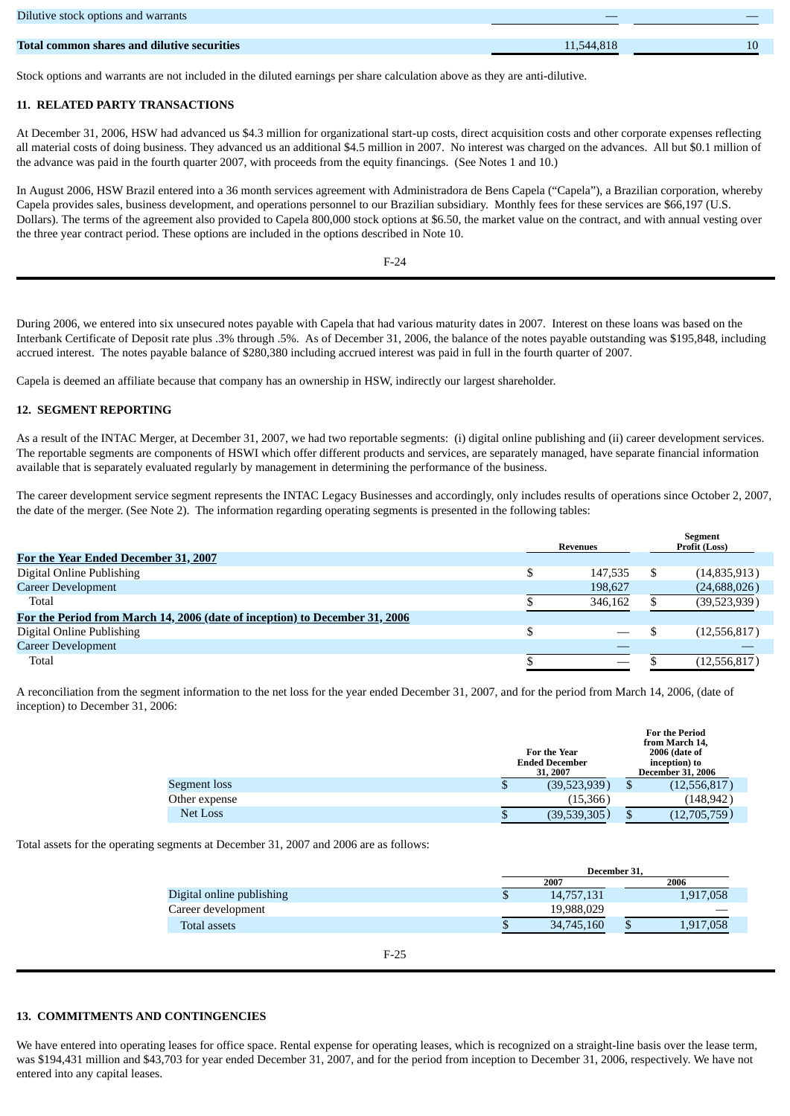| Dilutive stock options and warrants                |            |  |
|----------------------------------------------------|------------|--|
|                                                    |            |  |
| <b>Total common shares and dilutive securities</b> | 11.544.818 |  |

Stock options and warrants are not included in the diluted earnings per share calculation above as they are anti-dilutive.

## **11. RELATED PARTY TRANSACTIONS**

At December 31, 2006, HSW had advanced us \$4.3 million for organizational start-up costs, direct acquisition costs and other corporate expenses reflecting all material costs of doing business. They advanced us an additional \$4.5 million in 2007. No interest was charged on the advances. All but \$0.1 million of the advance was paid in the fourth quarter 2007, with proceeds from the equity financings. (See Notes 1 and 10.)

In August 2006, HSW Brazil entered into a 36 month services agreement with Administradora de Bens Capela ("Capela"), a Brazilian corporation, whereby Capela provides sales, business development, and operations personnel to our Brazilian subsidiary. Monthly fees for these services are \$66,197 (U.S. Dollars). The terms of the agreement also provided to Capela 800,000 stock options at \$6.50, the market value on the contract, and with annual vesting over the three year contract period. These options are included in the options described in Note 10.

F-24

During 2006, we entered into six unsecured notes payable with Capela that had various maturity dates in 2007. Interest on these loans was based on the Interbank Certificate of Deposit rate plus .3% through .5%. As of December 31, 2006, the balance of the notes payable outstanding was \$195,848, including accrued interest. The notes payable balance of \$280,380 including accrued interest was paid in full in the fourth quarter of 2007.

Capela is deemed an affiliate because that company has an ownership in HSW, indirectly our largest shareholder.

## **12. SEGMENT REPORTING**

As a result of the INTAC Merger, at December 31, 2007, we had two reportable segments: (i) digital online publishing and (ii) career development services. The reportable segments are components of HSWI which offer different products and services, are separately managed, have separate financial information available that is separately evaluated regularly by management in determining the performance of the business.

The career development service segment represents the INTAC Legacy Businesses and accordingly, only includes results of operations since October 2, 2007, the date of the merger. (See Note 2). The information regarding operating segments is presented in the following tables:

|                                                                             | <b>Revenues</b> | Segment<br>Profit (Loss) |                |  |
|-----------------------------------------------------------------------------|-----------------|--------------------------|----------------|--|
| For the Year Ended December 31, 2007                                        |                 |                          |                |  |
| Digital Online Publishing                                                   | 147.535         |                          | (14, 835, 913) |  |
| <b>Career Development</b>                                                   | 198,627         |                          | (24,688,026)   |  |
| Total                                                                       | 346.162         |                          | (39,523,939)   |  |
| For the Period from March 14, 2006 (date of inception) to December 31, 2006 |                 |                          |                |  |
| Digital Online Publishing                                                   |                 |                          | (12,556,817)   |  |
| <b>Career Development</b>                                                   |                 |                          |                |  |
| Total                                                                       |                 |                          | (12,556,817)   |  |

A reconciliation from the segment information to the net loss for the year ended December 31, 2007, and for the period from March 14, 2006, (date of inception) to December 31, 2006:

|               |    | For the Year<br><b>Ended December</b><br>31, 2007 |    |                                            |  |
|---------------|----|---------------------------------------------------|----|--------------------------------------------|--|
| Segment loss  | \$ | (39,523,939)                                      | \$ | <b>December 31, 2006</b><br>(12, 556, 817) |  |
| Other expense |    | (15,366)                                          |    | (148, 942)                                 |  |
| Net Loss      | S  | (39,539,305)                                      | \$ | (12,705,759)                               |  |

Total assets for the operating segments at December 31, 2007 and 2006 are as follows:

|   | December 31, |  |           |  |  |
|---|--------------|--|-----------|--|--|
|   | 2007         |  | 2006      |  |  |
| D | 14,757,131   |  | 1,917,058 |  |  |
|   | 19,988,029   |  |           |  |  |
|   | 34,745,160   |  | 1,917,058 |  |  |
|   |              |  |           |  |  |
|   |              |  |           |  |  |

F-25

## **13. COMMITMENTS AND CONTINGENCIES**

We have entered into operating leases for office space. Rental expense for operating leases, which is recognized on a straight-line basis over the lease term, was \$194,431 million and \$43,703 for year ended December 31, 2007, and for the period from inception to December 31, 2006, respectively. We have not entered into any capital leases.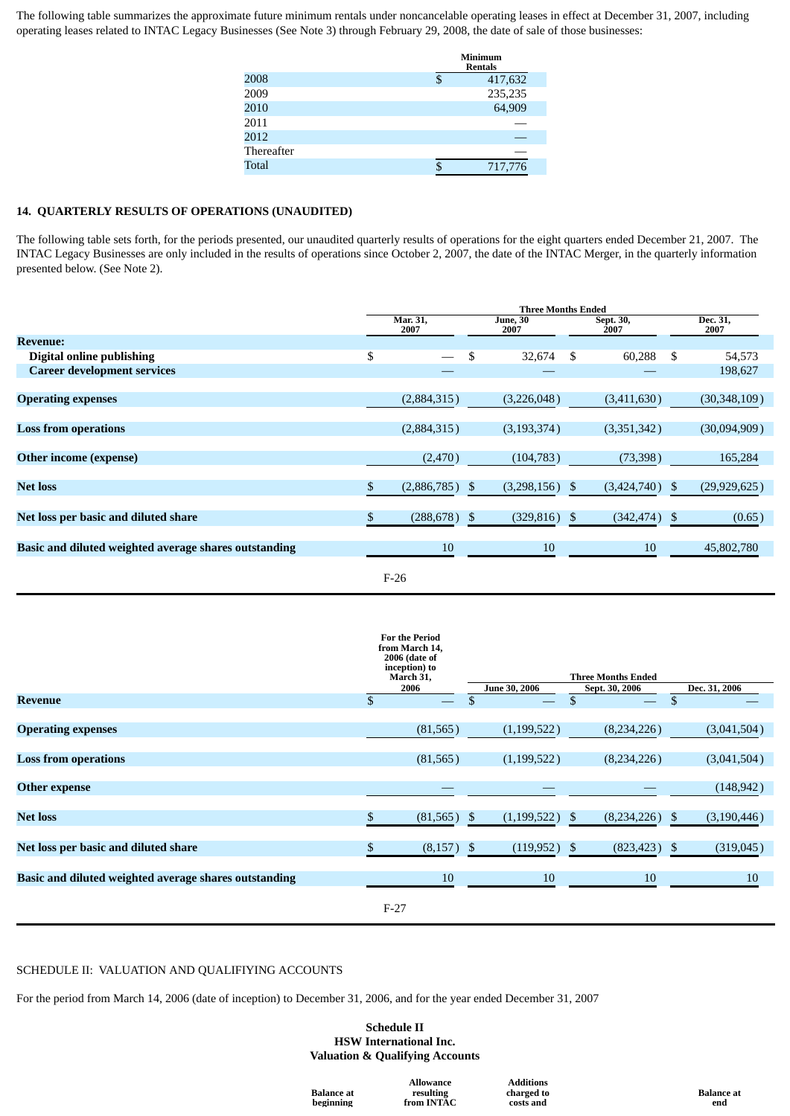The following table summarizes the approximate future minimum rentals under noncancelable operating leases in effect at December 31, 2007, including operating leases related to INTAC Legacy Businesses (See Note 3) through February 29, 2008, the date of sale of those businesses:

|            | <b>Minimum</b><br><b>Rentals</b> |
|------------|----------------------------------|
| 2008       | 417,632                          |
| 2009       | 235,235                          |
| 2010       | 64,909                           |
| 2011       |                                  |
| 2012       |                                  |
| Thereafter |                                  |
| Total      | 717,776                          |
|            |                                  |

## **14. QUARTERLY RESULTS OF OPERATIONS (UNAUDITED)**

The following table sets forth, for the periods presented, our unaudited quarterly results of operations for the eight quarters ended December 21, 2007. The INTAC Legacy Businesses are only included in the results of operations since October 2, 2007, the date of the INTAC Merger, in the quarterly information presented below. (See Note 2).

|                                                       | <b>Three Months Ended</b> |                  |    |                                               |      |                  |              |                |
|-------------------------------------------------------|---------------------------|------------------|----|-----------------------------------------------|------|------------------|--------------|----------------|
|                                                       |                           | Mar. 31,<br>2007 |    | <b>June</b> , 30<br>Sept. 30,<br>2007<br>2007 |      | Dec. 31,<br>2007 |              |                |
| <b>Revenue:</b>                                       |                           |                  |    |                                               |      |                  |              |                |
| <b>Digital online publishing</b>                      | \$                        |                  | \$ | 32,674                                        | \$   | 60,288           | S.           | 54,573         |
| <b>Career development services</b>                    |                           |                  |    |                                               |      |                  |              | 198,627        |
|                                                       |                           |                  |    |                                               |      |                  |              |                |
| <b>Operating expenses</b>                             |                           | (2,884,315)      |    | (3,226,048)                                   |      | (3,411,630)      |              | (30,348,109)   |
|                                                       |                           |                  |    |                                               |      |                  |              |                |
| <b>Loss from operations</b>                           |                           | (2,884,315)      |    | (3, 193, 374)                                 |      | (3,351,342)      |              | (30,094,909)   |
|                                                       |                           |                  |    |                                               |      |                  |              |                |
| Other income (expense)                                |                           | (2,470)          |    | (104, 783)                                    |      | (73,398)         |              | 165,284        |
|                                                       |                           |                  |    |                                               |      |                  |              |                |
| <b>Net loss</b>                                       |                           | (2,886,785)      | -S | (3,298,156)                                   | - \$ | (3,424,740)      | <sup>S</sup> | (29, 929, 625) |
|                                                       |                           |                  |    |                                               |      |                  |              |                |
| Net loss per basic and diluted share                  |                           | (288, 678)       | -S | (329, 816)                                    | - \$ | (342, 474)       | \$           | (0.65)         |
|                                                       |                           |                  |    |                                               |      |                  |              |                |
| Basic and diluted weighted average shares outstanding |                           | 10               |    | 10                                            |      | 10               |              | 45,802,780     |
|                                                       |                           |                  |    |                                               |      |                  |              |                |
|                                                       |                           | $F-26$           |    |                                               |      |                  |              |                |

|                                                       | <b>For the Period</b><br>from March 14,<br>2006 (date of<br>inception) to<br>March 31,<br>2006 |              |      | <b>June 30, 2006</b> |      | <b>Three Months Ended</b><br>Sept. 30, 2006 |      | Dec. 31, 2006 |
|-------------------------------------------------------|------------------------------------------------------------------------------------------------|--------------|------|----------------------|------|---------------------------------------------|------|---------------|
| <b>Revenue</b>                                        | \$                                                                                             |              | \$   |                      | \$   |                                             | \$   |               |
| <b>Operating expenses</b>                             |                                                                                                | (81, 565)    |      | (1,199,522)          |      | (8,234,226)                                 |      | (3,041,504)   |
| <b>Loss from operations</b>                           |                                                                                                | (81, 565)    |      | (1,199,522)          |      | (8,234,226)                                 |      | (3,041,504)   |
| <b>Other expense</b>                                  |                                                                                                |              |      |                      |      |                                             |      | (148, 942)    |
| <b>Net loss</b>                                       |                                                                                                | (81,565)     | - \$ | (1,199,522)          | - \$ | (8,234,226)                                 | - \$ | (3,190,446)   |
| Net loss per basic and diluted share                  |                                                                                                | $(8,157)$ \$ |      | $(119,952)$ \$       |      | $(823, 423)$ \$                             |      | (319, 045)    |
| Basic and diluted weighted average shares outstanding |                                                                                                | 10           |      | 10                   |      | 10                                          |      | 10            |
|                                                       | $F-27$                                                                                         |              |      |                      |      |                                             |      |               |

#### SCHEDULE II: VALUATION AND QUALIFIYING ACCOUNTS

For the period from March 14, 2006 (date of inception) to December 31, 2006, and for the year ended December 31, 2007

### **Schedule II HSW International Inc. Valuation & Qualifying Accounts**

|                   | Allowance         | Additions  |        |
|-------------------|-------------------|------------|--------|
| <b>Balance</b> at | resulting         | charged to | Balanc |
| beginning         | from <b>INTAC</b> | costs and  | end    |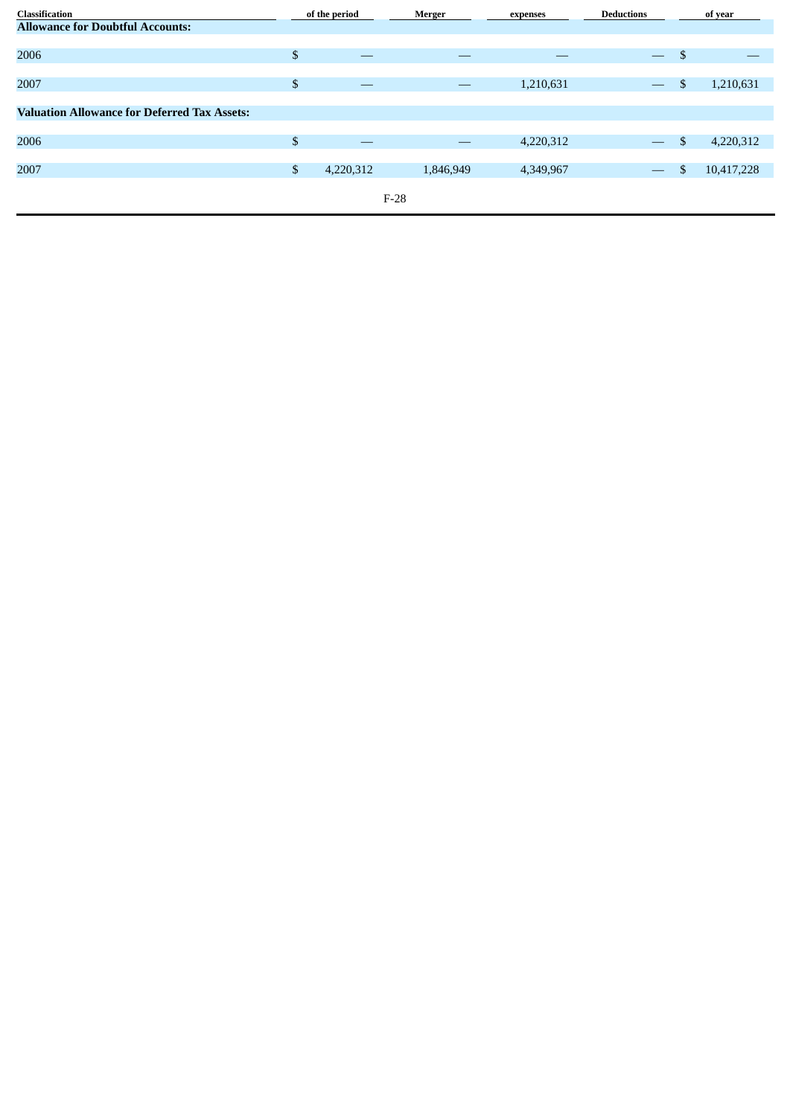| <b>Classification</b>                               |                           | of the period | Merger    | expenses  | <b>Deductions</b>        | of year |            |
|-----------------------------------------------------|---------------------------|---------------|-----------|-----------|--------------------------|---------|------------|
| <b>Allowance for Doubtful Accounts:</b>             |                           |               |           |           |                          |         |            |
|                                                     |                           |               |           |           |                          |         |            |
| 2006                                                | \$                        |               |           |           |                          | -\$     |            |
|                                                     |                           |               |           |           |                          |         |            |
| 2007                                                | \$                        |               |           | 1,210,631 | $\overline{\phantom{m}}$ | \$      | 1,210,631  |
|                                                     |                           |               |           |           |                          |         |            |
| <b>Valuation Allowance for Deferred Tax Assets:</b> |                           |               |           |           |                          |         |            |
|                                                     |                           |               |           |           |                          |         |            |
| 2006                                                | $\boldsymbol{\mathsf{S}}$ |               |           | 4,220,312 | $\overline{\phantom{m}}$ | \$      | 4,220,312  |
|                                                     |                           |               |           |           |                          |         |            |
| 2007                                                | $\mathbb{S}$              | 4,220,312     | 1,846,949 | 4,349,967 |                          | \$      | 10,417,228 |
|                                                     |                           |               |           |           |                          |         |            |
|                                                     |                           | $F-28$        |           |           |                          |         |            |
|                                                     |                           |               |           |           |                          |         |            |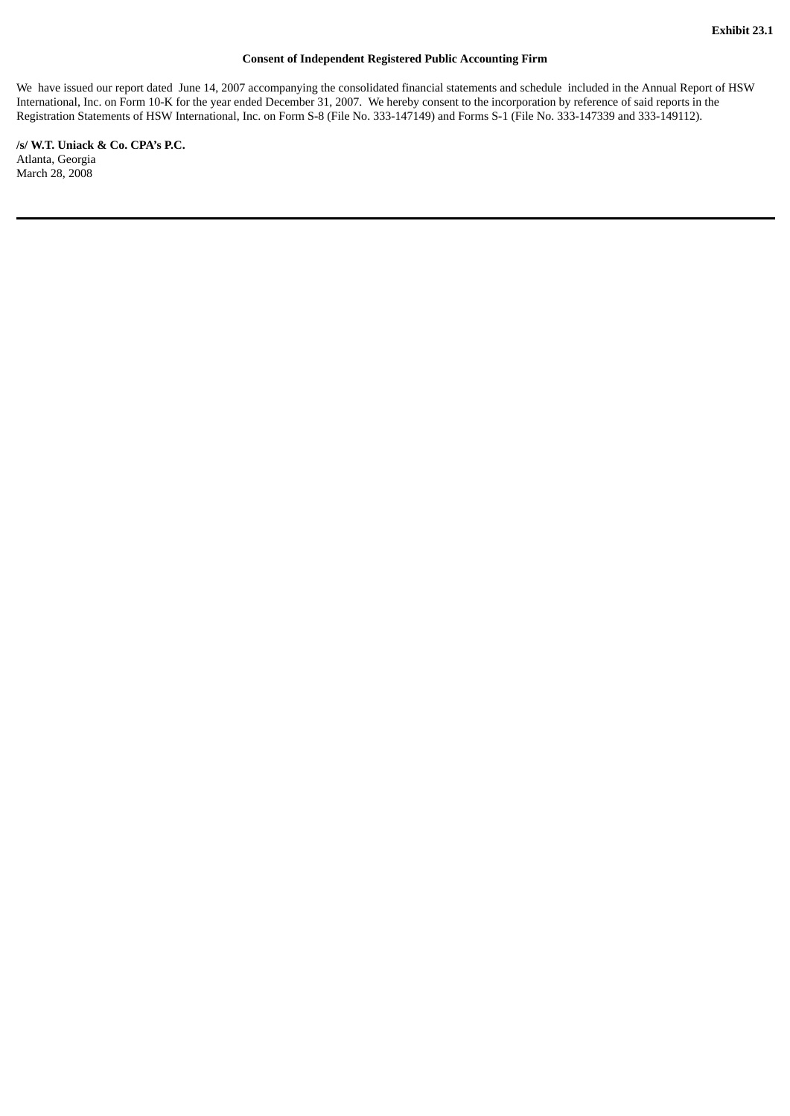### **Consent of Independent Registered Public Accounting Firm**

We have issued our report dated June 14, 2007 accompanying the consolidated financial statements and schedule included in the Annual Report of HSW International, Inc. on Form 10-K for the year ended December 31, 2007. We hereby consent to the incorporation by reference of said reports in the Registration Statements of HSW International, Inc. on Form S-8 (File No. 333-147149) and Forms S-1 (File No. 333-147339 and 333-149112).

**/s/ W.T. Uniack & Co. CPA's P.C.** Atlanta, Georgia March 28, 2008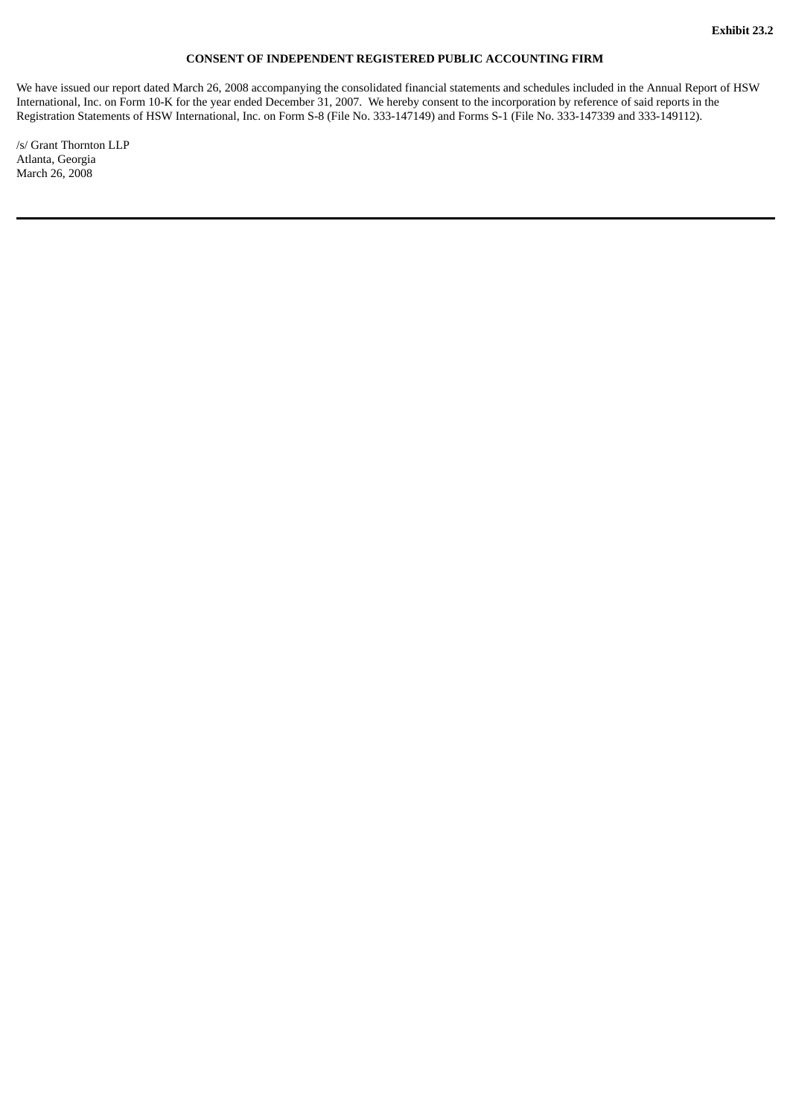## **CONSENT OF INDEPENDENT REGISTERED PUBLIC ACCOUNTING FIRM**

We have issued our report dated March 26, 2008 accompanying the consolidated financial statements and schedules included in the Annual Report of HSW International, Inc. on Form 10-K for the year ended December 31, 2007. We hereby consent to the incorporation by reference of said reports in the Registration Statements of HSW International, Inc. on Form S-8 (File No. 333-147149) and Forms S-1 (File No. 333-147339 and 333-149112).

/s/ Grant Thornton LLP Atlanta, Georgia March 26, 2008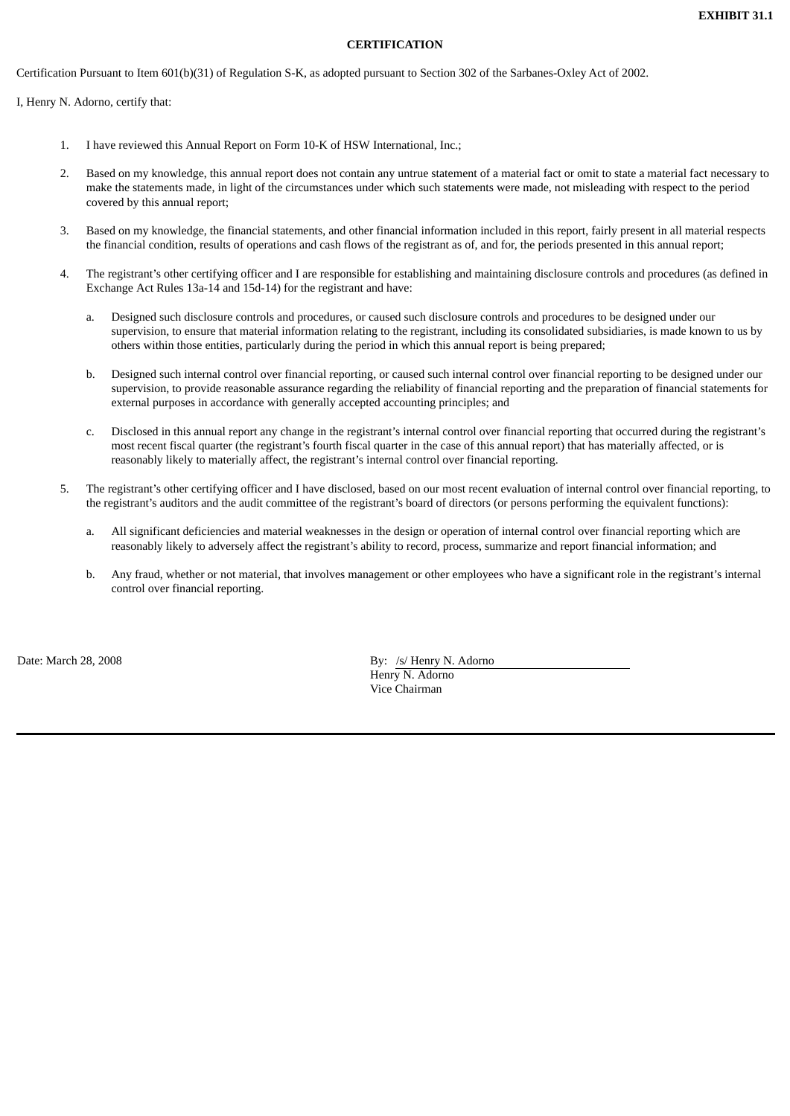## **CERTIFICATION**

Certification Pursuant to Item 601(b)(31) of Regulation S-K, as adopted pursuant to Section 302 of the Sarbanes-Oxley Act of 2002.

I, Henry N. Adorno, certify that:

- 1. I have reviewed this Annual Report on Form 10-K of HSW International, Inc.;
- 2. Based on my knowledge, this annual report does not contain any untrue statement of a material fact or omit to state a material fact necessary to make the statements made, in light of the circumstances under which such statements were made, not misleading with respect to the period covered by this annual report;
- 3. Based on my knowledge, the financial statements, and other financial information included in this report, fairly present in all material respects the financial condition, results of operations and cash flows of the registrant as of, and for, the periods presented in this annual report;
- 4. The registrant's other certifying officer and I are responsible for establishing and maintaining disclosure controls and procedures (as defined in Exchange Act Rules 13a-14 and 15d-14) for the registrant and have:
	- a. Designed such disclosure controls and procedures, or caused such disclosure controls and procedures to be designed under our supervision, to ensure that material information relating to the registrant, including its consolidated subsidiaries, is made known to us by others within those entities, particularly during the period in which this annual report is being prepared;
	- b. Designed such internal control over financial reporting, or caused such internal control over financial reporting to be designed under our supervision, to provide reasonable assurance regarding the reliability of financial reporting and the preparation of financial statements for external purposes in accordance with generally accepted accounting principles; and
	- c. Disclosed in this annual report any change in the registrant's internal control over financial reporting that occurred during the registrant's most recent fiscal quarter (the registrant's fourth fiscal quarter in the case of this annual report) that has materially affected, or is reasonably likely to materially affect, the registrant's internal control over financial reporting.
- 5. The registrant's other certifying officer and I have disclosed, based on our most recent evaluation of internal control over financial reporting, to the registrant's auditors and the audit committee of the registrant's board of directors (or persons performing the equivalent functions):
	- a. All significant deficiencies and material weaknesses in the design or operation of internal control over financial reporting which are reasonably likely to adversely affect the registrant's ability to record, process, summarize and report financial information; and
	- b. Any fraud, whether or not material, that involves management or other employees who have a significant role in the registrant's internal control over financial reporting.

Date: March 28, 2008 By: /s/ Henry N. Adorno Henry N. Adorno Vice Chairman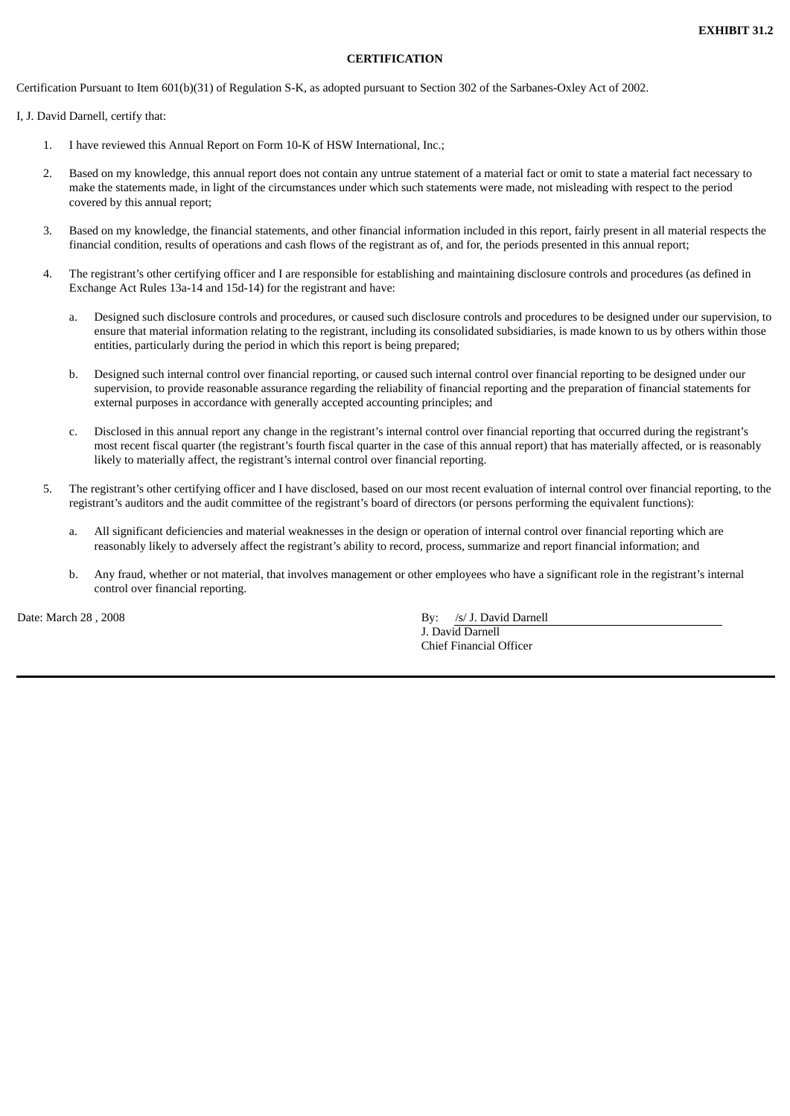#### **CERTIFICATION**

Certification Pursuant to Item 601(b)(31) of Regulation S-K, as adopted pursuant to Section 302 of the Sarbanes-Oxley Act of 2002.

I, J. David Darnell, certify that:

- 1. I have reviewed this Annual Report on Form 10-K of HSW International, Inc.;
- 2. Based on my knowledge, this annual report does not contain any untrue statement of a material fact or omit to state a material fact necessary to make the statements made, in light of the circumstances under which such statements were made, not misleading with respect to the period covered by this annual report;
- 3. Based on my knowledge, the financial statements, and other financial information included in this report, fairly present in all material respects the financial condition, results of operations and cash flows of the registrant as of, and for, the periods presented in this annual report;
- 4. The registrant's other certifying officer and I are responsible for establishing and maintaining disclosure controls and procedures (as defined in Exchange Act Rules 13a-14 and 15d-14) for the registrant and have:
	- a. Designed such disclosure controls and procedures, or caused such disclosure controls and procedures to be designed under our supervision, to ensure that material information relating to the registrant, including its consolidated subsidiaries, is made known to us by others within those entities, particularly during the period in which this report is being prepared;
	- b. Designed such internal control over financial reporting, or caused such internal control over financial reporting to be designed under our supervision, to provide reasonable assurance regarding the reliability of financial reporting and the preparation of financial statements for external purposes in accordance with generally accepted accounting principles; and
	- c. Disclosed in this annual report any change in the registrant's internal control over financial reporting that occurred during the registrant's most recent fiscal quarter (the registrant's fourth fiscal quarter in the case of this annual report) that has materially affected, or is reasonably likely to materially affect, the registrant's internal control over financial reporting.
- 5. The registrant's other certifying officer and I have disclosed, based on our most recent evaluation of internal control over financial reporting, to the registrant's auditors and the audit committee of the registrant's board of directors (or persons performing the equivalent functions):
	- a. All significant deficiencies and material weaknesses in the design or operation of internal control over financial reporting which are reasonably likely to adversely affect the registrant's ability to record, process, summarize and report financial information; and
	- b. Any fraud, whether or not material, that involves management or other employees who have a significant role in the registrant's internal control over financial reporting.

Date: March 28, 2008 **By:** /s/ J. David Darnell

J. David Darnell Chief Financial Officer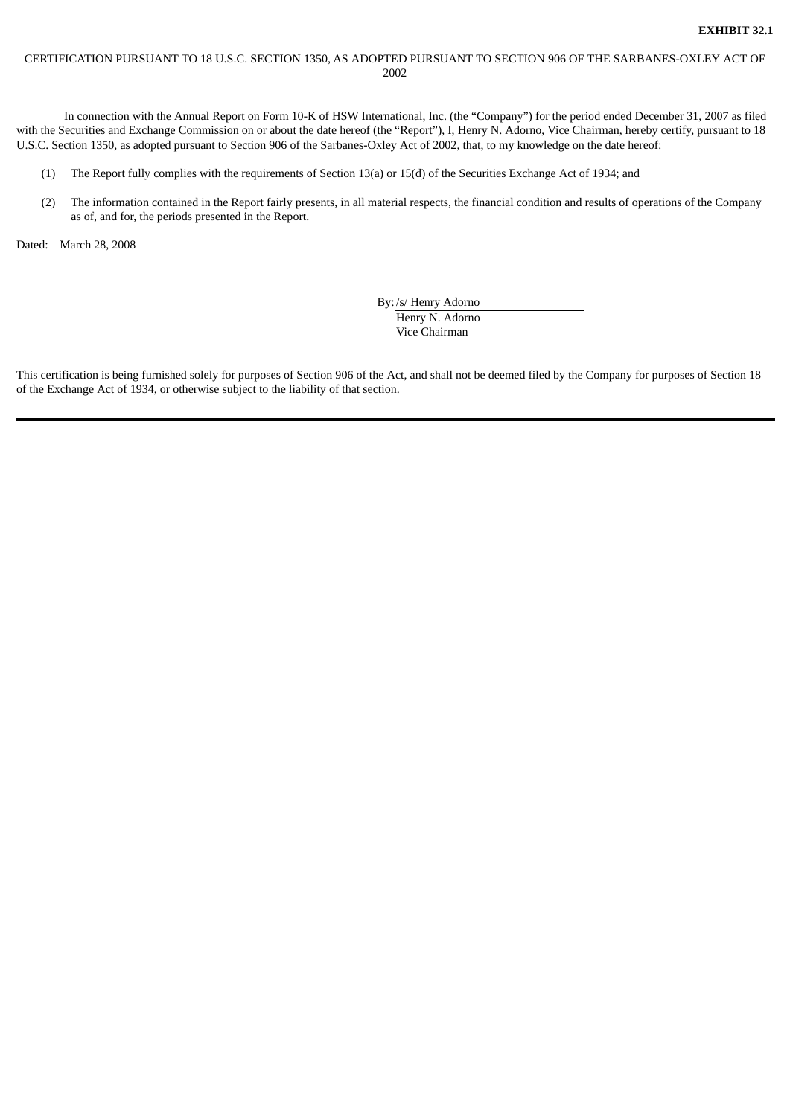### CERTIFICATION PURSUANT TO 18 U.S.C. SECTION 1350, AS ADOPTED PURSUANT TO SECTION 906 OF THE SARBANES-OXLEY ACT OF 2002

In connection with the Annual Report on Form 10-K of HSW International, Inc. (the "Company") for the period ended December 31, 2007 as filed with the Securities and Exchange Commission on or about the date hereof (the "Report"), I, Henry N. Adorno, Vice Chairman, hereby certify, pursuant to 18 U.S.C. Section 1350, as adopted pursuant to Section 906 of the Sarbanes-Oxley Act of 2002, that, to my knowledge on the date hereof:

- (1) The Report fully complies with the requirements of Section 13(a) or 15(d) of the Securities Exchange Act of 1934; and
- (2) The information contained in the Report fairly presents, in all material respects, the financial condition and results of operations of the Company as of, and for, the periods presented in the Report.

Dated: March 28, 2008

By: /s/ Henry Adorno Henry N. Adorno Vice Chairman

This certification is being furnished solely for purposes of Section 906 of the Act, and shall not be deemed filed by the Company for purposes of Section 18 of the Exchange Act of 1934, or otherwise subject to the liability of that section.